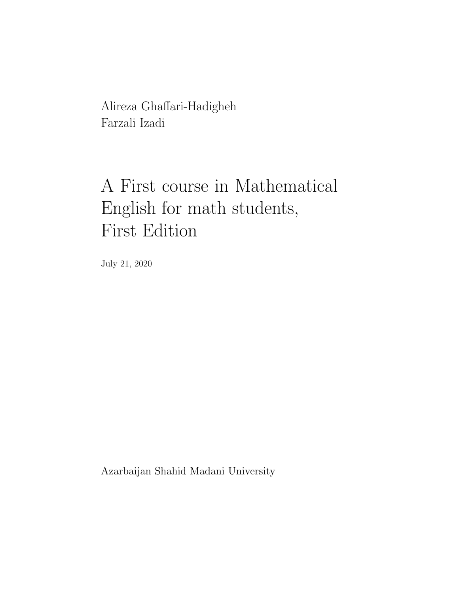<span id="page-0-0"></span>Alireza Ghaffari-Hadigheh Farzali Izadi

# A First course in Mathematical English for math students, First Edition

July 21, 2020

Azarbaijan Shahid Madani University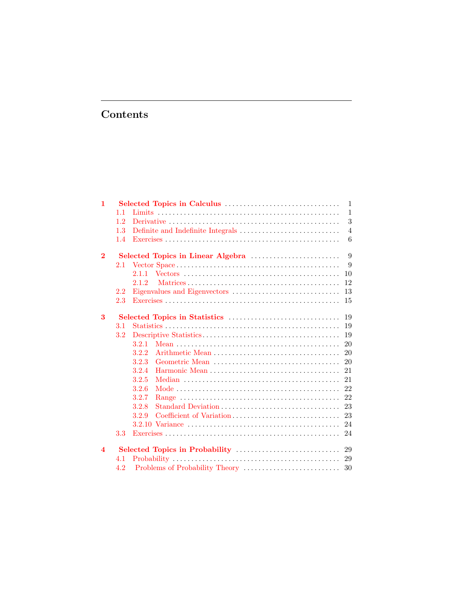# Contents

| $\mathbf{1}$            |     |                             | $\mathbf{1}$   |
|-------------------------|-----|-----------------------------|----------------|
|                         | 1.1 |                             | $\mathbf{1}$   |
|                         | 1.2 |                             | 3              |
|                         | 1.3 |                             | $\overline{4}$ |
|                         | 1.4 |                             | 6              |
| $\mathbf{2}$            |     |                             | 9              |
|                         | 2.1 |                             | 9              |
|                         |     | 2.1.1                       | 10             |
|                         |     | 212                         | 12             |
|                         | 2.2 |                             | 13             |
|                         | 2.3 |                             | 15             |
| 3                       |     |                             | 19             |
|                         | 3.1 |                             | 19             |
|                         | 3.2 |                             | 19             |
|                         |     | 3.2.1                       | 20             |
|                         |     | 3.2.2                       | 20             |
|                         |     | 3.2.3                       | 20             |
|                         |     | 3.2.4                       | 21             |
|                         |     | 3.2.5                       | 21             |
|                         |     | 3.2.6                       | 22             |
|                         |     | 3.2.7                       | 22             |
|                         |     | 3.2.8<br>Standard Deviation | 23             |
|                         |     | 3.2.9                       | 23             |
|                         |     |                             | 24             |
|                         | 3.3 |                             | 24             |
| $\overline{\mathbf{4}}$ |     |                             | 29             |
|                         | 4.1 |                             |                |
|                         | 4.2 |                             |                |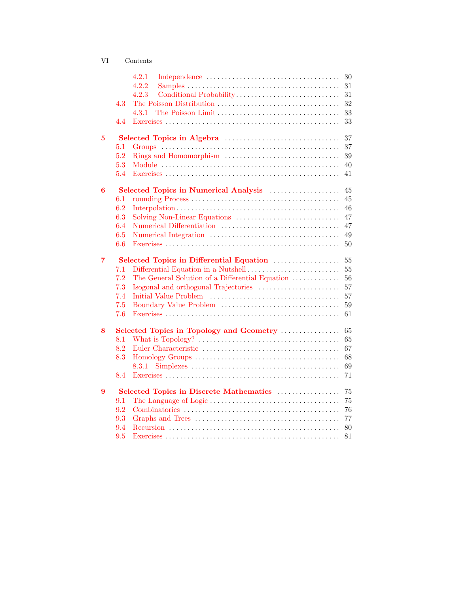| VI |         | Contents                                           |                |
|----|---------|----------------------------------------------------|----------------|
|    |         | 4.2.1<br>4.2.2<br>4.2.3<br>Conditional Probability | 30<br>31<br>31 |
|    | 4.3     |                                                    | 32             |
|    |         | 4.3.1                                              | 33             |
|    | 4.4     |                                                    | 33             |
| 5  |         |                                                    | 37             |
|    | $5.1\,$ |                                                    | 37             |
|    | 5.2     |                                                    | 39             |
|    | 5.3     |                                                    | 40             |
|    | 5.4     |                                                    | 41             |
| 6  |         | Selected Topics in Numerical Analysis              | 45             |
|    | 6.1     |                                                    | 45             |
|    | 6.2     |                                                    | 46             |
|    | 6.3     |                                                    | 47             |
|    | 6.4     |                                                    | 47             |
|    | 6.5     |                                                    | 49             |
|    | 6.6     |                                                    | 50             |
| 7  |         | Selected Topics in Differential Equation           | 55             |
|    | 7.1     |                                                    | 55             |
|    | 7.2     | The General Solution of a Differential Equation    | 56             |
|    | 7.3     |                                                    | 57             |
|    | 7.4     |                                                    | 57             |
|    | 7.5     |                                                    | 59             |
|    | 7.6     |                                                    | 61             |
| 8  |         | Selected Topics in Topology and Geometry           | 65             |
|    | 8.1     |                                                    | 65             |
|    | 8.2     |                                                    | 67             |
|    | 8.3     |                                                    | 68             |
|    |         | 8.3.1                                              | 69             |
|    | 8.4     |                                                    | 71             |
| 9  |         | Selected Topics in Discrete Mathematics            | 75             |
|    | 9.1     |                                                    | 75             |
|    | 9.2     |                                                    | 76             |
|    | 9.3     |                                                    | 77             |
|    | 9.4     |                                                    | 80             |
|    | 9.5     |                                                    | 81             |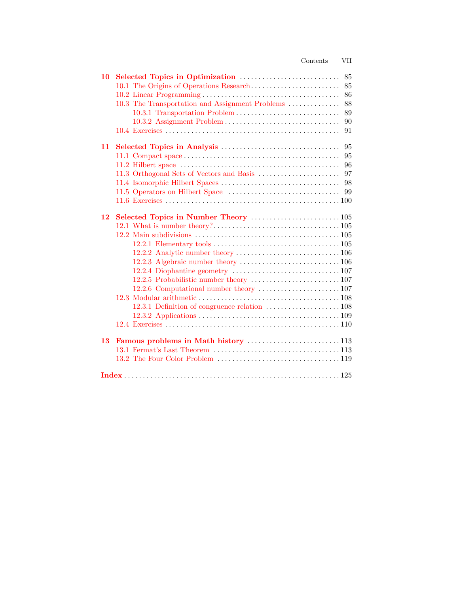| 10 | 10.3 The Transportation and Assignment Problems | $85\,$<br>85<br>86<br>88<br>89<br>90<br>91 |
|----|-------------------------------------------------|--------------------------------------------|
|    |                                                 |                                            |
| 11 |                                                 | 95                                         |
|    |                                                 | 95                                         |
|    |                                                 | 96                                         |
|    |                                                 | 97                                         |
|    |                                                 | 98                                         |
|    |                                                 | 99                                         |
|    |                                                 |                                            |
| 12 |                                                 |                                            |
|    |                                                 |                                            |
|    |                                                 |                                            |
|    |                                                 |                                            |
|    |                                                 |                                            |
|    |                                                 |                                            |
|    |                                                 |                                            |
|    |                                                 |                                            |
|    |                                                 |                                            |
|    |                                                 |                                            |
|    |                                                 |                                            |
|    |                                                 |                                            |
|    |                                                 |                                            |
|    |                                                 |                                            |
| 13 | Famous problems in Math history 113             |                                            |
|    |                                                 |                                            |
|    |                                                 |                                            |
|    |                                                 |                                            |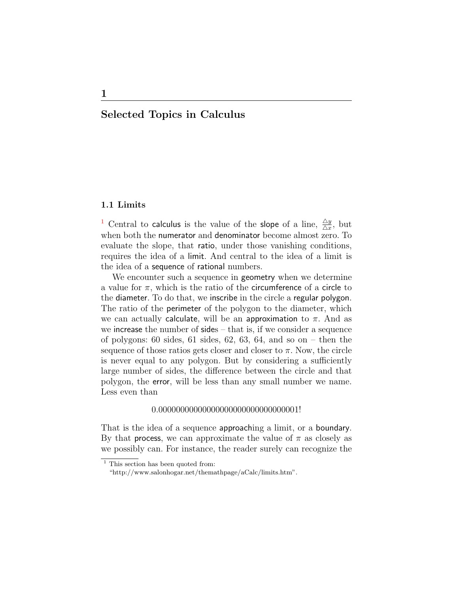# <span id="page-6-0"></span>Selected Topics in Calculus

### <span id="page-6-1"></span>1.1 Limits

<sup>[1](#page-0-0)</sup> Central to calculus is the value of the slope of a line,  $\frac{\Delta y}{\Delta x}$ , but when both the numerator and denominator become almost zero. To evaluate the slope, that ratio, under those vanishing conditions, requires the idea of a limit. And central to the idea of a limit is the idea of a sequence of rational numbers.

We encounter such a sequence in **geometry** when we determine a value for  $\pi$ , which is the ratio of the **circumference** of a **circle** to the diameter. To do that, we inscribe in the circle a regular polygon. The ratio of the perimeter of the polygon to the diameter, which we can actually calculate, will be an approximation to  $\pi$ . And as we increase the number of sides – that is, if we consider a sequence of polygons: 60 sides, 61 sides, 62, 63, 64, and so on  $-$  then the sequence of those ratios gets closer and closer to  $\pi$ . Now, the circle is never equal to any polygon. But by considering a sufficiently large number of sides, the difference between the circle and that polygon, the error, will be less than any small number we name. Less even than

### 0.00000000000000000000000000000001!

That is the idea of a sequence approaching a limit, or a boundary. By that **process**, we can approximate the value of  $\pi$  as closely as we possibly can. For instance, the reader surely can recognize the

 $<sup>1</sup>$  This section has been quoted from:</sup>

<sup>&</sup>quot;http://www.salonhogar.net/themathpage/aCalc/limits.htm".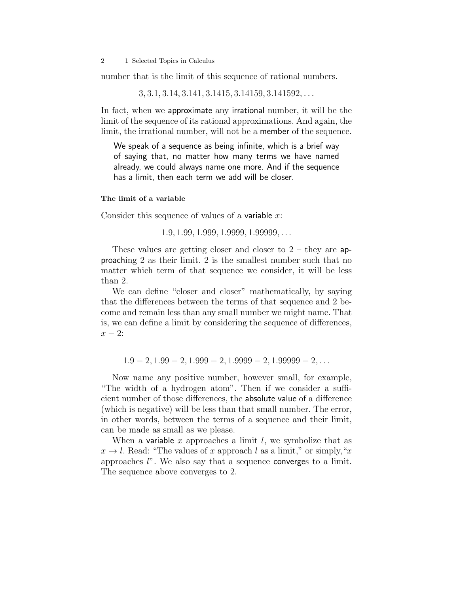number that is the limit of this sequence of rational numbers.

 $3, 3.1, 3.14, 3.141, 3.1415, 3.14159, 3.141592, \ldots$ 

In fact, when we approximate any irrational number, it will be the limit of the sequence of its rational approximations. And again, the limit, the irrational number, will not be a member of the sequence.

We speak of a sequence as being infinite, which is a brief way of saying that, no matter how many terms we have named already, we could always name one more. And if the sequence has a limit, then each term we add will be closer.

### The limit of a variable

Consider this sequence of values of a variable  $x$ :

 $1.9, 1.99, 1.999, 1.9999, 1.99999, \ldots$ 

These values are getting closer and closer to 2 – they are approaching 2 as their limit. 2 is the smallest number such that no matter which term of that sequence we consider, it will be less than 2.

We can define "closer and closer" mathematically, by saying that the differences between the terms of that sequence and 2 become and remain less than any small number we might name. That is, we can define a limit by considering the sequence of differences,  $x - 2$ :

 $1.9 - 2, 1.99 - 2, 1.999 - 2, 1.9999 - 2, 1.99999 - 2, \ldots$ 

Now name any positive number, however small, for example, "The width of a hydrogen atom". Then if we consider a sufficient number of those differences, the absolute value of a difference (which is negative) will be less than that small number. The error, in other words, between the terms of a sequence and their limit, can be made as small as we please.

When a variable x approaches a limit  $l$ , we symbolize that as  $x \to l$ . Read: "The values of x approach l as a limit," or simply, "x" approaches l". We also say that a sequence converges to a limit. The sequence above converges to 2.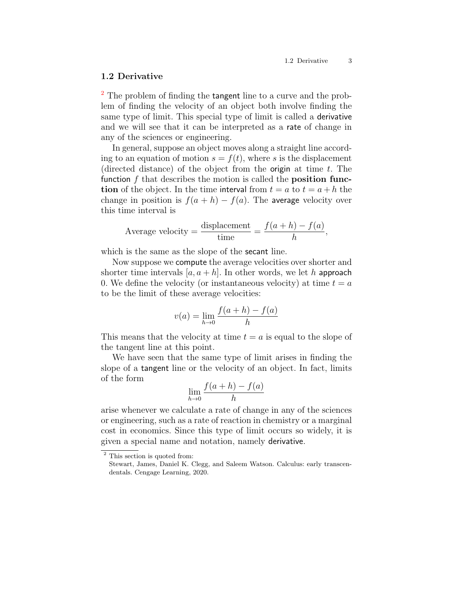### <span id="page-8-0"></span>1.2 Derivative

 $2$  The problem of finding the **tangent** line to a curve and the problem of finding the velocity of an object both involve finding the same type of limit. This special type of limit is called a derivative and we will see that it can be interpreted as a rate of change in any of the sciences or engineering.

In general, suppose an object moves along a straight line according to an equation of motion  $s = f(t)$ , where s is the displacement (directed distance) of the object from the origin at time  $t$ . The function  $f$  that describes the motion is called the **position func**tion of the object. In the time interval from  $t = a$  to  $t = a + h$  the change in position is  $f(a + h) - f(a)$ . The average velocity over this time interval is

Average velocity = 
$$
\frac{\text{displacement}}{\text{time}} = \frac{f(a+h) - f(a)}{h},
$$

which is the same as the slope of the **secant** line.

Now suppose we compute the average velocities over shorter and shorter time intervals  $[a, a+h]$ . In other words, we let h approach 0. We define the velocity (or instantaneous velocity) at time  $t = a$ to be the limit of these average velocities:

$$
v(a) = \lim_{h \to 0} \frac{f(a+h) - f(a)}{h}
$$

This means that the velocity at time  $t = a$  is equal to the slope of the tangent line at this point.

We have seen that the same type of limit arises in finding the slope of a tangent line or the velocity of an object. In fact, limits of the form

$$
\lim_{h \to 0} \frac{f(a+h) - f(a)}{h}
$$

arise whenever we calculate a rate of change in any of the sciences or engineering, such as a rate of reaction in chemistry or a marginal cost in economics. Since this type of limit occurs so widely, it is given a special name and notation, namely derivative.

<sup>2</sup> This section is quoted from:

Stewart, James, Daniel K. Clegg, and Saleem Watson. Calculus: early transcendentals. Cengage Learning, 2020.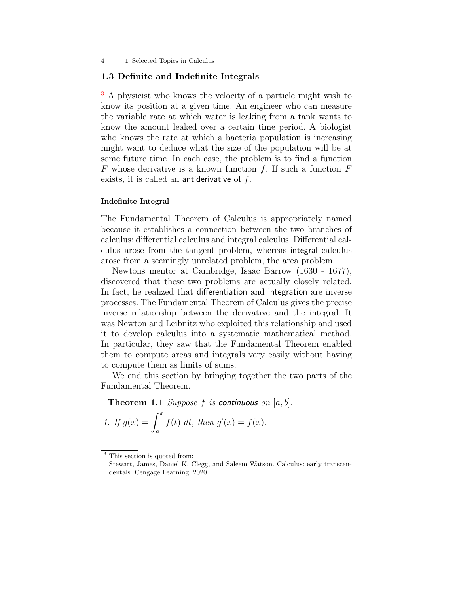4 1 Selected Topics in Calculus

# <span id="page-9-0"></span>1.3 Definite and Indefinite Integrals

<sup>[3](#page-0-0)</sup> A physicist who knows the velocity of a particle might wish to know its position at a given time. An engineer who can measure the variable rate at which water is leaking from a tank wants to know the amount leaked over a certain time period. A biologist who knows the rate at which a bacteria population is increasing might want to deduce what the size of the population will be at some future time. In each case, the problem is to find a function  $F$  whose derivative is a known function  $f$ . If such a function  $F$ exists, it is called an antiderivative of  $f$ .

#### Indefinite Integral

The Fundamental Theorem of Calculus is appropriately named because it establishes a connection between the two branches of calculus: differential calculus and integral calculus. Differential calculus arose from the tangent problem, whereas integral calculus arose from a seemingly unrelated problem, the area problem.

Newtons mentor at Cambridge, Isaac Barrow (1630 - 1677), discovered that these two problems are actually closely related. In fact, he realized that differentiation and integration are inverse processes. The Fundamental Theorem of Calculus gives the precise inverse relationship between the derivative and the integral. It was Newton and Leibnitz who exploited this relationship and used it to develop calculus into a systematic mathematical method. In particular, they saw that the Fundamental Theorem enabled them to compute areas and integrals very easily without having to compute them as limits of sums.

We end this section by bringing together the two parts of the Fundamental Theorem.

Theorem 1.1 Suppose  $f$  is continuous on  $[a, b]$ . 1. If  $g(x) = \int^x$ a  $f(t)$  dt, then  $g'(x) = f(x)$ .

<sup>3</sup> This section is quoted from:

Stewart, James, Daniel K. Clegg, and Saleem Watson. Calculus: early transcendentals. Cengage Learning, 2020.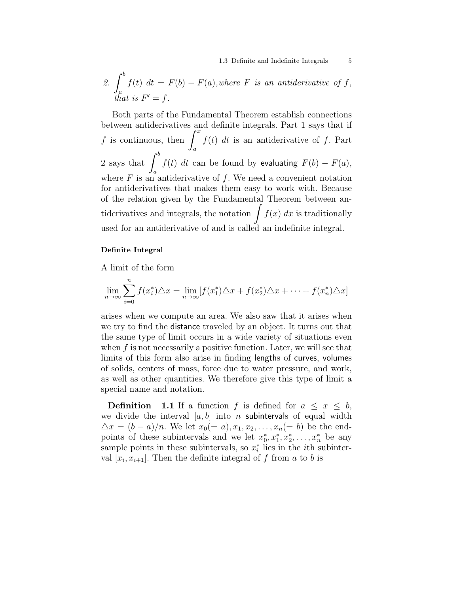2.  $\int^b$ a  $f(t)$   $dt = F(b) - F(a)$ , where F is an antiderivative of f, that is  $F' = f$ .

Both parts of the Fundamental Theorem establish connections between antiderivatives and definite integrals. Part 1 says that if f is continuous, then  $\int^x$ a  $f(t)$  dt is an antiderivative of f. Part 2 says that  $\int^b$ a  $f(t)$  dt can be found by evaluating  $F(b) - F(a)$ , where  $F$  is an antiderivative of  $f$ . We need a convenient notation for antiderivatives that makes them easy to work with. Because of the relation given by the Fundamental Theorem between antiderivatives and integrals, the notation  $\int f(x) dx$  is traditionally used for an antiderivative of and is called an indefinite integral.

### Definite Integral

A limit of the form

$$
\lim_{n \to \infty} \sum_{i=0}^{n} f(x_i^*) \triangle x = \lim_{n \to \infty} [f(x_1^*) \triangle x + f(x_2^*) \triangle x + \dots + f(x_n^*) \triangle x]
$$

arises when we compute an area. We also saw that it arises when we try to find the distance traveled by an object. It turns out that the same type of limit occurs in a wide variety of situations even when f is not necessarily a positive function. Later, we will see that limits of this form also arise in finding lengths of curves, volumes of solids, centers of mass, force due to water pressure, and work, as well as other quantities. We therefore give this type of limit a special name and notation.

**Definition** 1.1 If a function f is defined for  $a \leq x \leq b$ , we divide the interval  $[a, b]$  into *n* subintervals of equal width  $\Delta x = (b - a)/n$ . We let  $x_0 (= a), x_1, x_2, \ldots, x_n (= b)$  be the endpoints of these subintervals and we let  $x_0^*, x_1^*, x_2^*, \ldots, x_n^*$  be any sample points in these subintervals, so  $x_i^*$  lies in the *i*<sup>th</sup> subinterval  $[x_i, x_{i+1}]$ . Then the definite integral of f from a to b is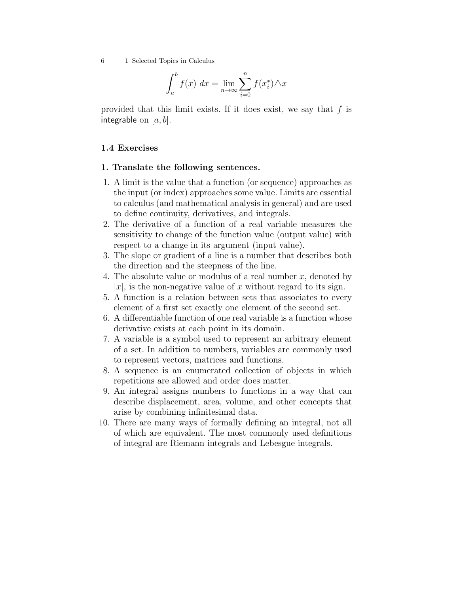6 1 Selected Topics in Calculus

$$
\int_{a}^{b} f(x) dx = \lim_{n \to \infty} \sum_{i=0}^{n} f(x_{i}^{*}) \triangle x
$$

provided that this limit exists. If it does exist, we say that  $f$  is integrable on  $[a, b]$ .

# <span id="page-11-0"></span>1.4 Exercises

### 1. Translate the following sentences.

- 1. A limit is the value that a function (or sequence) approaches as the input (or index) approaches some value. Limits are essential to calculus (and mathematical analysis in general) and are used to define continuity, derivatives, and integrals.
- 2. The derivative of a function of a real variable measures the sensitivity to change of the function value (output value) with respect to a change in its argument (input value).
- 3. The slope or gradient of a line is a number that describes both the direction and the steepness of the line.
- 4. The absolute value or modulus of a real number  $x$ , denoted by |x|, is the non-negative value of x without regard to its sign.
- 5. A function is a relation between sets that associates to every element of a first set exactly one element of the second set.
- 6. A differentiable function of one real variable is a function whose derivative exists at each point in its domain.
- 7. A variable is a symbol used to represent an arbitrary element of a set. In addition to numbers, variables are commonly used to represent vectors, matrices and functions.
- 8. A sequence is an enumerated collection of objects in which repetitions are allowed and order does matter.
- 9. An integral assigns numbers to functions in a way that can describe displacement, area, volume, and other concepts that arise by combining infinitesimal data.
- 10. There are many ways of formally defining an integral, not all of which are equivalent. The most commonly used definitions of integral are Riemann integrals and Lebesgue integrals.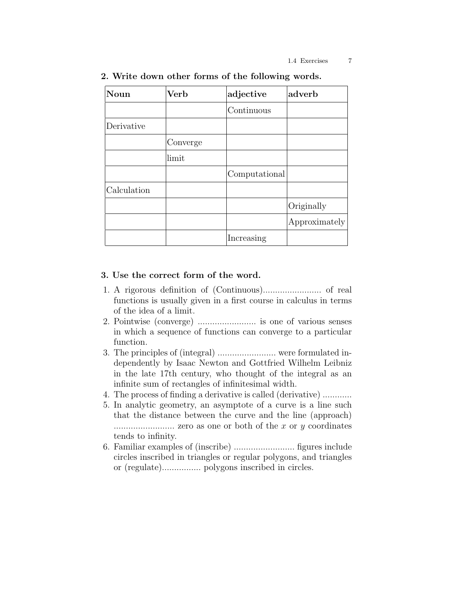| Noun        | Verb     | adjective     | adverb        |
|-------------|----------|---------------|---------------|
|             |          | Continuous    |               |
| Derivative  |          |               |               |
|             | Converge |               |               |
|             | limit    |               |               |
|             |          | Computational |               |
| Calculation |          |               |               |
|             |          |               | Originally    |
|             |          |               | Approximately |
|             |          | Increasing    |               |

2. Write down other forms of the following words.

# 3. Use the correct form of the word.

- 1. A rigorous definition of (Continuous)........................ of real functions is usually given in a first course in calculus in terms of the idea of a limit.
- 2. Pointwise (converge) ........................ is one of various senses in which a sequence of functions can converge to a particular function.
- 3. The principles of (integral) ........................ were formulated independently by Isaac Newton and Gottfried Wilhelm Leibniz in the late 17th century, who thought of the integral as an infinite sum of rectangles of infinitesimal width.
- 4. The process of finding a derivative is called (derivative) ............
- 5. In analytic geometry, an asymptote of a curve is a line such that the distance between the curve and the line (approach) ......................... zero as one or both of the x or y coordinates tends to infinity.
- 6. Familiar examples of (inscribe) ......................... figures include circles inscribed in triangles or regular polygons, and triangles or (regulate)................ polygons inscribed in circles.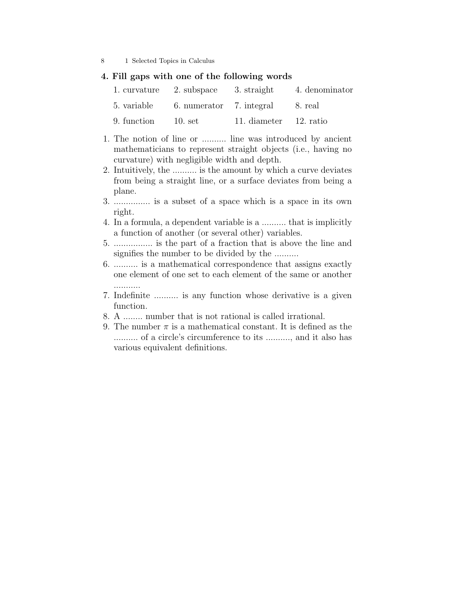- 8 1 Selected Topics in Calculus
- 4. Fill gaps with one of the following words

|                     |                                              |                        | 1. curvature 2. subspace 3. straight 4. denominator |
|---------------------|----------------------------------------------|------------------------|-----------------------------------------------------|
|                     | 5. variable 6. numerator 7. integral 8. real |                        |                                                     |
| 9. function 10. set |                                              | 11. diameter 12. ratio |                                                     |

- 1. The notion of line or .......... line was introduced by ancient mathematicians to represent straight objects (i.e., having no curvature) with negligible width and depth.
- 2. Intuitively, the .......... is the amount by which a curve deviates from being a straight line, or a surface deviates from being a plane.
- 3. ............... is a subset of a space which is a space in its own right.
- 4. In a formula, a dependent variable is a .......... that is implicitly a function of another (or several other) variables.
- 5. ................ is the part of a fraction that is above the line and signifies the number to be divided by the ..........
- 6. .......... is a mathematical correspondence that assigns exactly one element of one set to each element of the same or another ...........
- 7. Indefinite .......... is any function whose derivative is a given function.
- 8. A ........ number that is not rational is called irrational.
- 9. The number  $\pi$  is a mathematical constant. It is defined as the .......... of a circle's circumference to its .........., and it also has various equivalent definitions.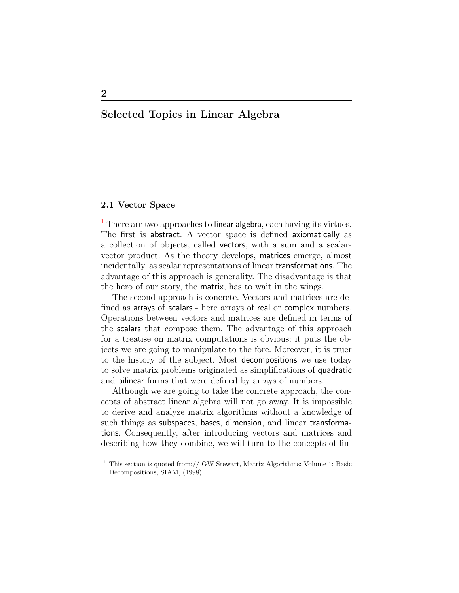# <span id="page-14-0"></span>Selected Topics in Linear Algebra

### <span id="page-14-1"></span>2.1 Vector Space

 $<sup>1</sup>$  $<sup>1</sup>$  $<sup>1</sup>$  There are two approaches to linear algebra, each having its virtues.</sup> The first is abstract. A vector space is defined axiomatically as a collection of objects, called vectors, with a sum and a scalarvector product. As the theory develops, matrices emerge, almost incidentally, as scalar representations of linear transformations. The advantage of this approach is generality. The disadvantage is that the hero of our story, the matrix, has to wait in the wings.

The second approach is concrete. Vectors and matrices are defined as arrays of scalars - here arrays of real or complex numbers. Operations between vectors and matrices are defined in terms of the scalars that compose them. The advantage of this approach for a treatise on matrix computations is obvious: it puts the objects we are going to manipulate to the fore. Moreover, it is truer to the history of the subject. Most decompositions we use today to solve matrix problems originated as simplifications of quadratic and bilinear forms that were defined by arrays of numbers.

Although we are going to take the concrete approach, the concepts of abstract linear algebra will not go away. It is impossible to derive and analyze matrix algorithms without a knowledge of such things as subspaces, bases, dimension, and linear transformations. Consequently, after introducing vectors and matrices and describing how they combine, we will turn to the concepts of lin-

<sup>&</sup>lt;sup>1</sup> This section is quoted from:// GW Stewart, Matrix Algorithms: Volume 1: Basic Decompositions, SIAM, (1998)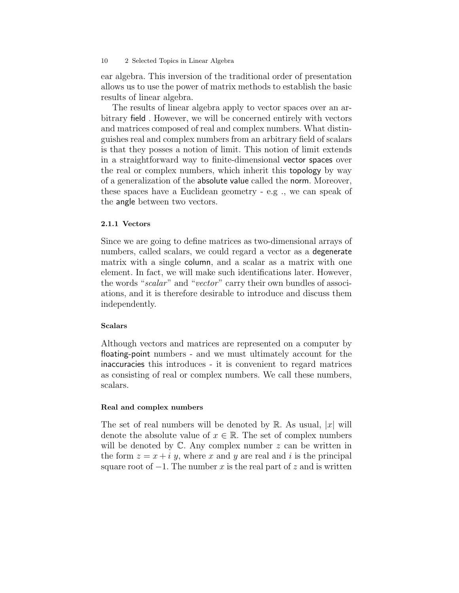#### 10 2 Selected Topics in Linear Algebra

ear algebra. This inversion of the traditional order of presentation allows us to use the power of matrix methods to establish the basic results of linear algebra.

The results of linear algebra apply to vector spaces over an arbitrary field . However, we will be concerned entirely with vectors and matrices composed of real and complex numbers. What distinguishes real and complex numbers from an arbitrary field of scalars is that they posses a notion of limit. This notion of limit extends in a straightforward way to finite-dimensional vector spaces over the real or complex numbers, which inherit this topology by way of a generalization of the absolute value called the norm. Moreover, these spaces have a Euclidean geometry - e.g ., we can speak of the angle between two vectors.

### <span id="page-15-0"></span>2.1.1 Vectors

Since we are going to define matrices as two-dimensional arrays of numbers, called scalars, we could regard a vector as a degenerate matrix with a single column, and a scalar as a matrix with one element. In fact, we will make such identifications later. However, the words "scalar" and "vector" carry their own bundles of associations, and it is therefore desirable to introduce and discuss them independently.

### Scalars

Although vectors and matrices are represented on a computer by floating-point numbers - and we must ultimately account for the inaccuracies this introduces - it is convenient to regard matrices as consisting of real or complex numbers. We call these numbers, scalars.

### Real and complex numbers

The set of real numbers will be denoted by  $\mathbb R$ . As usual, |x| will denote the absolute value of  $x \in \mathbb{R}$ . The set of complex numbers will be denoted by  $\mathbb C$ . Any complex number z can be written in the form  $z = x + i y$ , where x and y are real and i is the principal square root of  $-1$ . The number x is the real part of z and is written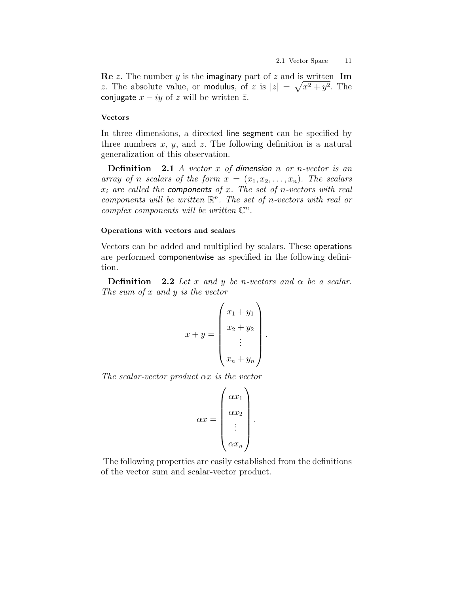**Re** z. The number y is the imaginary part of z and is written Im z. The absolute value, or modulus, of z is  $|z| = \sqrt{x^2 + y^2}$ . The conjugate  $x - iy$  of z will be written  $\bar{z}$ .

### Vectors

In three dimensions, a directed line segment can be specified by three numbers  $x, y$ , and  $z$ . The following definition is a natural generalization of this observation.

**Definition** 2.1 A vector x of dimension n or n-vector is an array of n scalars of the form  $x = (x_1, x_2, \ldots, x_n)$ . The scalars  $x_i$  are called the components of x. The set of n-vectors with real components will be written  $\mathbb{R}^n$ . The set of n-vectors with real or complex components will be written  $\mathbb{C}^n$ .

### Operations with vectors and scalars

Vectors can be added and multiplied by scalars. These operations are performed componentwise as specified in the following definition.

**Definition** 2.2 Let x and y be n-vectors and  $\alpha$  be a scalar. The sum of  $x$  and  $y$  is the vector

$$
x + y = \begin{pmatrix} x_1 + y_1 \\ x_2 + y_2 \\ \vdots \\ x_n + y_n \end{pmatrix}.
$$

The scalar-vector product  $\alpha x$  is the vector

<span id="page-16-0"></span>
$$
\alpha x = \begin{pmatrix} \alpha x_1 \\ \alpha x_2 \\ \vdots \\ \alpha x_n \end{pmatrix}.
$$

The following properties are easily established from the definitions of the vector sum and scalar-vector product.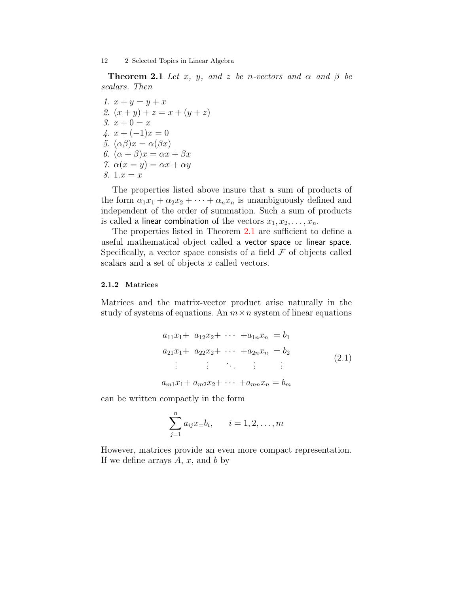12 2 Selected Topics in Linear Algebra

**Theorem 2.1** Let x, y, and z be n-vectors and  $\alpha$  and  $\beta$  be scalars. Then

1.  $x + y = y + x$ 2.  $(x + y) + z = x + (y + z)$ 3.  $x + 0 = x$ 4.  $x + (-1)x = 0$ 5.  $(\alpha \beta)x = \alpha(\beta x)$ 6.  $(\alpha + \beta)x = \alpha x + \beta x$ 7.  $\alpha(x = y) = \alpha x + \alpha y$ 8.  $1.x = x$ 

The properties listed above insure that a sum of products of the form  $\alpha_1 x_1 + \alpha_2 x_2 + \cdots + \alpha_n x_n$  is unambiguously defined and independent of the order of summation. Such a sum of products is called a linear combination of the vectors  $x_1, x_2, \ldots, x_n$ .

The properties listed in Theorem [2.1](#page-16-0) are sufficient to define a useful mathematical object called a vector space or linear space. Specifically, a vector space consists of a field  $\mathcal F$  of objects called scalars and a set of objects x called vectors.

# <span id="page-17-0"></span>2.1.2 Matrices

<span id="page-17-1"></span>Matrices and the matrix-vector product arise naturally in the study of systems of equations. An  $m \times n$  system of linear equations

$$
a_{11}x_1 + a_{12}x_2 + \cdots + a_{1n}x_n = b_1
$$
  
\n
$$
a_{21}x_1 + a_{22}x_2 + \cdots + a_{2n}x_n = b_2
$$
  
\n
$$
\vdots \qquad \vdots \qquad \vdots \qquad \vdots
$$
  
\n
$$
(2.1)
$$

 $a_{m1}x_1+a_{m2}x_2+\cdots+a_{mn}x_n=b_m$ 

can be written compactly in the form

$$
\sum_{j=1}^{n} a_{ij} x_{=} b_i, \qquad i = 1, 2, \dots, m
$$

However, matrices provide an even more compact representation. If we define arrays  $A, x$ , and  $b$  by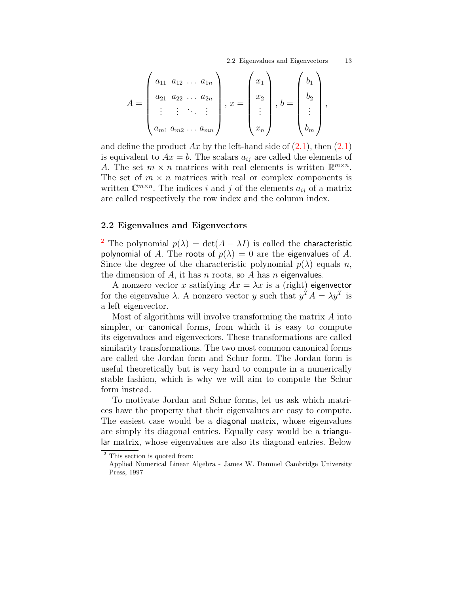2.2 Eigenvalues and Eigenvectors 13

$$
A = \begin{pmatrix} a_{11} & a_{12} & \dots & a_{1n} \\ a_{21} & a_{22} & \dots & a_{2n} \\ \vdots & \vdots & \ddots & \vdots \\ a_{m1} & a_{m2} & \dots & a_{mn} \end{pmatrix}, x = \begin{pmatrix} x_1 \\ x_2 \\ \vdots \\ x_n \end{pmatrix}, b = \begin{pmatrix} b_1 \\ b_2 \\ \vdots \\ b_m \end{pmatrix},
$$

and define the product  $Ax$  by the left-hand side of  $(2.1)$ , then  $(2.1)$ is equivalent to  $Ax = b$ . The scalars  $a_{ij}$  are called the elements of A. The set  $m \times n$  matrices with real elements is written  $\mathbb{R}^{m \times n}$ . The set of  $m \times n$  matrices with real or complex components is written  $\mathbb{C}^{m \times n}$ . The indices i and j of the elements  $a_{ij}$  of a matrix are called respectively the row index and the column index.

### <span id="page-18-0"></span>2.2 Eigenvalues and Eigenvectors

<sup>[2](#page-0-0)</sup> The polynomial  $p(\lambda) = \det(A - \lambda I)$  is called the characteristic polynomial of A. The roots of  $p(\lambda) = 0$  are the eigenvalues of A. Since the degree of the characteristic polynomial  $p(\lambda)$  equals n, the dimension of  $A$ , it has  $n$  roots, so  $A$  has  $n$  eigenvalues.

A nonzero vector x satisfying  $Ax = \lambda x$  is a (right) eigenvector for the eigenvalue  $\lambda$ . A nonzero vector y such that  $y^T A = \lambda y^T$  is a left eigenvector.

Most of algorithms will involve transforming the matrix  $A$  into simpler, or canonical forms, from which it is easy to compute its eigenvalues and eigenvectors. These transformations are called similarity transformations. The two most common canonical forms are called the Jordan form and Schur form. The Jordan form is useful theoretically but is very hard to compute in a numerically stable fashion, which is why we will aim to compute the Schur form instead.

To motivate Jordan and Schur forms, let us ask which matrices have the property that their eigenvalues are easy to compute. The easiest case would be a diagonal matrix, whose eigenvalues are simply its diagonal entries. Equally easy would be a triangular matrix, whose eigenvalues are also its diagonal entries. Below

<sup>2</sup> This section is quoted from:

Applied Numerical Linear Algebra - James W. Demmel Cambridge University Press, 1997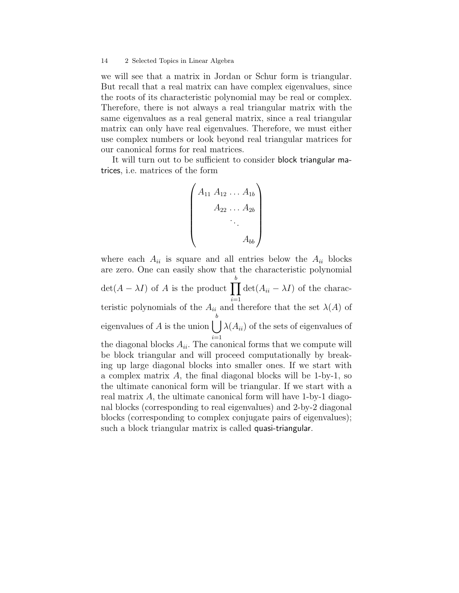we will see that a matrix in Jordan or Schur form is triangular. But recall that a real matrix can have complex eigenvalues, since the roots of its characteristic polynomial may be real or complex. Therefore, there is not always a real triangular matrix with the same eigenvalues as a real general matrix, since a real triangular matrix can only have real eigenvalues. Therefore, we must either use complex numbers or look beyond real triangular matrices for our canonical forms for real matrices.

It will turn out to be sufficient to consider block triangular matrices, i.e. matrices of the form

$$
\begin{pmatrix} A_{11} & A_{12} & \dots & A_{1b} \\ & A_{22} & \dots & A_{2b} \\ & & \ddots & \\ & & & A_{bb} \end{pmatrix}
$$

where each  $A_{ii}$  is square and all entries below the  $A_{ii}$  blocks are zero. One can easily show that the characteristic polynomial  $\det(A - \lambda I)$  of A is the product  $\prod \det(A_{ii} - \lambda I)$  of the characb  $i=1$ teristic polynomials of the  $A_{ii}$  and therefore that the set  $\lambda(A)$  of eigenvalues of  $A$  is the union  $\begin{bmatrix} \end{bmatrix}$ b  $i=1$  $\lambda(A_{ii})$  of the sets of eigenvalues of the diagonal blocks  $A_{ii}$ . The canonical forms that we compute will be block triangular and will proceed computationally by breaking up large diagonal blocks into smaller ones. If we start with a complex matrix A, the final diagonal blocks will be 1-by-1, so the ultimate canonical form will be triangular. If we start with a real matrix A, the ultimate canonical form will have 1-by-1 diagonal blocks (corresponding to real eigenvalues) and 2-by-2 diagonal blocks (corresponding to complex conjugate pairs of eigenvalues); such a block triangular matrix is called quasi-triangular.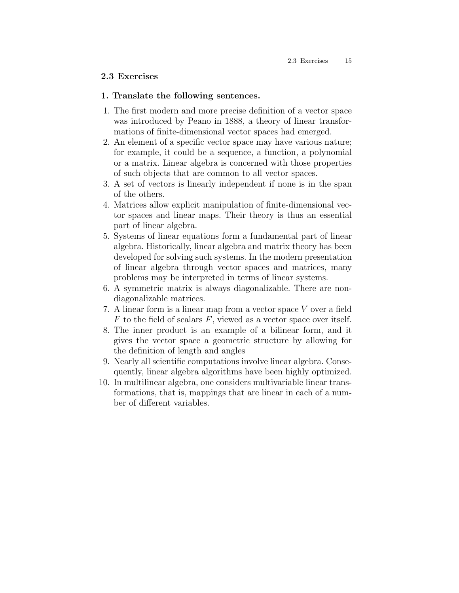# <span id="page-20-0"></span>2.3 Exercises

# 1. Translate the following sentences.

- 1. The first modern and more precise definition of a vector space was introduced by Peano in 1888, a theory of linear transformations of finite-dimensional vector spaces had emerged.
- 2. An element of a specific vector space may have various nature; for example, it could be a sequence, a function, a polynomial or a matrix. Linear algebra is concerned with those properties of such objects that are common to all vector spaces.
- 3. A set of vectors is linearly independent if none is in the span of the others.
- 4. Matrices allow explicit manipulation of finite-dimensional vector spaces and linear maps. Their theory is thus an essential part of linear algebra.
- 5. Systems of linear equations form a fundamental part of linear algebra. Historically, linear algebra and matrix theory has been developed for solving such systems. In the modern presentation of linear algebra through vector spaces and matrices, many problems may be interpreted in terms of linear systems.
- 6. A symmetric matrix is always diagonalizable. There are nondiagonalizable matrices.
- 7. A linear form is a linear map from a vector space V over a field  $F$  to the field of scalars  $F$ , viewed as a vector space over itself.
- 8. The inner product is an example of a bilinear form, and it gives the vector space a geometric structure by allowing for the definition of length and angles
- 9. Nearly all scientific computations involve linear algebra. Consequently, linear algebra algorithms have been highly optimized.
- 10. In multilinear algebra, one considers multivariable linear transformations, that is, mappings that are linear in each of a number of different variables.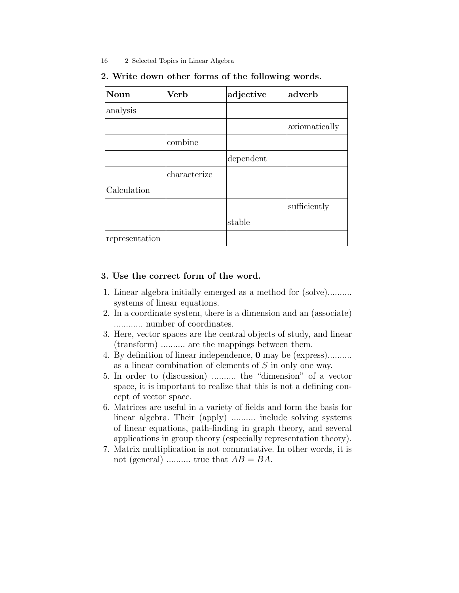16 2 Selected Topics in Linear Algebra

| Noun           | Verb         | adjective | adverb        |
|----------------|--------------|-----------|---------------|
| analysis       |              |           |               |
|                |              |           | axiomatically |
|                | combine      |           |               |
|                |              | dependent |               |
|                | characterize |           |               |
| Calculation    |              |           |               |
|                |              |           | sufficiently  |
|                |              | stable    |               |
| representation |              |           |               |

2. Write down other forms of the following words.

# 3. Use the correct form of the word.

- 1. Linear algebra initially emerged as a method for (solve).......... systems of linear equations.
- 2. In a coordinate system, there is a dimension and an (associate) ............ number of coordinates.
- 3. Here, vector spaces are the central objects of study, and linear (transform) .......... are the mappings between them.
- 4. By definition of linear independence, 0 may be (express).......... as a linear combination of elements of S in only one way.
- 5. In order to (discussion) .......... the "dimension" of a vector space, it is important to realize that this is not a defining concept of vector space.
- 6. Matrices are useful in a variety of fields and form the basis for linear algebra. Their (apply) .......... include solving systems of linear equations, path-finding in graph theory, and several applications in group theory (especially representation theory).
- 7. Matrix multiplication is not commutative. In other words, it is not (general) .......... true that  $AB = BA$ .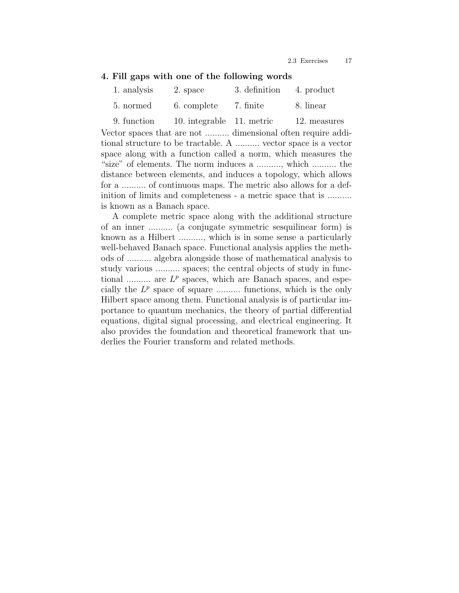### 4. Fill gaps with one of the following words

| 1. analysis | 2. space    | 3. definition | 4. product |
|-------------|-------------|---------------|------------|
| 5. normed   | 6. complete | 7. finite     | 8. linear  |

9. function 10. integrable 11. metric 12. measures Vector spaces that are not .......... dimensional often require additional structure to be tractable. A .......... vector space is a vector space along with a function called a norm, which measures the "size" of elements. The norm induces a .........., which .......... the distance between elements, and induces a topology, which allows for a .......... of continuous maps. The metric also allows for a definition of limits and completeness - a metric space that is .......... is known as a Banach space.

A complete metric space along with the additional structure of an inner .......... (a conjugate symmetric sesquilinear form) is known as a Hilbert .........., which is in some sense a particularly well-behaved Banach space. Functional analysis applies the methods of .......... algebra alongside those of mathematical analysis to study various .......... spaces; the central objects of study in functional .......... are  $L^p$  spaces, which are Banach spaces, and especially the  $L^p$  space of square .......... functions, which is the only Hilbert space among them. Functional analysis is of particular importance to quantum mechanics, the theory of partial differential equations, digital signal processing, and electrical engineering. It also provides the foundation and theoretical framework that underlies the Fourier transform and related methods.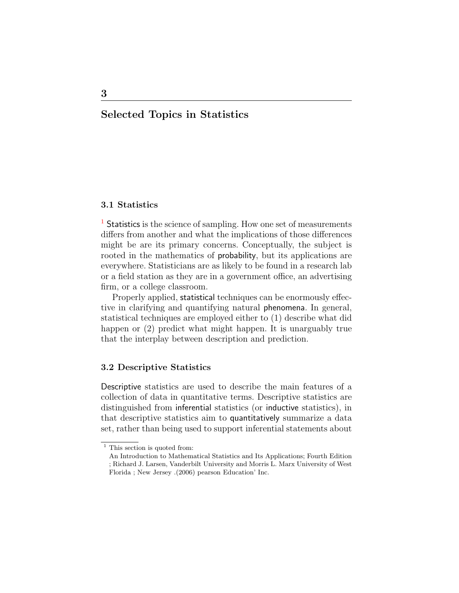# <span id="page-24-0"></span>Selected Topics in Statistics

# <span id="page-24-1"></span>3.1 Statistics

<sup>[1](#page-0-0)</sup> Statistics is the science of sampling. How one set of measurements differs from another and what the implications of those differences might be are its primary concerns. Conceptually, the subject is rooted in the mathematics of probability, but its applications are everywhere. Statisticians are as likely to be found in a research lab or a field station as they are in a government office, an advertising firm, or a college classroom.

Properly applied, statistical techniques can be enormously effective in clarifying and quantifying natural phenomena. In general, statistical techniques are employed either to (1) describe what did happen or  $(2)$  predict what might happen. It is unarguably true that the interplay between description and prediction.

### <span id="page-24-2"></span>3.2 Descriptive Statistics

Descriptive statistics are used to describe the main features of a collection of data in quantitative terms. Descriptive statistics are distinguished from inferential statistics (or inductive statistics), in that descriptive statistics aim to quantitatively summarize a data set, rather than being used to support inferential statements about

 $<sup>1</sup>$  This section is quoted from:</sup>

An Introduction to Mathematical Statistics and Its Applications; Fourth Edition ; Richard J. Larsen, Vanderbilt University and Morris L. Marx University of West Florida ; New Jersey .(2006) pearson Education' Inc.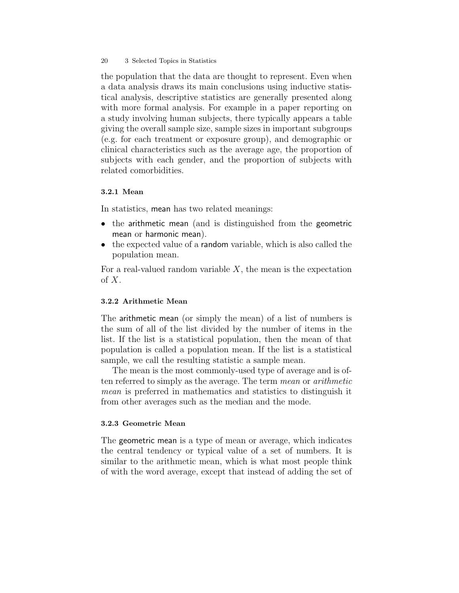#### 20 3 Selected Topics in Statistics

the population that the data are thought to represent. Even when a data analysis draws its main conclusions using inductive statistical analysis, descriptive statistics are generally presented along with more formal analysis. For example in a paper reporting on a study involving human subjects, there typically appears a table giving the overall sample size, sample sizes in important subgroups (e.g. for each treatment or exposure group), and demographic or clinical characteristics such as the average age, the proportion of subjects with each gender, and the proportion of subjects with related comorbidities.

### <span id="page-25-0"></span>3.2.1 Mean

In statistics, mean has two related meanings:

- the arithmetic mean (and is distinguished from the geometric mean or harmonic mean).
- the expected value of a **random** variable, which is also called the population mean.

For a real-valued random variable  $X$ , the mean is the expectation of  $X$ .

# <span id="page-25-1"></span>3.2.2 Arithmetic Mean

The arithmetic mean (or simply the mean) of a list of numbers is the sum of all of the list divided by the number of items in the list. If the list is a statistical population, then the mean of that population is called a population mean. If the list is a statistical sample, we call the resulting statistic a sample mean.

The mean is the most commonly-used type of average and is often referred to simply as the average. The term mean or arithmetic mean is preferred in mathematics and statistics to distinguish it from other averages such as the median and the mode.

### <span id="page-25-2"></span>3.2.3 Geometric Mean

The geometric mean is a type of mean or average, which indicates the central tendency or typical value of a set of numbers. It is similar to the arithmetic mean, which is what most people think of with the word average, except that instead of adding the set of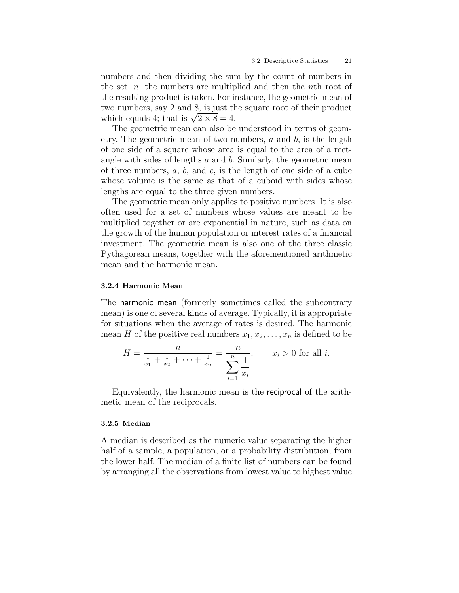numbers and then dividing the sum by the count of numbers in the set,  $n$ , the numbers are multiplied and then the n<sup>th</sup> root of the resulting product is taken. For instance, the geometric mean of two numbers, say 2 and 8, is just the square root of their product two numbers, say 2 and 8, is just the vehich equals 4; that is  $\sqrt{2 \times 8} = 4$ .

The geometric mean can also be understood in terms of geometry. The geometric mean of two numbers,  $a$  and  $b$ , is the length of one side of a square whose area is equal to the area of a rectangle with sides of lengths  $a$  and  $b$ . Similarly, the geometric mean of three numbers,  $a, b$ , and  $c$ , is the length of one side of a cube whose volume is the same as that of a cuboid with sides whose lengths are equal to the three given numbers.

The geometric mean only applies to positive numbers. It is also often used for a set of numbers whose values are meant to be multiplied together or are exponential in nature, such as data on the growth of the human population or interest rates of a financial investment. The geometric mean is also one of the three classic Pythagorean means, together with the aforementioned arithmetic mean and the harmonic mean.

### <span id="page-26-0"></span>3.2.4 Harmonic Mean

The harmonic mean (formerly sometimes called the subcontrary mean) is one of several kinds of average. Typically, it is appropriate for situations when the average of rates is desired. The harmonic mean H of the positive real numbers  $x_1, x_2, \ldots, x_n$  is defined to be

$$
H = \frac{n}{\frac{1}{x_1} + \frac{1}{x_2} + \dots + \frac{1}{x_n}} = \frac{n}{\sum_{i=1}^{n} \frac{1}{x_i}}, \qquad x_i > 0 \text{ for all } i.
$$

Equivalently, the harmonic mean is the reciprocal of the arithmetic mean of the reciprocals.

### <span id="page-26-1"></span>3.2.5 Median

A median is described as the numeric value separating the higher half of a sample, a population, or a probability distribution, from the lower half. The median of a finite list of numbers can be found by arranging all the observations from lowest value to highest value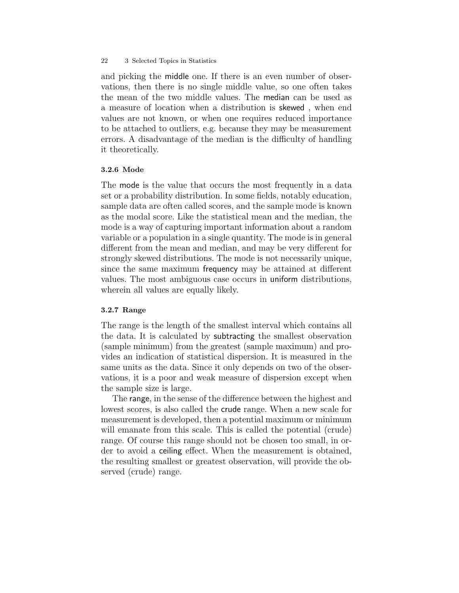### 22 3 Selected Topics in Statistics

and picking the middle one. If there is an even number of observations, then there is no single middle value, so one often takes the mean of the two middle values. The median can be used as a measure of location when a distribution is skewed , when end values are not known, or when one requires reduced importance to be attached to outliers, e.g. because they may be measurement errors. A disadvantage of the median is the difficulty of handling it theoretically.

### <span id="page-27-0"></span>3.2.6 Mode

The mode is the value that occurs the most frequently in a data set or a probability distribution. In some fields, notably education, sample data are often called scores, and the sample mode is known as the modal score. Like the statistical mean and the median, the mode is a way of capturing important information about a random variable or a population in a single quantity. The mode is in general different from the mean and median, and may be very different for strongly skewed distributions. The mode is not necessarily unique, since the same maximum frequency may be attained at different values. The most ambiguous case occurs in uniform distributions, wherein all values are equally likely.

### <span id="page-27-1"></span>3.2.7 Range

The range is the length of the smallest interval which contains all the data. It is calculated by subtracting the smallest observation (sample minimum) from the greatest (sample maximum) and provides an indication of statistical dispersion. It is measured in the same units as the data. Since it only depends on two of the observations, it is a poor and weak measure of dispersion except when the sample size is large.

The range, in the sense of the difference between the highest and lowest scores, is also called the crude range. When a new scale for measurement is developed, then a potential maximum or minimum will emanate from this scale. This is called the potential (crude) range. Of course this range should not be chosen too small, in order to avoid a ceiling effect. When the measurement is obtained, the resulting smallest or greatest observation, will provide the observed (crude) range.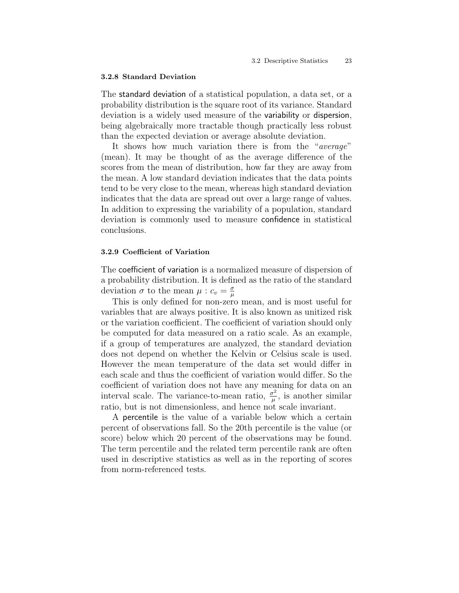#### <span id="page-28-0"></span>3.2.8 Standard Deviation

The standard deviation of a statistical population, a data set, or a probability distribution is the square root of its variance. Standard deviation is a widely used measure of the variability or dispersion, being algebraically more tractable though practically less robust than the expected deviation or average absolute deviation.

It shows how much variation there is from the "*average*" (mean). It may be thought of as the average difference of the scores from the mean of distribution, how far they are away from the mean. A low standard deviation indicates that the data points tend to be very close to the mean, whereas high standard deviation indicates that the data are spread out over a large range of values. In addition to expressing the variability of a population, standard deviation is commonly used to measure confidence in statistical conclusions.

### <span id="page-28-1"></span>3.2.9 Coefficient of Variation

The coefficient of variation is a normalized measure of dispersion of a probability distribution. It is defined as the ratio of the standard deviation  $\sigma$  to the mean  $\mu$  :  $c_v = \frac{\sigma}{\mu}$  $\mu$ 

This is only defined for non-zero mean, and is most useful for variables that are always positive. It is also known as unitized risk or the variation coefficient. The coefficient of variation should only be computed for data measured on a ratio scale. As an example, if a group of temperatures are analyzed, the standard deviation does not depend on whether the Kelvin or Celsius scale is used. However the mean temperature of the data set would differ in each scale and thus the coefficient of variation would differ. So the coefficient of variation does not have any meaning for data on an interval scale. The variance-to-mean ratio,  $\frac{\sigma^2}{\mu}$  $\frac{\sigma^2}{\mu}$ , is another similar ratio, but is not dimensionless, and hence not scale invariant.

A percentile is the value of a variable below which a certain percent of observations fall. So the 20th percentile is the value (or score) below which 20 percent of the observations may be found. The term percentile and the related term percentile rank are often used in descriptive statistics as well as in the reporting of scores from norm-referenced tests.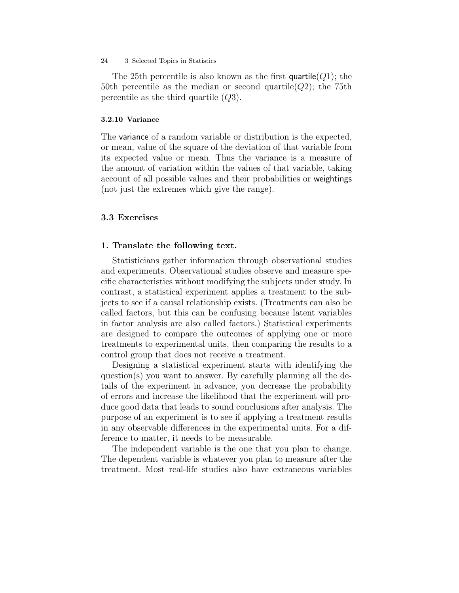#### 24 3 Selected Topics in Statistics

The 25th percentile is also known as the first quartile( $Q1$ ); the 50th percentile as the median or second quartile  $(Q2)$ ; the 75th percentile as the third quartile (Q3).

# <span id="page-29-0"></span>3.2.10 Variance

The variance of a random variable or distribution is the expected, or mean, value of the square of the deviation of that variable from its expected value or mean. Thus the variance is a measure of the amount of variation within the values of that variable, taking account of all possible values and their probabilities or weightings (not just the extremes which give the range).

# <span id="page-29-1"></span>3.3 Exercises

### 1. Translate the following text.

Statisticians gather information through observational studies and experiments. Observational studies observe and measure specific characteristics without modifying the subjects under study. In contrast, a statistical experiment applies a treatment to the subjects to see if a causal relationship exists. (Treatments can also be called factors, but this can be confusing because latent variables in factor analysis are also called factors.) Statistical experiments are designed to compare the outcomes of applying one or more treatments to experimental units, then comparing the results to a control group that does not receive a treatment.

Designing a statistical experiment starts with identifying the question(s) you want to answer. By carefully planning all the details of the experiment in advance, you decrease the probability of errors and increase the likelihood that the experiment will produce good data that leads to sound conclusions after analysis. The purpose of an experiment is to see if applying a treatment results in any observable differences in the experimental units. For a difference to matter, it needs to be measurable.

The independent variable is the one that you plan to change. The dependent variable is whatever you plan to measure after the treatment. Most real-life studies also have extraneous variables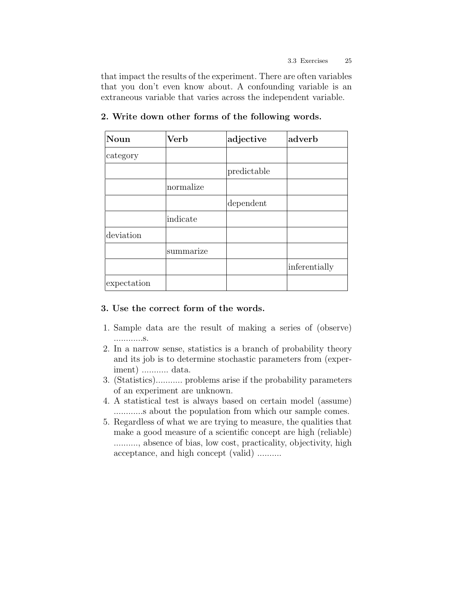that impact the results of the experiment. There are often variables that you don't even know about. A confounding variable is an extraneous variable that varies across the independent variable.

| Noun        | <b>Verb</b> | adjective   | adverb        |
|-------------|-------------|-------------|---------------|
| category    |             |             |               |
|             |             | predictable |               |
|             | normalize   |             |               |
|             |             | dependent   |               |
|             | indicate    |             |               |
| deviation   |             |             |               |
|             | summarize   |             |               |
|             |             |             | inferentially |
| expectation |             |             |               |

2. Write down other forms of the following words.

# 3. Use the correct form of the words.

- 1. Sample data are the result of making a series of (observe) ............s.
- 2. In a narrow sense, statistics is a branch of probability theory and its job is to determine stochastic parameters from (experiment) ........... data.
- 3. (Statistics)........... problems arise if the probability parameters of an experiment are unknown.
- 4. A statistical test is always based on certain model (assume) ............s about the population from which our sample comes.
- 5. Regardless of what we are trying to measure, the qualities that make a good measure of a scientific concept are high (reliable) .........., absence of bias, low cost, practicality, objectivity, high acceptance, and high concept (valid) ..........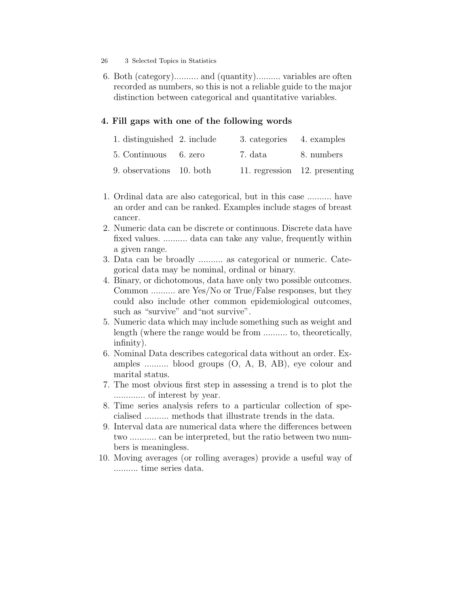- 26 3 Selected Topics in Statistics
- 6. Both (category).......... and (quantity).......... variables are often recorded as numbers, so this is not a reliable guide to the major distinction between categorical and quantitative variables.

# 4. Fill gaps with one of the following words

| 1. distinguished 2. include | 3. categories 4. examples     |            |
|-----------------------------|-------------------------------|------------|
| 5. Continuous 6. zero       | 7. data                       | 8. numbers |
| 9. observations 10. both    | 11. regression 12. presenting |            |

- 1. Ordinal data are also categorical, but in this case .......... have an order and can be ranked. Examples include stages of breast cancer.
- 2. Numeric data can be discrete or continuous. Discrete data have fixed values. .......... data can take any value, frequently within a given range.
- 3. Data can be broadly .......... as categorical or numeric. Categorical data may be nominal, ordinal or binary.
- 4. Binary, or dichotomous, data have only two possible outcomes. Common .......... are Yes/No or True/False responses, but they could also include other common epidemiological outcomes, such as "survive" and "not survive".
- 5. Numeric data which may include something such as weight and length (where the range would be from .......... to, theoretically, infinity).
- 6. Nominal Data describes categorical data without an order. Examples .......... blood groups (O, A, B, AB), eye colour and marital status.
- 7. The most obvious first step in assessing a trend is to plot the ............. of interest by year.
- 8. Time series analysis refers to a particular collection of specialised .......... methods that illustrate trends in the data.
- 9. Interval data are numerical data where the differences between two ........... can be interpreted, but the ratio between two numbers is meaningless.
- 10. Moving averages (or rolling averages) provide a useful way of .......... time series data.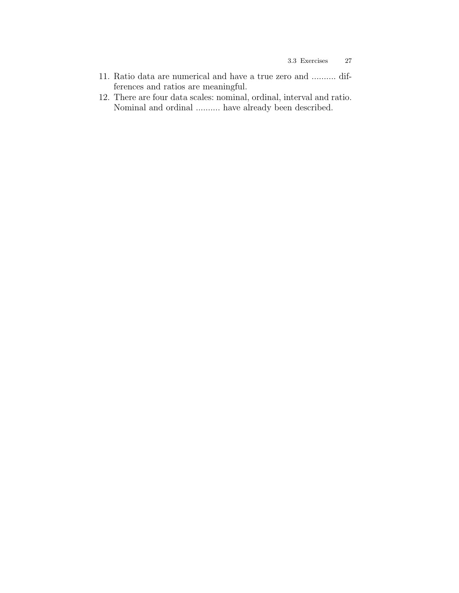- 11. Ratio data are numerical and have a true zero and .......... differences and ratios are meaningful.
- 12. There are four data scales: nominal, ordinal, interval and ratio. Nominal and ordinal .......... have already been described.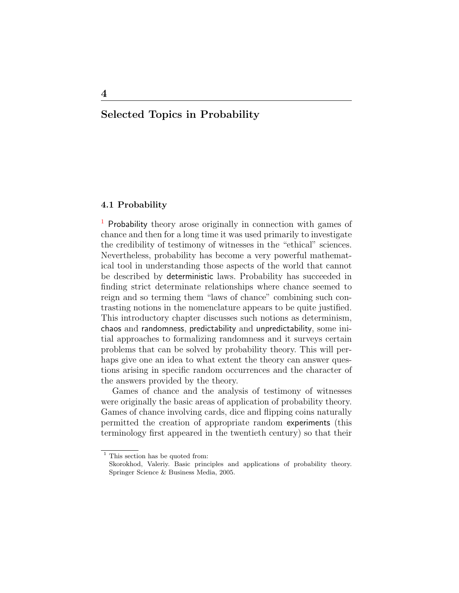# <span id="page-34-0"></span>Selected Topics in Probability

### <span id="page-34-1"></span>4.1 Probability

<sup>[1](#page-0-0)</sup> Probability theory arose originally in connection with games of chance and then for a long time it was used primarily to investigate the credibility of testimony of witnesses in the "ethical" sciences. Nevertheless, probability has become a very powerful mathematical tool in understanding those aspects of the world that cannot be described by deterministic laws. Probability has succeeded in finding strict determinate relationships where chance seemed to reign and so terming them "laws of chance" combining such contrasting notions in the nomenclature appears to be quite justified. This introductory chapter discusses such notions as determinism, chaos and randomness, predictability and unpredictability, some initial approaches to formalizing randomness and it surveys certain problems that can be solved by probability theory. This will perhaps give one an idea to what extent the theory can answer questions arising in specific random occurrences and the character of the answers provided by the theory.

Games of chance and the analysis of testimony of witnesses were originally the basic areas of application of probability theory. Games of chance involving cards, dice and flipping coins naturally permitted the creation of appropriate random experiments (this terminology first appeared in the twentieth century) so that their

 $<sup>1</sup>$  This section has be quoted from:</sup>

Skorokhod, Valeriy. Basic principles and applications of probability theory. Springer Science & Business Media, 2005.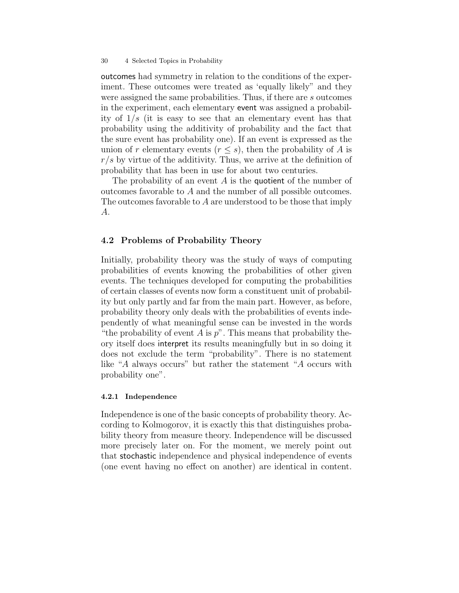outcomes had symmetry in relation to the conditions of the experiment. These outcomes were treated as 'equally likely" and they were assigned the same probabilities. Thus, if there are s outcomes in the experiment, each elementary event was assigned a probability of 1/s (it is easy to see that an elementary event has that probability using the additivity of probability and the fact that the sure event has probability one). If an event is expressed as the union of r elementary events  $(r \leq s)$ , then the probability of A is  $r/s$  by virtue of the additivity. Thus, we arrive at the definition of probability that has been in use for about two centuries.

The probability of an event  $A$  is the quotient of the number of outcomes favorable to A and the number of all possible outcomes. The outcomes favorable to A are understood to be those that imply A.

# <span id="page-35-0"></span>4.2 Problems of Probability Theory

Initially, probability theory was the study of ways of computing probabilities of events knowing the probabilities of other given events. The techniques developed for computing the probabilities of certain classes of events now form a constituent unit of probability but only partly and far from the main part. However, as before, probability theory only deals with the probabilities of events independently of what meaningful sense can be invested in the words "the probability of event A is  $p$ ". This means that probability theory itself does interpret its results meaningfully but in so doing it does not exclude the term "probability". There is no statement like "A always occurs" but rather the statement "A occurs with probability one".

### <span id="page-35-1"></span>4.2.1 Independence

Independence is one of the basic concepts of probability theory. According to Kolmogorov, it is exactly this that distinguishes probability theory from measure theory. Independence will be discussed more precisely later on. For the moment, we merely point out that stochastic independence and physical independence of events (one event having no effect on another) are identical in content.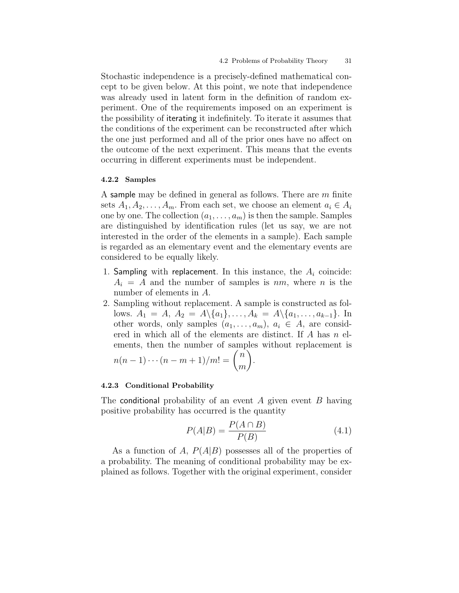Stochastic independence is a precisely-defined mathematical concept to be given below. At this point, we note that independence was already used in latent form in the definition of random experiment. One of the requirements imposed on an experiment is the possibility of iterating it indefinitely. To iterate it assumes that the conditions of the experiment can be reconstructed after which the one just performed and all of the prior ones have no affect on the outcome of the next experiment. This means that the events occurring in different experiments must be independent.

#### 4.2.2 Samples

A sample may be defined in general as follows. There are m finite sets  $A_1, A_2, \ldots, A_m$ . From each set, we choose an element  $a_i \in A_i$ one by one. The collection  $(a_1, \ldots, a_m)$  is then the sample. Samples are distinguished by identification rules (let us say, we are not interested in the order of the elements in a sample). Each sample is regarded as an elementary event and the elementary events are considered to be equally likely.

- 1. Sampling with replacement. In this instance, the  $A_i$  coincide:  $A_i = A$  and the number of samples is nm, where n is the number of elements in A.
- 2. Sampling without replacement. A sample is constructed as follows.  $A_1 = A, A_2 = A \setminus \{a_1\}, \ldots, A_k = A \setminus \{a_1, \ldots, a_{k-1}\}.$  In other words, only samples  $(a_1, \ldots, a_m)$ ,  $a_i \in A$ , are considered in which all of the elements are distinct. If A has n elements, then the number of samples without replacement is

$$
n(n-1)\cdots(n-m+1)/m!={n \choose m}.
$$

#### 4.2.3 Conditional Probability

The conditional probability of an event  $A$  given event  $B$  having positive probability has occurred is the quantity

<span id="page-36-0"></span>
$$
P(A|B) = \frac{P(A \cap B)}{P(B)}\tag{4.1}
$$

As a function of A,  $P(A|B)$  possesses all of the properties of a probability. The meaning of conditional probability may be explained as follows. Together with the original experiment, consider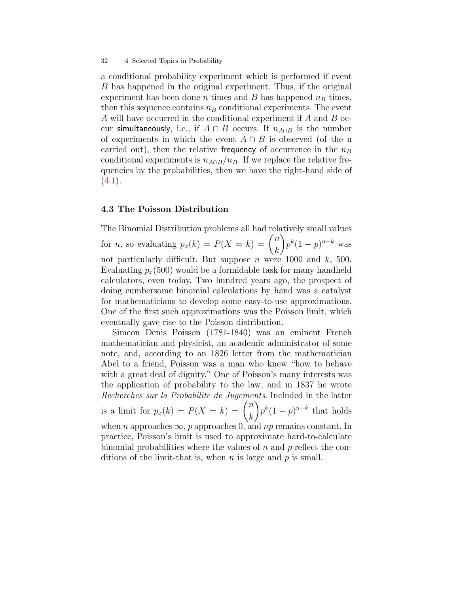#### 32 4 Selected Topics in Probability

a conditional probability experiment which is performed if event B has happened in the original experiment. Thus, if the original experiment has been done *n* times and *B* has happened  $n_B$  times, then this sequence contains  $n_B$  conditional experiments. The event A will have occurred in the conditional experiment if A and B occur simultaneously, i.e., if  $A \cap B$  occurs. If  $n_{A \cap B}$  is the number of experiments in which the event  $A \cap B$  is observed (of the n carried out), then the relative frequency of occurrence in the  $n_B$ conditional experiments is  $n_{A\cap B}/n_B$ . If we replace the relative frequencies by the probabilities, then we have the right-hand side of  $(4.1).$  $(4.1).$ 

## 4.3 The Poisson Distribution

The Binomial Distribution problems all had relatively small values for *n*, so evaluating  $p_x(k) = P(X = k) = \binom{n}{k}$ k  $\setminus$  $p^k(1-p)^{n-k}$  was not particularly difficult. But suppose  $n$  were 1000 and  $k$ , 500. Evaluating  $p_x(500)$  would be a formidable task for many handheld calculators, even today. Two hundred years ago, the prospect of doing cumbersome binomial calculations by hand was a catalyst for mathematicians to develop some easy-to-use approximations. One of the first such approximations was the Poisson limit, which eventually gave rise to the Poisson distribution.

Simeon Denis Poisson (1781-1840) was an eminent French mathematician and physicist, an academic administrator of some note, and, according to an 1826 letter from the mathematician Abel to a friend, Poisson was a man who knew "how to behave with a great deal of dignity." One of Poisson's many interests was the application of probability to the law, and in 1837 he wrote Recherches sur la Probabilite de Jugements. Included in the latter is a limit for  $p_x(k) = P(X = k) = \binom{n}{k}$ k  $\setminus$  $p^k(1-p)^{n-k}$  that holds

when *n* approaches  $\infty$ , *p* approaches 0, and *np* remains constant. In practice, Poisson's limit is used to approximate hard-to-calculate binomial probabilities where the values of  $n$  and  $p$  reflect the conditions of the limit-that is, when  $n$  is large and  $p$  is small.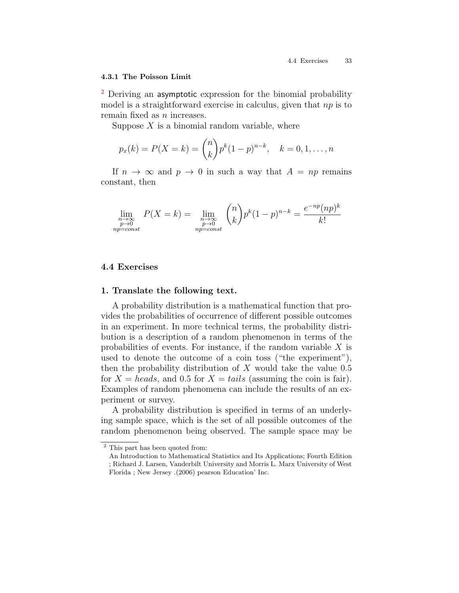#### 4.3.1 The Poisson Limit

<sup>[2](#page-0-0)</sup> Deriving an asymptotic expression for the binomial probability model is a straightforward exercise in calculus, given that  $np$  is to remain fixed as n increases.

Suppose  $X$  is a binomial random variable, where

$$
p_x(k) = P(X = k) = {n \choose k} p^k (1-p)^{n-k}, \quad k = 0, 1, ..., n
$$

If  $n \to \infty$  and  $p \to 0$  in such a way that  $A = np$  remains constant, then

$$
\lim_{\substack{n \to \infty \\ p \to 0 \\ np = const}} P(X = k) = \lim_{\substack{n \to \infty \\ p \to 0 \\ np = const}} {n \choose k} p^k (1-p)^{n-k} = \frac{e^{-np} (np)^k}{k!}
$$

#### 4.4 Exercises

#### 1. Translate the following text.

A probability distribution is a mathematical function that provides the probabilities of occurrence of different possible outcomes in an experiment. In more technical terms, the probability distribution is a description of a random phenomenon in terms of the probabilities of events. For instance, if the random variable  $X$  is used to denote the outcome of a coin toss ("the experiment"), then the probability distribution of  $X$  would take the value 0.5 for  $X = heads$ , and 0.5 for  $X = tails$  (assuming the coin is fair). Examples of random phenomena can include the results of an experiment or survey.

A probability distribution is specified in terms of an underlying sample space, which is the set of all possible outcomes of the random phenomenon being observed. The sample space may be

<sup>2</sup> This part has been quoted from:

An Introduction to Mathematical Statistics and Its Applications; Fourth Edition ; Richard J. Larsen, Vanderbilt University and Morris L. Marx University of West Florida ; New Jersey .(2006) pearson Education' Inc.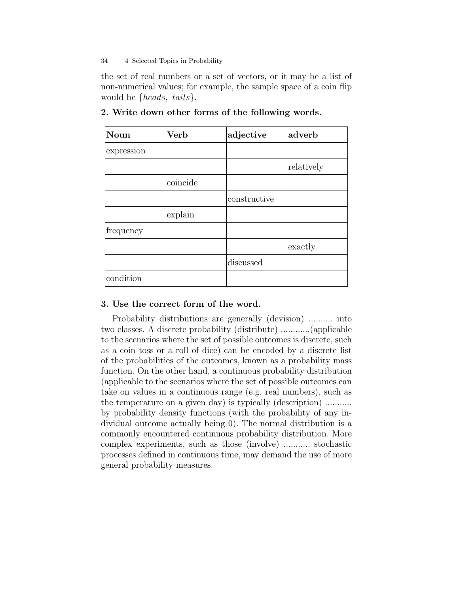#### 34 4 Selected Topics in Probability

the set of real numbers or a set of vectors, or it may be a list of non-numerical values; for example, the sample space of a coin flip would be {heads, tails}.

| Noun       | <b>Verb</b> | adjective    | adverb     |
|------------|-------------|--------------|------------|
| expression |             |              |            |
|            |             |              | relatively |
|            | coincide    |              |            |
|            |             | constructive |            |
|            | explain     |              |            |
| frequency  |             |              |            |
|            |             |              | exactly    |
|            |             | discussed    |            |
| condition  |             |              |            |

2. Write down other forms of the following words.

# 3. Use the correct form of the word.

Probability distributions are generally (devision) .......... into two classes. A discrete probability (distribute) ............(applicable to the scenarios where the set of possible outcomes is discrete, such as a coin toss or a roll of dice) can be encoded by a discrete list of the probabilities of the outcomes, known as a probability mass function. On the other hand, a continuous probability distribution (applicable to the scenarios where the set of possible outcomes can take on values in a continuous range (e.g. real numbers), such as the temperature on a given day) is typically (description) ........... by probability density functions (with the probability of any individual outcome actually being 0). The normal distribution is a commonly encountered continuous probability distribution. More complex experiments, such as those (involve) ........... stochastic processes defined in continuous time, may demand the use of more general probability measures.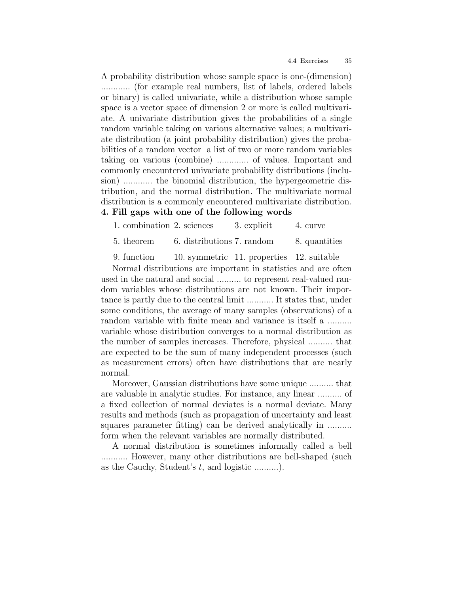A probability distribution whose sample space is one-(dimension) ............ (for example real numbers, list of labels, ordered labels or binary) is called univariate, while a distribution whose sample space is a vector space of dimension 2 or more is called multivariate. A univariate distribution gives the probabilities of a single random variable taking on various alternative values; a multivariate distribution (a joint probability distribution) gives the probabilities of a random vector a list of two or more random variables taking on various (combine) ............. of values. Important and commonly encountered univariate probability distributions (inclusion) ............ the binomial distribution, the hypergeometric distribution, and the normal distribution. The multivariate normal distribution is a commonly encountered multivariate distribution. 4. Fill gaps with one of the following words

| 1. combination 2. sciences |                            | 3. explicit | 4. curve      |
|----------------------------|----------------------------|-------------|---------------|
| 5. theorem                 | 6. distributions 7. random |             | 8. quantities |

9. function 10. symmetric 11. properties 12. suitable

Normal distributions are important in statistics and are often used in the natural and social .......... to represent real-valued random variables whose distributions are not known. Their importance is partly due to the central limit ........... It states that, under some conditions, the average of many samples (observations) of a random variable with finite mean and variance is itself a ......... variable whose distribution converges to a normal distribution as the number of samples increases. Therefore, physical .......... that are expected to be the sum of many independent processes (such as measurement errors) often have distributions that are nearly normal.

Moreover, Gaussian distributions have some unique .......... that are valuable in analytic studies. For instance, any linear .......... of a fixed collection of normal deviates is a normal deviate. Many results and methods (such as propagation of uncertainty and least squares parameter fitting) can be derived analytically in ......... form when the relevant variables are normally distributed.

A normal distribution is sometimes informally called a bell ........... However, many other distributions are bell-shaped (such as the Cauchy, Student's t, and logistic ..........).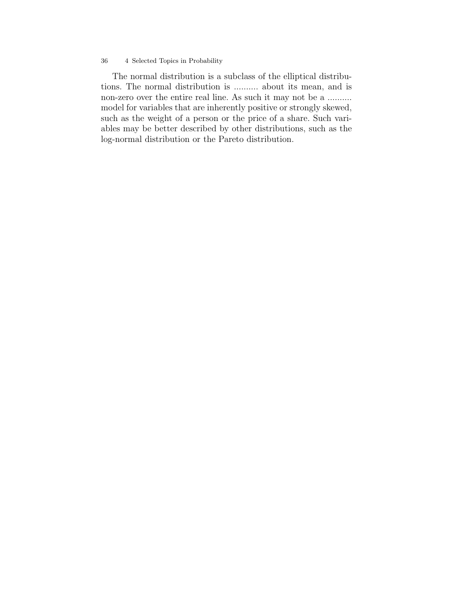#### 36 4 Selected Topics in Probability

The normal distribution is a subclass of the elliptical distributions. The normal distribution is .......... about its mean, and is non-zero over the entire real line. As such it may not be a .......... model for variables that are inherently positive or strongly skewed, such as the weight of a person or the price of a share. Such variables may be better described by other distributions, such as the log-normal distribution or the Pareto distribution.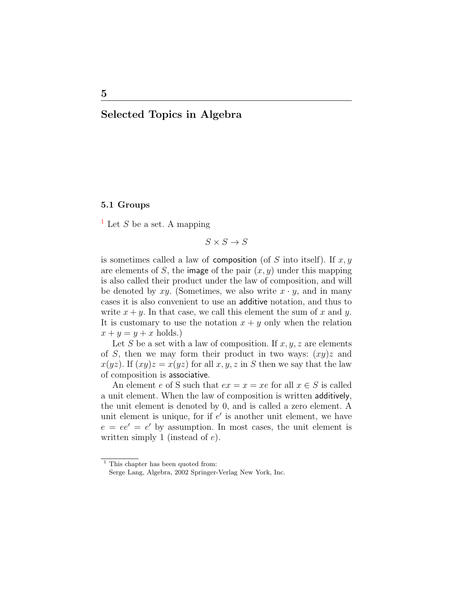# Selected Topics in Algebra

#### 5.1 Groups

<sup>[1](#page-0-0)</sup> Let S be a set. A mapping

$$
S \times S \to S
$$

is sometimes called a law of **composition** (of S into itself). If  $x, y$ are elements of S, the image of the pair  $(x, y)$  under this mapping is also called their product under the law of composition, and will be denoted by xy. (Sometimes, we also write  $x \cdot y$ , and in many cases it is also convenient to use an additive notation, and thus to write  $x + y$ . In that case, we call this element the sum of x and y. It is customary to use the notation  $x + y$  only when the relation  $x + y = y + x$  holds.)

Let S be a set with a law of composition. If  $x, y, z$  are elements of S, then we may form their product in two ways:  $(xy)z$  and  $x(yz)$ . If  $(xy)z = x(yz)$  for all  $x, y, z$  in S then we say that the law of composition is associative.

An element e of S such that  $ex = x = xe$  for all  $x \in S$  is called a unit element. When the law of composition is written additively, the unit element is denoted by 0, and is called a zero element. A unit element is unique, for if  $e'$  is another unit element, we have  $e = ee' = e'$  by assumption. In most cases, the unit element is written simply 1 (instead of e).

 $<sup>1</sup>$  This chapter has been quoted from:</sup>

Serge Lang, Algebra, 2002 Springer-Verlag New York, Inc.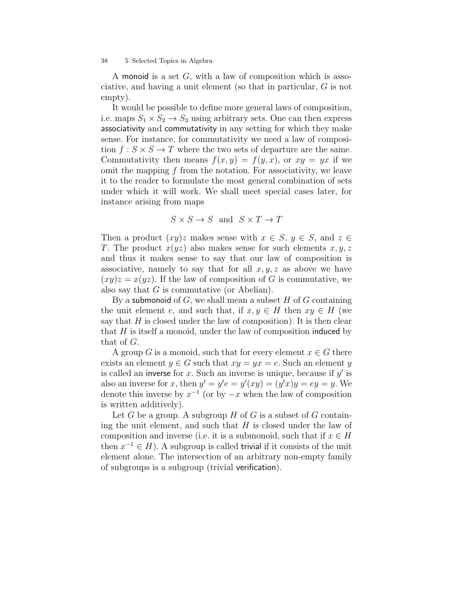38 5 Selected Topics in Algebra

A monoid is a set  $G$ , with a law of composition which is associative, and having a unit element (so that in particular, G is not empty).

It would be possible to define more general laws of composition, i.e. maps  $S_1 \times S_2 \to S_3$  using arbitrary sets. One can then express associativity and commutativity in any setting for which they make sense. For instance, for commutativity we need a law of composition  $f : S \times S \to T$  where the two sets of departure are the same. Commutativity then means  $f(x, y) = f(y, x)$ , or  $xy = yx$  if we omit the mapping f from the notation. For associativity, we leave it to the reader to formulate the most general combination of sets under which it will work. We shall meet special cases later, for instance arising from maps

$$
S \times S \to S \text{ and } S \times T \to T
$$

Then a product  $(xy)z$  makes sense with  $x \in S$ ,  $y \in S$ , and  $z \in$ T. The product  $x(yz)$  also makes sense for such elements  $x, y, z$ and thus it makes sense to say that our law of composition is associative, namely to say that for all  $x, y, z$  as above we have  $(xy)z = x(yz)$ . If the law of composition of G is commutative, we also say that G is commutative (or Abelian).

By a submonoid of  $G$ , we shall mean a subset  $H$  of  $G$  containing the unit element e, and such that, if  $x, y \in H$  then  $xy \in H$  (we say that  $H$  is closed under the law of composition). It is then clear that  $H$  is itself a monoid, under the law of composition induced by that of G.

A group G is a monoid, such that for every element  $x \in G$  there exists an element  $y \in G$  such that  $xy = yx = e$ . Such an element y is called an inverse for x. Such an inverse is unique, because if  $y'$  is also an inverse for x, then  $y' = y'e = y'(xy) = (y'x)y = ey = y$ . We denote this inverse by  $x^{-1}$  (or by  $-x$  when the law of composition is written additively).

Let G be a group. A subgroup  $H$  of G is a subset of G containing the unit element, and such that  $H$  is closed under the law of composition and inverse (i.e. it is a submonoid, such that if  $x \in H$ then  $x^{-1} \in H$ ). A subgroup is called trivial if it consists of the unit element alone. The intersection of an arbitrary non-empty family of subgroups is a subgroup (trivial verification).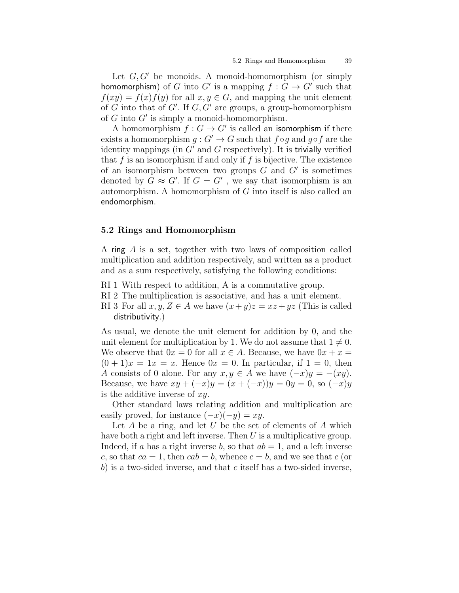Let  $G, G'$  be monoids. A monoid-homomorphism (or simply homomorphism) of G into G' is a mapping  $f : G \to G'$  such that  $f(xy) = f(x)f(y)$  for all  $x, y \in G$ , and mapping the unit element of G into that of  $G'$ . If  $G, G'$  are groups, a group-homomorphism of  $G$  into  $G'$  is simply a monoid-homomorphism.

A homomorphism  $f: G \to G'$  is called an isomorphism if there exists a homomorphism  $g: G' \to G$  such that  $f \circ g$  and  $g \circ f$  are the identity mappings (in  $G'$  and G respectively). It is trivially verified that  $f$  is an isomorphism if and only if  $f$  is bijective. The existence of an isomorphism between two groups  $G$  and  $G'$  is sometimes denoted by  $G \approx G'$ . If  $G = G'$ , we say that isomorphism is an automorphism. A homomorphism of G into itself is also called an endomorphism.

### 5.2 Rings and Homomorphism

A ring A is a set, together with two laws of composition called multiplication and addition respectively, and written as a product and as a sum respectively, satisfying the following conditions:

- RI 1 With respect to addition, A is a commutative group.
- RI 2 The multiplication is associative, and has a unit element.
- RI 3 For all  $x, y, Z \in A$  we have  $(x+y)z = xz + yz$  (This is called distributivity.)

As usual, we denote the unit element for addition by 0, and the unit element for multiplication by 1. We do not assume that  $1 \neq 0$ . We observe that  $0x = 0$  for all  $x \in A$ . Because, we have  $0x + x =$  $(0+1)x = 1x = x$ . Hence  $0x = 0$ . In particular, if  $1 = 0$ , then A consists of 0 alone. For any  $x, y \in A$  we have  $(-x)y = -(xy)$ . Because, we have  $xy + (-x)y = (x + (-x))y = 0y = 0$ , so  $(-x)y$ is the additive inverse of  $xy$ .

Other standard laws relating addition and multiplication are easily proved, for instance  $(-x)(-y) = xy$ .

Let  $A$  be a ring, and let  $U$  be the set of elements of  $A$  which have both a right and left inverse. Then  $U$  is a multiplicative group. Indeed, if a has a right inverse b, so that  $ab = 1$ , and a left inverse c, so that  $ca = 1$ , then  $cab = b$ , whence  $c = b$ , and we see that c (or b) is a two-sided inverse, and that  $c$  itself has a two-sided inverse,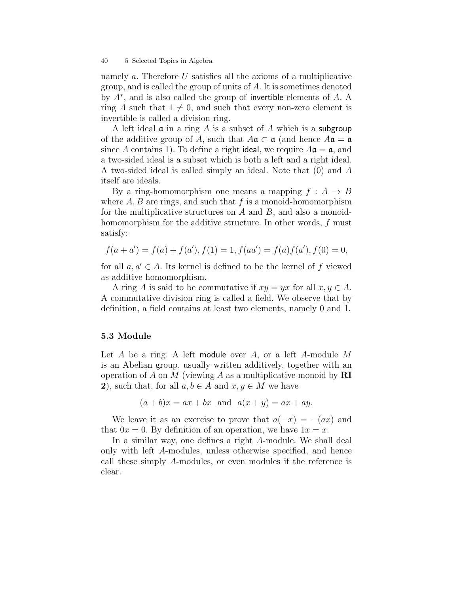namely a. Therefore  $U$  satisfies all the axioms of a multiplicative group, and is called the group of units of A. It is sometimes denoted by  $A^*$ , and is also called the group of invertible elements of  $A$ . A ring A such that  $1 \neq 0$ , and such that every non-zero element is invertible is called a division ring.

A left ideal  $\mathfrak a$  in a ring A is a subset of A which is a subgroup of the additive group of A, such that  $A\mathfrak{a} \subset \mathfrak{a}$  (and hence  $A\mathfrak{a} = \mathfrak{a}$ since A contains 1). To define a right ideal, we require  $A\mathfrak{a} = \mathfrak{a}$ , and a two-sided ideal is a subset which is both a left and a right ideal. A two-sided ideal is called simply an ideal. Note that (0) and A itself are ideals.

By a ring-homomorphism one means a mapping  $f : A \rightarrow B$ where  $A, B$  are rings, and such that  $f$  is a monoid-homomorphism for the multiplicative structures on  $A$  and  $B$ , and also a monoidhomomorphism for the additive structure. In other words, f must satisfy:

$$
f(a + a') = f(a) + f(a'), f(1) = 1, f(aa') = f(a)f(a'), f(0) = 0,
$$

for all  $a, a' \in A$ . Its kernel is defined to be the kernel of f viewed as additive homomorphism.

A ring A is said to be commutative if  $xy = yx$  for all  $x, y \in A$ . A commutative division ring is called a field. We observe that by definition, a field contains at least two elements, namely 0 and 1.

## 5.3 Module

Let A be a ring. A left module over A, or a left A-module  $M$ is an Abelian group, usually written additively, together with an operation of A on M (viewing A as a multiplicative monoid by  $\mathbf{R}\mathbf{I}$ 2), such that, for all  $a, b \in A$  and  $x, y \in M$  we have

$$
(a+b)x = ax + bx \text{ and } a(x+y) = ax + ay.
$$

We leave it as an exercise to prove that  $a(-x) = -(ax)$  and that  $0x = 0$ . By definition of an operation, we have  $1x = x$ .

In a similar way, one defines a right A-module. We shall deal only with left A-modules, unless otherwise specified, and hence call these simply A-modules, or even modules if the reference is clear.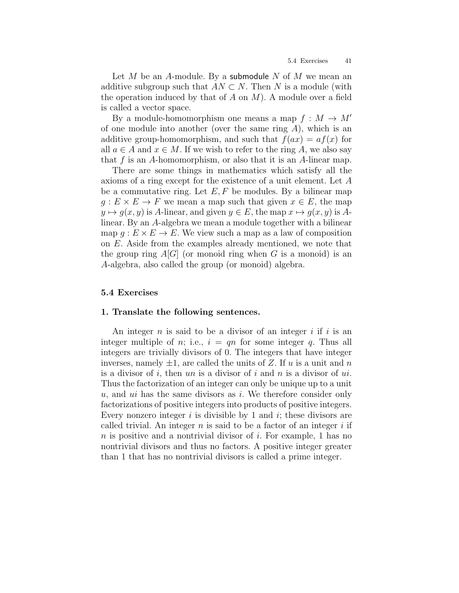Let M be an A-module. By a submodule N of M we mean an additive subgroup such that  $AN \subset N$ . Then N is a module (with the operation induced by that of  $A$  on  $M$ ). A module over a field is called a vector space.

By a module-homomorphism one means a map  $f : M \to M'$ of one module into another (over the same ring  $A$ ), which is an additive group-homomorphism, and such that  $f(ax) = af(x)$  for all  $a \in A$  and  $x \in M$ . If we wish to refer to the ring A, we also say that f is an A-homomorphism, or also that it is an A-linear map.

There are some things in mathematics which satisfy all the axioms of a ring except for the existence of a unit element. Let A be a commutative ring. Let  $E, F$  be modules. By a bilinear map  $q: E \times E \to F$  we mean a map such that given  $x \in E$ , the map  $y \mapsto g(x, y)$  is A-linear, and given  $y \in E$ , the map  $x \mapsto g(x, y)$  is Alinear. By an A-algebra we mean a module together with a bilinear map  $g: E \times E \to E$ . We view such a map as a law of composition on E. Aside from the examples already mentioned, we note that the group ring  $A[G]$  (or monoid ring when G is a monoid) is an A-algebra, also called the group (or monoid) algebra.

#### 5.4 Exercises

#### 1. Translate the following sentences.

An integer *n* is said to be a divisor of an integer *i* if *i* is an integer multiple of *n*; i.e.,  $i = qn$  for some integer q. Thus all integers are trivially divisors of 0. The integers that have integer inverses, namely  $\pm 1$ , are called the units of Z. If u is a unit and n is a divisor of i, then un is a divisor of i and n is a divisor of  $ui$ . Thus the factorization of an integer can only be unique up to a unit  $u$ , and  $ui$  has the same divisors as i. We therefore consider only factorizations of positive integers into products of positive integers. Every nonzero integer  $i$  is divisible by 1 and  $i$ ; these divisors are called trivial. An integer  $n$  is said to be a factor of an integer  $i$  if  $n$  is positive and a nontrivial divisor of i. For example, 1 has no nontrivial divisors and thus no factors. A positive integer greater than 1 that has no nontrivial divisors is called a prime integer.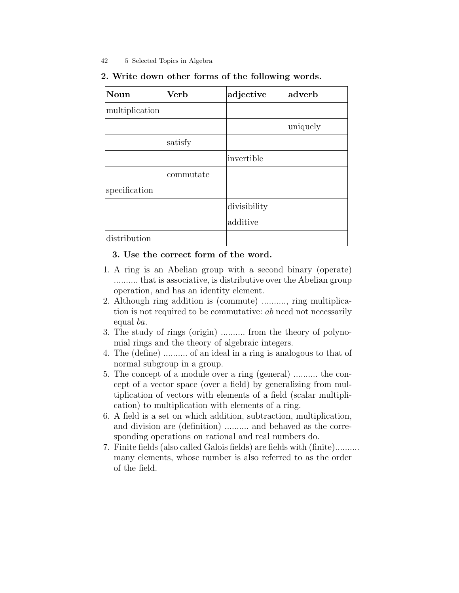#### 42 5 Selected Topics in Algebra

| Noun           | <b>Verb</b> | adjective    | adverb   |
|----------------|-------------|--------------|----------|
| multiplication |             |              |          |
|                |             |              | uniquely |
|                | satisfy     |              |          |
|                |             | invertible   |          |
|                | commutate   |              |          |
| specification  |             |              |          |
|                |             | divisibility |          |
|                |             | additive     |          |
| distribution   |             |              |          |

## 2. Write down other forms of the following words.

# 3. Use the correct form of the word.

- 1. A ring is an Abelian group with a second binary (operate) .......... that is associative, is distributive over the Abelian group operation, and has an identity element.
- 2. Although ring addition is (commute) .........., ring multiplication is not required to be commutative: ab need not necessarily equal ba.
- 3. The study of rings (origin) .......... from the theory of polynomial rings and the theory of algebraic integers.
- 4. The (define) .......... of an ideal in a ring is analogous to that of normal subgroup in a group.
- 5. The concept of a module over a ring (general) .......... the concept of a vector space (over a field) by generalizing from multiplication of vectors with elements of a field (scalar multiplication) to multiplication with elements of a ring.
- 6. A field is a set on which addition, subtraction, multiplication, and division are (definition) .......... and behaved as the corresponding operations on rational and real numbers do.
- 7. Finite fields (also called Galois fields) are fields with (finite).......... many elements, whose number is also referred to as the order of the field.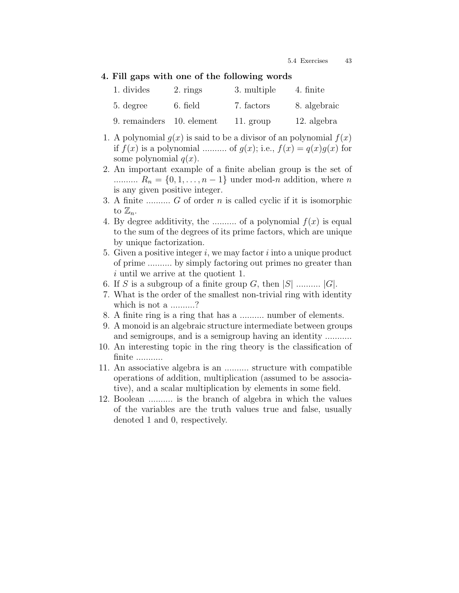## 4. Fill gaps with one of the following words

| 1. divides                | 2. rings | 3. multiple | 4. finite    |
|---------------------------|----------|-------------|--------------|
| 5. degree                 | 6. field | 7. factors  | 8. algebraic |
| 9. remainders 10. element |          | 11. group   | 12. algebra  |

- 1. A polynomial  $q(x)$  is said to be a divisor of an polynomial  $f(x)$ if  $f(x)$  is a polynomial .......... of  $g(x)$ ; i.e.,  $f(x) = g(x)g(x)$  for some polynomial  $q(x)$ .
- 2. An important example of a finite abelian group is the set of ..........  $R_n = \{0, 1, \ldots, n-1\}$  under mod-n addition, where n is any given positive integer.
- 3. A finite  $\dots \dots \dots G$  of order *n* is called cyclic if it is isomorphic to  $\mathbb{Z}_n$ .
- 4. By degree additivity, the .......... of a polynomial  $f(x)$  is equal to the sum of the degrees of its prime factors, which are unique by unique factorization.
- 5. Given a positive integer  $i$ , we may factor  $i$  into a unique product of prime .......... by simply factoring out primes no greater than i until we arrive at the quotient 1.
- 6. If S is a subgroup of a finite group G, then  $|S|$  ..........  $|G|$ .
- 7. What is the order of the smallest non-trivial ring with identity which is not a ..........?
- 8. A finite ring is a ring that has a .......... number of elements.
- 9. A monoid is an algebraic structure intermediate between groups and semigroups, and is a semigroup having an identity ...........
- 10. An interesting topic in the ring theory is the classification of finite ...........
- 11. An associative algebra is an .......... structure with compatible operations of addition, multiplication (assumed to be associative), and a scalar multiplication by elements in some field.
- 12. Boolean .......... is the branch of algebra in which the values of the variables are the truth values true and false, usually denoted 1 and 0, respectively.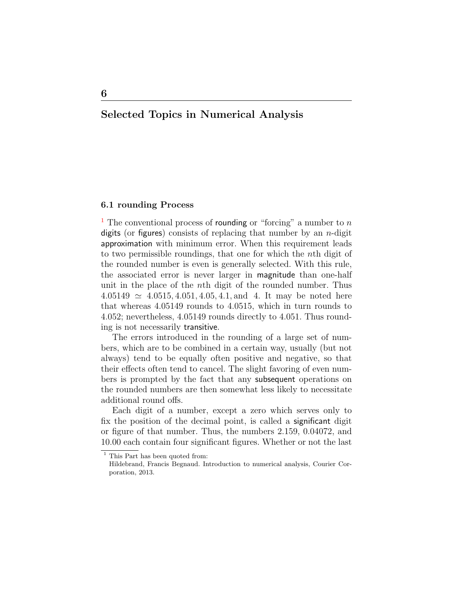# Selected Topics in Numerical Analysis

### 6.1 rounding Process

<sup>[1](#page-0-0)</sup> The conventional process of **rounding** or "forcing" a number to n digits (or figures) consists of replacing that number by an  $n$ -digit approximation with minimum error. When this requirement leads to two permissible roundings, that one for which the nth digit of the rounded number is even is generally selected. With this rule, the associated error is never larger in magnitude than one-half unit in the place of the nth digit of the rounded number. Thus  $4.05149 \approx 4.0515, 4.051, 4.05, 4.1,$  and 4. It may be noted here that whereas 4.05149 rounds to 4.0515, which in turn rounds to 4.052; nevertheless, 4.05149 rounds directly to 4.051. Thus rounding is not necessarily transitive.

The errors introduced in the rounding of a large set of numbers, which are to be combined in a certain way, usually (but not always) tend to be equally often positive and negative, so that their effects often tend to cancel. The slight favoring of even numbers is prompted by the fact that any subsequent operations on the rounded numbers are then somewhat less likely to necessitate additional round offs.

Each digit of a number, except a zero which serves only to fix the position of the decimal point, is called a significant digit or figure of that number. Thus, the numbers 2.159, 0.04072, and 10.00 each contain four significant figures. Whether or not the last

<sup>&</sup>lt;sup>1</sup> This Part has been quoted from:

Hildebrand, Francis Begnaud. Introduction to numerical analysis, Courier Corporation, 2013.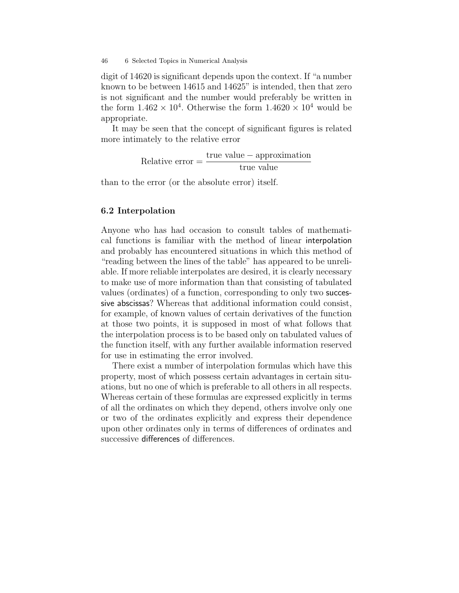46 6 Selected Topics in Numerical Analysis

digit of 14620 is significant depends upon the context. If "a number known to be between 14615 and 14625" is intended, then that zero is not significant and the number would preferably be written in the form  $1.462 \times 10^4$ . Otherwise the form  $1.4620 \times 10^4$  would be appropriate.

It may be seen that the concept of significant figures is related more intimately to the relative error

> Relative error  $=$  true value – approximation true value

than to the error (or the absolute error) itself.

## 6.2 Interpolation

Anyone who has had occasion to consult tables of mathematical functions is familiar with the method of linear interpolation and probably has encountered situations in which this method of "reading between the lines of the table" has appeared to be unreliable. If more reliable interpolates are desired, it is clearly necessary to make use of more information than that consisting of tabulated values (ordinates) of a function, corresponding to only two successive abscissas? Whereas that additional information could consist, for example, of known values of certain derivatives of the function at those two points, it is supposed in most of what follows that the interpolation process is to be based only on tabulated values of the function itself, with any further available information reserved for use in estimating the error involved.

There exist a number of interpolation formulas which have this property, most of which possess certain advantages in certain situations, but no one of which is preferable to all others in all respects. Whereas certain of these formulas are expressed explicitly in terms of all the ordinates on which they depend, others involve only one or two of the ordinates explicitly and express their dependence upon other ordinates only in terms of differences of ordinates and successive differences of differences.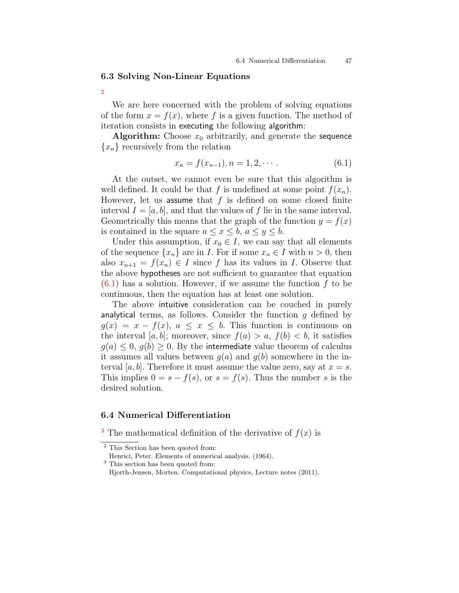#### 6.3 Solving Non-Linear Equations

[2](#page-0-0)

We are here concerned with the problem of solving equations of the form  $x = f(x)$ , where f is a given function. The method of iteration consists in executing the following algorithm:

**Algorithm:** Choose  $x_0$  arbitrarily, and generate the sequence  ${x_n}$  recursively from the relation

<span id="page-52-0"></span>
$$
x_n = f(x_{n-1}), n = 1, 2, \cdots
$$
 (6.1)

At the outset, we cannot even be sure that this algorithm is well defined. It could be that f is undefined at some point  $f(x_n)$ . However, let us assume that  $f$  is defined on some closed finite interval  $I = [a, b]$ , and that the values of f lie in the same interval. Geometrically this means that the graph of the function  $y = f(x)$ is contained in the square  $a \leq x \leq b$ ,  $a \leq y \leq b$ .

Under this assumption, if  $x_0 \in I$ , we can say that all elements of the sequence  $\{x_n\}$  are in *I*. For if some  $x_n \in I$  with  $n > 0$ , then also  $x_{n+1} = f(x_n) \in I$  since f has its values in I. Observe that the above hypotheses are not sufficient to guarantee that equation  $(6.1)$  has a solution. However, if we assume the function f to be continuous, then the equation has at least one solution.

The above intuitive consideration can be couched in purely analytical terms, as follows. Consider the function  $g$  defined by  $g(x) = x - f(x), a \leq x \leq b$ . This function is continuous on the interval [a, b]; moreover, since  $f(a) > a$ ,  $f(b) < b$ , it satisfies  $q(a) \leq 0, q(b) \geq 0$ . By the intermediate value theorem of calculus it assumes all values between  $q(a)$  and  $q(b)$  somewhere in the interval [a, b]. Therefore it must assume the value zero, say at  $x = s$ . This implies  $0 = s - f(s)$ , or  $s = f(s)$ . Thus the number s is the desired solution.

#### 6.4 Numerical Differentiation

<sup>[3](#page-0-0)</sup> The mathematical definition of the derivative of  $f(x)$  is

<sup>2</sup> This Section has been quoted from:

Henrici, Peter. Elements of numerical analysis. (1964).

<sup>3</sup> This section has been quoted from:

Hjorth-Jensen, Morten. Computational physics, Lecture notes (2011).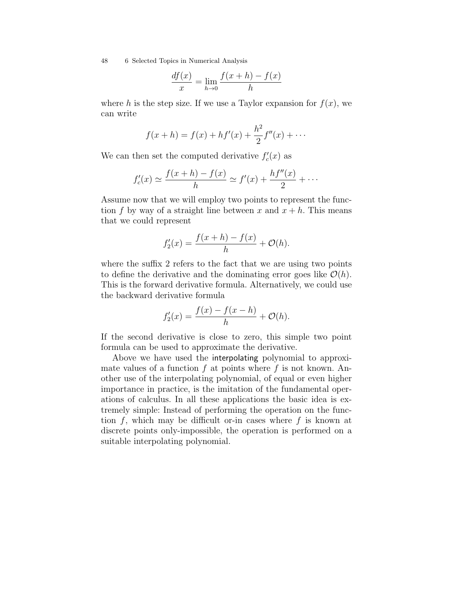48 6 Selected Topics in Numerical Analysis

$$
\frac{df(x)}{x} = \lim_{h \to 0} \frac{f(x+h) - f(x)}{h}
$$

where h is the step size. If we use a Taylor expansion for  $f(x)$ , we can write

$$
f(x+h) = f(x) + hf'(x) + \frac{h^2}{2}f''(x) + \cdots
$$

We can then set the computed derivative  $f'_c(x)$  as

$$
f'_c(x) \simeq \frac{f(x+h) - f(x)}{h} \simeq f'(x) + \frac{hf''(x)}{2} + \cdots
$$

Assume now that we will employ two points to represent the function f by way of a straight line between x and  $x + h$ . This means that we could represent

$$
f_2'(x) = \frac{f(x+h) - f(x)}{h} + \mathcal{O}(h).
$$

where the suffix 2 refers to the fact that we are using two points to define the derivative and the dominating error goes like  $\mathcal{O}(h)$ . This is the forward derivative formula. Alternatively, we could use the backward derivative formula

$$
f_2'(x) = \frac{f(x) - f(x - h)}{h} + \mathcal{O}(h).
$$

If the second derivative is close to zero, this simple two point formula can be used to approximate the derivative.

Above we have used the interpolating polynomial to approximate values of a function  $f$  at points where  $f$  is not known. Another use of the interpolating polynomial, of equal or even higher importance in practice, is the imitation of the fundamental operations of calculus. In all these applications the basic idea is extremely simple: Instead of performing the operation on the function f, which may be difficult or-in cases where f is known at discrete points only-impossible, the operation is performed on a suitable interpolating polynomial.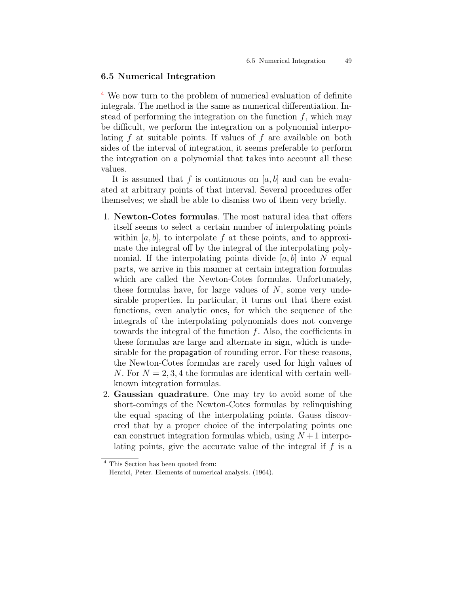## 6.5 Numerical Integration

[4](#page-0-0) We now turn to the problem of numerical evaluation of definite integrals. The method is the same as numerical differentiation. Instead of performing the integration on the function  $f$ , which may be difficult, we perform the integration on a polynomial interpolating f at suitable points. If values of f are available on both sides of the interval of integration, it seems preferable to perform the integration on a polynomial that takes into account all these values.

It is assumed that f is continuous on  $[a, b]$  and can be evaluated at arbitrary points of that interval. Several procedures offer themselves; we shall be able to dismiss two of them very briefly.

- 1. Newton-Cotes formulas. The most natural idea that offers itself seems to select a certain number of interpolating points within  $[a, b]$ , to interpolate f at these points, and to approximate the integral off by the integral of the interpolating polynomial. If the interpolating points divide  $[a, b]$  into N equal parts, we arrive in this manner at certain integration formulas which are called the Newton-Cotes formulas. Unfortunately, these formulas have, for large values of  $N$ , some very undesirable properties. In particular, it turns out that there exist functions, even analytic ones, for which the sequence of the integrals of the interpolating polynomials does not converge towards the integral of the function f. Also, the coefficients in these formulas are large and alternate in sign, which is undesirable for the propagation of rounding error. For these reasons, the Newton-Cotes formulas are rarely used for high values of N. For  $N = 2, 3, 4$  the formulas are identical with certain wellknown integration formulas.
- 2. Gaussian quadrature. One may try to avoid some of the short-comings of the Newton-Cotes formulas by relinquishing the equal spacing of the interpolating points. Gauss discovered that by a proper choice of the interpolating points one can construct integration formulas which, using  $N+1$  interpolating points, give the accurate value of the integral if f is a

<sup>4</sup> This Section has been quoted from:

Henrici, Peter. Elements of numerical analysis. (1964).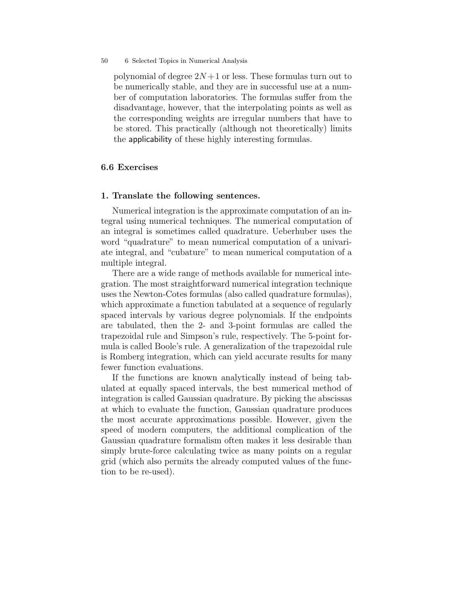polynomial of degree  $2N+1$  or less. These formulas turn out to be numerically stable, and they are in successful use at a number of computation laboratories. The formulas suffer from the disadvantage, however, that the interpolating points as well as the corresponding weights are irregular numbers that have to be stored. This practically (although not theoretically) limits the applicability of these highly interesting formulas.

## 6.6 Exercises

#### 1. Translate the following sentences.

Numerical integration is the approximate computation of an integral using numerical techniques. The numerical computation of an integral is sometimes called quadrature. Ueberhuber uses the word "quadrature" to mean numerical computation of a univariate integral, and "cubature" to mean numerical computation of a multiple integral.

There are a wide range of methods available for numerical integration. The most straightforward numerical integration technique uses the Newton-Cotes formulas (also called quadrature formulas), which approximate a function tabulated at a sequence of regularly spaced intervals by various degree polynomials. If the endpoints are tabulated, then the 2- and 3-point formulas are called the trapezoidal rule and Simpson's rule, respectively. The 5-point formula is called Boole's rule. A generalization of the trapezoidal rule is Romberg integration, which can yield accurate results for many fewer function evaluations.

If the functions are known analytically instead of being tabulated at equally spaced intervals, the best numerical method of integration is called Gaussian quadrature. By picking the abscissas at which to evaluate the function, Gaussian quadrature produces the most accurate approximations possible. However, given the speed of modern computers, the additional complication of the Gaussian quadrature formalism often makes it less desirable than simply brute-force calculating twice as many points on a regular grid (which also permits the already computed values of the function to be re-used).

<sup>50 6</sup> Selected Topics in Numerical Analysis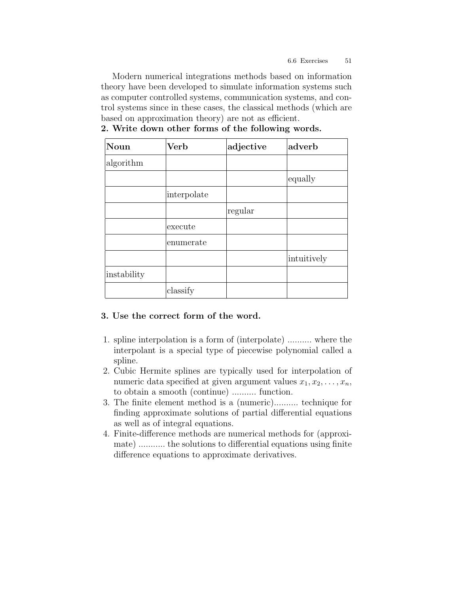Modern numerical integrations methods based on information theory have been developed to simulate information systems such as computer controlled systems, communication systems, and control systems since in these cases, the classical methods (which are based on approximation theory) are not as efficient.

| Noun        | <b>Verb</b> | adjective | adverb      |
|-------------|-------------|-----------|-------------|
| algorithm   |             |           |             |
|             |             |           | equally     |
|             | interpolate |           |             |
|             |             | regular   |             |
|             | execute     |           |             |
|             | enumerate   |           |             |
|             |             |           | intuitively |
| instability |             |           |             |
|             | classify    |           |             |

2. Write down other forms of the following words.

# 3. Use the correct form of the word.

- 1. spline interpolation is a form of (interpolate) .......... where the interpolant is a special type of piecewise polynomial called a spline.
- 2. Cubic Hermite splines are typically used for interpolation of numeric data specified at given argument values  $x_1, x_2, \ldots, x_n$ , to obtain a smooth (continue) .......... function.
- 3. The finite element method is a (numeric).......... technique for finding approximate solutions of partial differential equations as well as of integral equations.
- 4. Finite-difference methods are numerical methods for (approximate) ........... the solutions to differential equations using finite difference equations to approximate derivatives.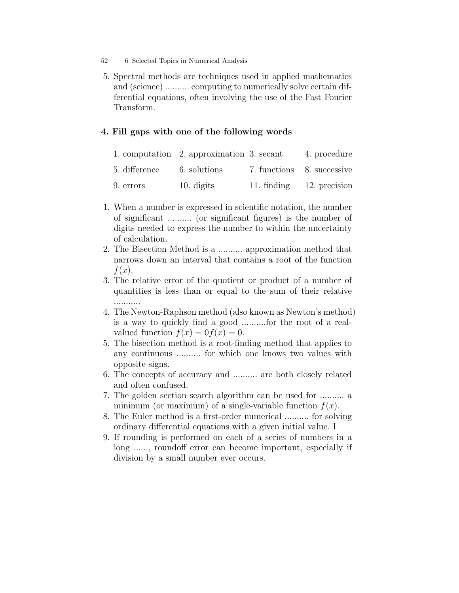- 52 6 Selected Topics in Numerical Analysis
- 5. Spectral methods are techniques used in applied mathematics and (science) .......... computing to numerically solve certain differential equations, often involving the use of the Fast Fourier Transform.

# 4. Fill gaps with one of the following words

|               | 1. computation 2. approximation 3. secant | 4. procedure               |
|---------------|-------------------------------------------|----------------------------|
| 5. difference | 6. solutions                              | 7. functions 8. successive |
| 9. errors     | 10. digits                                | 11. finding 12. precision  |

- 1. When a number is expressed in scientific notation, the number of significant .......... (or significant figures) is the number of digits needed to express the number to within the uncertainty of calculation.
- 2. The Bisection Method is a .......... approximation method that narrows down an interval that contains a root of the function  $f(x)$ .
- 3. The relative error of the quotient or product of a number of quantities is less than or equal to the sum of their relative ...........
- 4. The Newton-Raphson method (also known as Newton's method) is a way to quickly find a good ..........for the root of a realvalued function  $f(x) = 0$  $f(x) = 0$ .
- 5. The bisection method is a root-finding method that applies to any continuous .......... for which one knows two values with opposite signs.
- 6. The concepts of accuracy and .......... are both closely related and often confused.
- 7. The golden section search algorithm can be used for .......... a minimum (or maximum) of a single-variable function  $f(x)$ .
- 8. The Euler method is a first-order numerical .......... for solving ordinary differential equations with a given initial value. I
- 9. If rounding is performed on each of a series of numbers in a long ......, roundoff error can become important, especially if division by a small number ever occurs.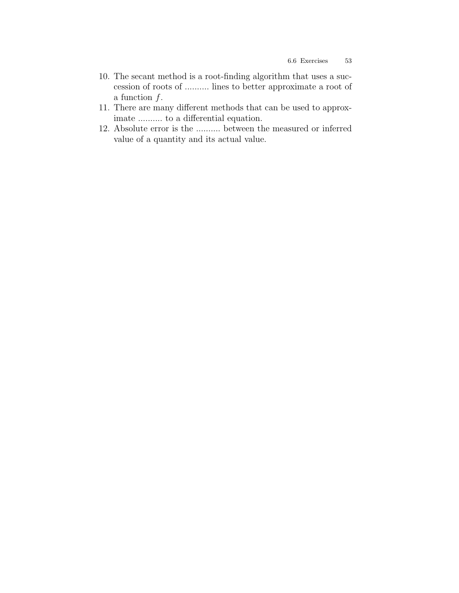- 10. The secant method is a root-finding algorithm that uses a succession of roots of .......... lines to better approximate a root of a function  $f$ .
- 11. There are many different methods that can be used to approximate .......... to a differential equation.
- 12. Absolute error is the .......... between the measured or inferred value of a quantity and its actual value.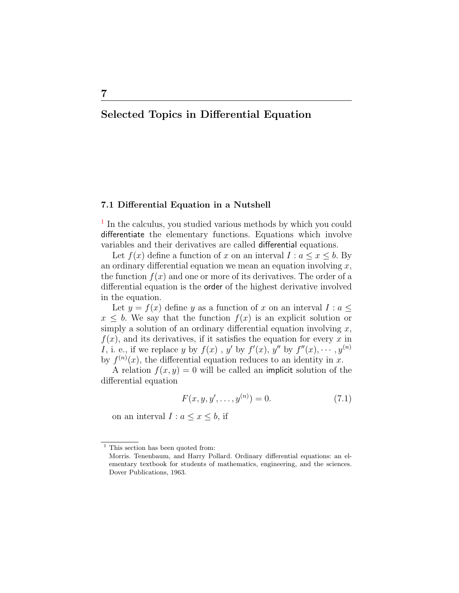# Selected Topics in Differential Equation

### 7.1 Differential Equation in a Nutshell

<sup>[1](#page-0-0)</sup> In the calculus, you studied various methods by which you could differentiate the elementary functions. Equations which involve variables and their derivatives are called differential equations.

Let  $f(x)$  define a function of x on an interval  $I: a \leq x \leq b$ . By an ordinary differential equation we mean an equation involving  $x$ , the function  $f(x)$  and one or more of its derivatives. The order of a differential equation is the order of the highest derivative involved in the equation.

Let  $y = f(x)$  define y as a function of x on an interval  $I: a \leq$  $x \leq b$ . We say that the function  $f(x)$  is an explicit solution or simply a solution of an ordinary differential equation involving  $x$ ,  $f(x)$ , and its derivatives, if it satisfies the equation for every x in *I*, i. e., if we replace *y* by  $f(x)$ , *y'* by  $f'(x)$ , *y''* by  $f''(x)$ ,  $\dots$ ,  $y^{(n)}$ by  $f^{(n)}(x)$ , the differential equation reduces to an identity in x.

A relation  $f(x, y) = 0$  will be called an implicit solution of the differential equation

<span id="page-60-0"></span>
$$
F(x, y, y', \dots, y^{(n)}) = 0.
$$
 (7.1)

on an interval  $I: a \leq x \leq b$ , if

This section has been quoted from:

Morris. Tenenbaum, and Harry Pollard. Ordinary differential equations: an elementary textbook for students of mathematics, engineering, and the sciences. Dover Publications, 1963.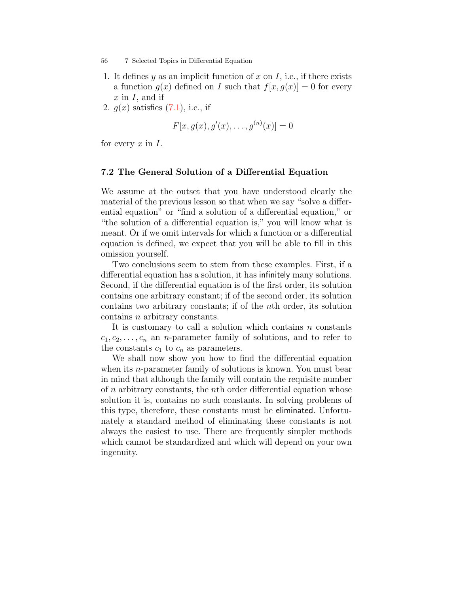- 56 7 Selected Topics in Differential Equation
- 1. It defines y as an implicit function of x on I, i.e., if there exists a function  $g(x)$  defined on I such that  $f[x, g(x)] = 0$  for every  $x$  in  $I$ , and if
- 2.  $g(x)$  satisfies  $(7.1)$ , i.e., if

$$
F[x, g(x), g'(x), \dots, g^{(n)}(x)] = 0
$$

for every  $x$  in  $I$ .

#### 7.2 The General Solution of a Differential Equation

We assume at the outset that you have understood clearly the material of the previous lesson so that when we say "solve a differential equation" or "find a solution of a differential equation," or "the solution of a differential equation is," you will know what is meant. Or if we omit intervals for which a function or a differential equation is defined, we expect that you will be able to fill in this omission yourself.

Two conclusions seem to stem from these examples. First, if a differential equation has a solution, it has infinitely many solutions. Second, if the differential equation is of the first order, its solution contains one arbitrary constant; if of the second order, its solution contains two arbitrary constants; if of the nth order, its solution contains n arbitrary constants.

It is customary to call a solution which contains  $n$  constants  $c_1, c_2, \ldots, c_n$  an *n*-parameter family of solutions, and to refer to the constants  $c_1$  to  $c_n$  as parameters.

We shall now show you how to find the differential equation when its *n*-parameter family of solutions is known. You must bear in mind that although the family will contain the requisite number of n arbitrary constants, the nth order differential equation whose solution it is, contains no such constants. In solving problems of this type, therefore, these constants must be eliminated. Unfortunately a standard method of eliminating these constants is not always the easiest to use. There are frequently simpler methods which cannot be standardized and which will depend on your own ingenuity.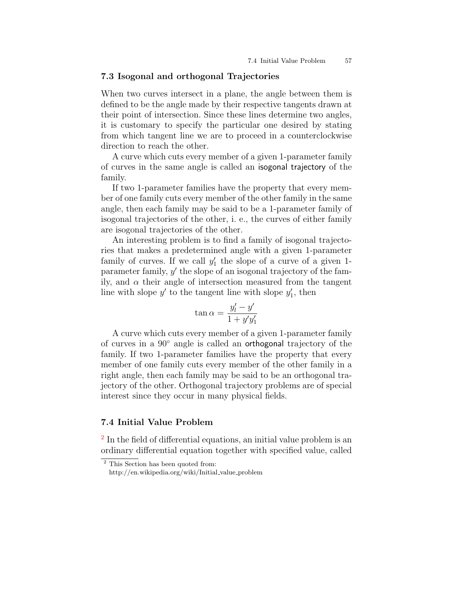# 7.3 Isogonal and orthogonal Trajectories

When two curves intersect in a plane, the angle between them is defined to be the angle made by their respective tangents drawn at their point of intersection. Since these lines determine two angles, it is customary to specify the particular one desired by stating from which tangent line we are to proceed in a counterclockwise direction to reach the other.

A curve which cuts every member of a given 1-parameter family of curves in the same angle is called an isogonal trajectory of the family.

If two 1-parameter families have the property that every member of one family cuts every member of the other family in the same angle, then each family may be said to be a 1-parameter family of isogonal trajectories of the other, i. e., the curves of either family are isogonal trajectories of the other.

An interesting problem is to find a family of isogonal trajectories that makes a predetermined angle with a given 1-parameter family of curves. If we call  $y'_1$  the slope of a curve of a given 1- $\alpha$  parameter family,  $y'$  the slope of an isogonal trajectory of the family, and  $\alpha$  their angle of intersection measured from the tangent line with slope  $y'$  to the tangent line with slope  $y'_1$ , then

$$
\tan \alpha = \frac{y'_l - y'}{1 + y'y'_1}
$$

A curve which cuts every member of a given 1-parameter family of curves in a 90◦ angle is called an orthogonal trajectory of the family. If two 1-parameter families have the property that every member of one family cuts every member of the other family in a right angle, then each family may be said to be an orthogonal trajectory of the other. Orthogonal trajectory problems are of special interest since they occur in many physical fields.

# 7.4 Initial Value Problem

<sup>[2](#page-0-0)</sup> In the field of differential equations, an initial value problem is an ordinary differential equation together with specified value, called

<sup>2</sup> This Section has been quoted from:

http://en.wikipedia.org/wiki/Initial value problem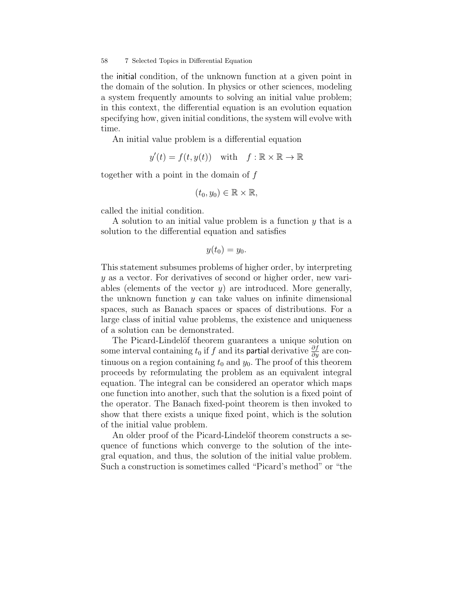58 7 Selected Topics in Differential Equation

the initial condition, of the unknown function at a given point in the domain of the solution. In physics or other sciences, modeling a system frequently amounts to solving an initial value problem; in this context, the differential equation is an evolution equation specifying how, given initial conditions, the system will evolve with time.

An initial value problem is a differential equation

 $y'(t) = f(t, y(t))$  with  $f: \mathbb{R} \times \mathbb{R} \to \mathbb{R}$ 

together with a point in the domain of f

$$
(t_0, y_0) \in \mathbb{R} \times \mathbb{R},
$$

called the initial condition.

A solution to an initial value problem is a function y that is a solution to the differential equation and satisfies

$$
y(t_0)=y_0.
$$

This statement subsumes problems of higher order, by interpreting y as a vector. For derivatives of second or higher order, new variables (elements of the vector  $y$ ) are introduced. More generally, the unknown function  $y$  can take values on infinite dimensional spaces, such as Banach spaces or spaces of distributions. For a large class of initial value problems, the existence and uniqueness of a solution can be demonstrated.

The Picard-Lindelöf theorem guarantees a unique solution on some interval containing  $t_0$  if  $f$  and its partial derivative  $\frac{\partial f}{\partial y}$  are continuous on a region containing  $t_0$  and  $y_0$ . The proof of this theorem proceeds by reformulating the problem as an equivalent integral equation. The integral can be considered an operator which maps one function into another, such that the solution is a fixed point of the operator. The Banach fixed-point theorem is then invoked to show that there exists a unique fixed point, which is the solution of the initial value problem.

An older proof of the Picard-Lindelöf theorem constructs a sequence of functions which converge to the solution of the integral equation, and thus, the solution of the initial value problem. Such a construction is sometimes called "Picard's method" or "the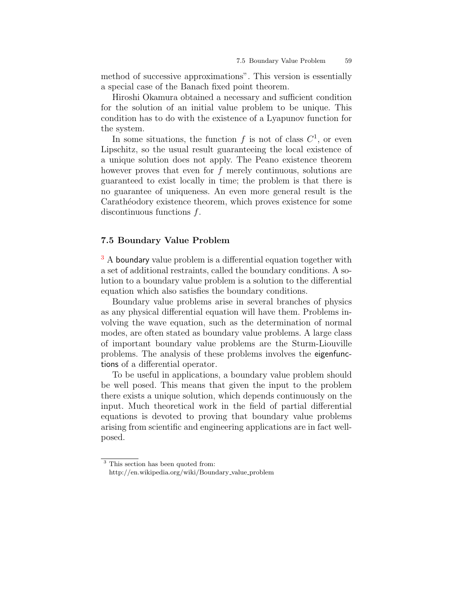method of successive approximations". This version is essentially a special case of the Banach fixed point theorem.

Hiroshi Okamura obtained a necessary and sufficient condition for the solution of an initial value problem to be unique. This condition has to do with the existence of a Lyapunov function for the system.

In some situations, the function f is not of class  $C^1$ , or even Lipschitz, so the usual result guaranteeing the local existence of a unique solution does not apply. The Peano existence theorem however proves that even for f merely continuous, solutions are guaranteed to exist locally in time; the problem is that there is no guarantee of uniqueness. An even more general result is the Carathéodory existence theorem, which proves existence for some discontinuous functions f.

## 7.5 Boundary Value Problem

 $3$  A boundary value problem is a differential equation together with a set of additional restraints, called the boundary conditions. A solution to a boundary value problem is a solution to the differential equation which also satisfies the boundary conditions.

Boundary value problems arise in several branches of physics as any physical differential equation will have them. Problems involving the wave equation, such as the determination of normal modes, are often stated as boundary value problems. A large class of important boundary value problems are the Sturm-Liouville problems. The analysis of these problems involves the eigenfunctions of a differential operator.

To be useful in applications, a boundary value problem should be well posed. This means that given the input to the problem there exists a unique solution, which depends continuously on the input. Much theoretical work in the field of partial differential equations is devoted to proving that boundary value problems arising from scientific and engineering applications are in fact wellposed.

<sup>3</sup> This section has been quoted from:

http://en.wikipedia.org/wiki/Boundary\_value\_problem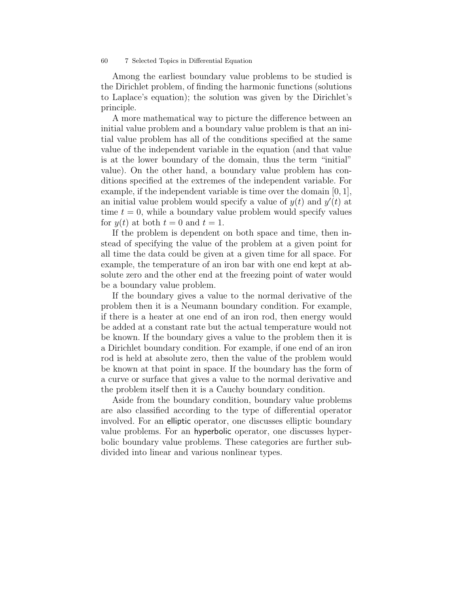Among the earliest boundary value problems to be studied is the Dirichlet problem, of finding the harmonic functions (solutions to Laplace's equation); the solution was given by the Dirichlet's principle.

A more mathematical way to picture the difference between an initial value problem and a boundary value problem is that an initial value problem has all of the conditions specified at the same value of the independent variable in the equation (and that value is at the lower boundary of the domain, thus the term "initial" value). On the other hand, a boundary value problem has conditions specified at the extremes of the independent variable. For example, if the independent variable is time over the domain [0, 1], an initial value problem would specify a value of  $y(t)$  and  $y'(t)$  at time  $t = 0$ , while a boundary value problem would specify values for  $y(t)$  at both  $t = 0$  and  $t = 1$ .

If the problem is dependent on both space and time, then instead of specifying the value of the problem at a given point for all time the data could be given at a given time for all space. For example, the temperature of an iron bar with one end kept at absolute zero and the other end at the freezing point of water would be a boundary value problem.

If the boundary gives a value to the normal derivative of the problem then it is a Neumann boundary condition. For example, if there is a heater at one end of an iron rod, then energy would be added at a constant rate but the actual temperature would not be known. If the boundary gives a value to the problem then it is a Dirichlet boundary condition. For example, if one end of an iron rod is held at absolute zero, then the value of the problem would be known at that point in space. If the boundary has the form of a curve or surface that gives a value to the normal derivative and the problem itself then it is a Cauchy boundary condition.

Aside from the boundary condition, boundary value problems are also classified according to the type of differential operator involved. For an elliptic operator, one discusses elliptic boundary value problems. For an hyperbolic operator, one discusses hyperbolic boundary value problems. These categories are further subdivided into linear and various nonlinear types.

<sup>60 7</sup> Selected Topics in Differential Equation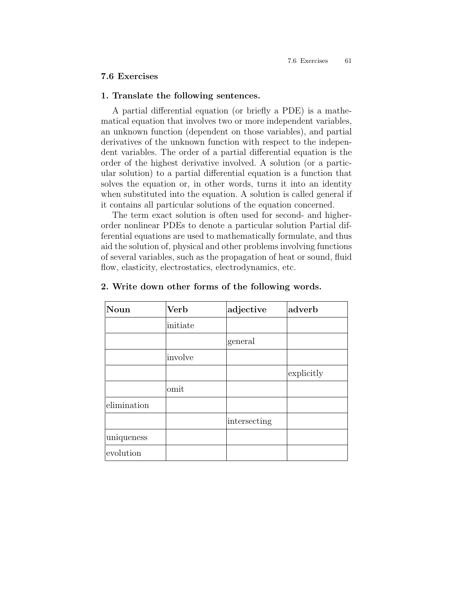## 7.6 Exercises

#### 1. Translate the following sentences.

A partial differential equation (or briefly a PDE) is a mathematical equation that involves two or more independent variables, an unknown function (dependent on those variables), and partial derivatives of the unknown function with respect to the independent variables. The order of a partial differential equation is the order of the highest derivative involved. A solution (or a particular solution) to a partial differential equation is a function that solves the equation or, in other words, turns it into an identity when substituted into the equation. A solution is called general if it contains all particular solutions of the equation concerned.

The term exact solution is often used for second- and higherorder nonlinear PDEs to denote a particular solution Partial differential equations are used to mathematically formulate, and thus aid the solution of, physical and other problems involving functions of several variables, such as the propagation of heat or sound, fluid flow, elasticity, electrostatics, electrodynamics, etc.

| Noun        | <b>Verb</b> | adjective    | adverb     |
|-------------|-------------|--------------|------------|
|             | initiate    |              |            |
|             |             | general      |            |
|             | involve     |              |            |
|             |             |              | explicitly |
|             | omit        |              |            |
| elimination |             |              |            |
|             |             | intersecting |            |
| uniqueness  |             |              |            |
| evolution   |             |              |            |

#### 2. Write down other forms of the following words.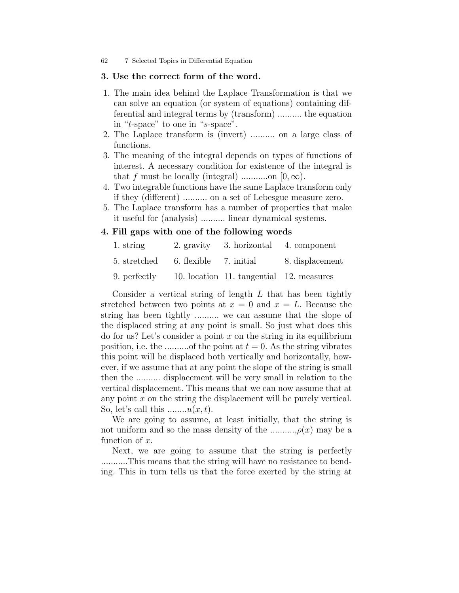62 7 Selected Topics in Differential Equation

## 3. Use the correct form of the word.

- 1. The main idea behind the Laplace Transformation is that we can solve an equation (or system of equations) containing differential and integral terms by (transform) .......... the equation in "t-space" to one in "s-space".
- 2. The Laplace transform is (invert) .......... on a large class of functions.
- 3. The meaning of the integral depends on types of functions of interest. A necessary condition for existence of the integral is that f must be locally (integral) ...........on  $[0, \infty)$ .
- 4. Two integrable functions have the same Laplace transform only if they (different) .......... on a set of Lebesgue measure zero.
- 5. The Laplace transform has a number of properties that make it useful for (analysis) .......... linear dynamical systems.

#### 4. Fill gaps with one of the following words

| 1. string                           | 2. gravity 3. horizontal 4. component    |                 |
|-------------------------------------|------------------------------------------|-----------------|
| 5. stretched 6. flexible 7. initial |                                          | 8. displacement |
| 9. perfectly                        | 10. location 11. tangential 12. measures |                 |

Consider a vertical string of length L that has been tightly stretched between two points at  $x = 0$  and  $x = L$ . Because the string has been tightly .......... we can assume that the slope of the displaced string at any point is small. So just what does this do for us? Let's consider a point x on the string in its equilibrium position, i.e. the ..........of the point at t = 0. As the string vibrates this point will be displaced both vertically and horizontally, however, if we assume that at any point the slope of the string is small then the .......... displacement will be very small in relation to the vertical displacement. This means that we can now assume that at any point  $x$  on the string the displacement will be purely vertical. So, let's call this  $\dots \dots u(x, t)$ .

We are going to assume, at least initially, that the string is not uniform and so the mass density of the ........., $\rho(x)$  may be a function of  $x$ .

Next, we are going to assume that the string is perfectly ...........This means that the string will have no resistance to bending. This in turn tells us that the force exerted by the string at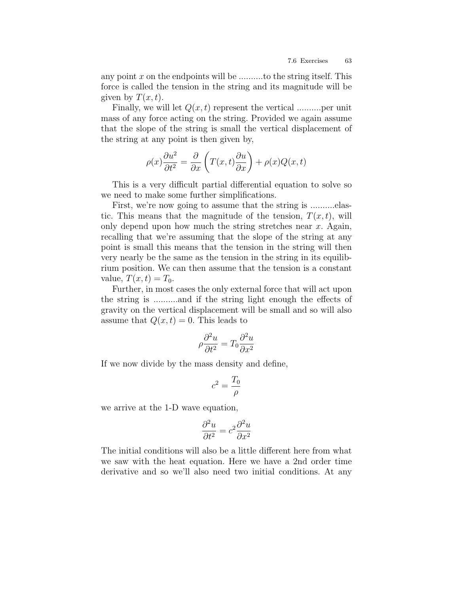any point  $x$  on the endpoints will be .........to the string itself. This force is called the tension in the string and its magnitude will be given by  $T(x, t)$ .

Finally, we will let Q(x, t) represent the vertical ..........per unit mass of any force acting on the string. Provided we again assume that the slope of the string is small the vertical displacement of the string at any point is then given by,

$$
\rho(x)\frac{\partial u^2}{\partial t^2} = \frac{\partial}{\partial x}\left(T(x,t)\frac{\partial u}{\partial x}\right) + \rho(x)Q(x,t)
$$

This is a very difficult partial differential equation to solve so we need to make some further simplifications.

First, we're now going to assume that the string is ..............elastic. This means that the magnitude of the tension,  $T(x, t)$ , will only depend upon how much the string stretches near  $x$ . Again, recalling that we're assuming that the slope of the string at any point is small this means that the tension in the string will then very nearly be the same as the tension in the string in its equilibrium position. We can then assume that the tension is a constant value,  $T(x,t) = T_0$ .

Further, in most cases the only external force that will act upon the string is ..........and if the string light enough the effects of gravity on the vertical displacement will be small and so will also assume that  $Q(x, t) = 0$ . This leads to

$$
\rho \frac{\partial^2 u}{\partial t^2} = T_0 \frac{\partial^2 u}{\partial x^2}
$$

If we now divide by the mass density and define,

$$
c^2 = \frac{T_0}{\rho}
$$

we arrive at the 1-D wave equation,

$$
\frac{\partial^2 u}{\partial t^2} = c^2 \frac{\partial^2 u}{\partial x^2}
$$

The initial conditions will also be a little different here from what we saw with the heat equation. Here we have a 2nd order time derivative and so we'll also need two initial conditions. At any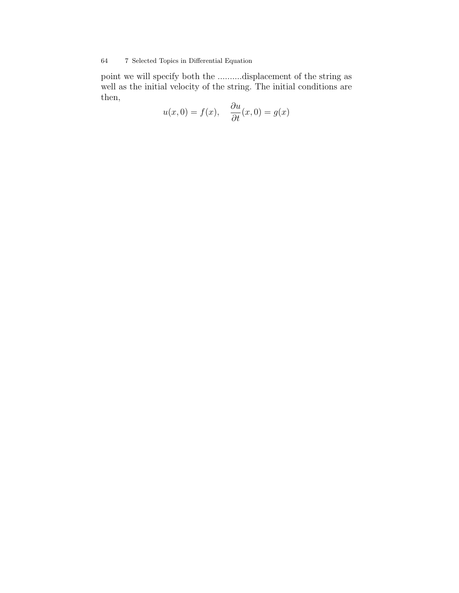# 64 7 Selected Topics in Differential Equation

point we will specify both the ..........displacement of the string as well as the initial velocity of the string. The initial conditions are then,

$$
u(x,0) = f(x), \quad \frac{\partial u}{\partial t}(x,0) = g(x)
$$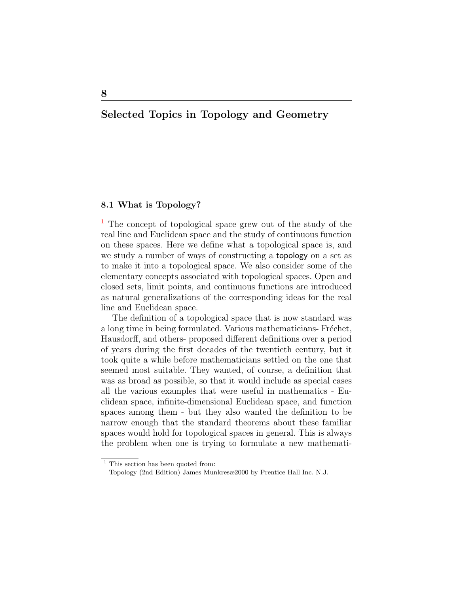# Selected Topics in Topology and Geometry

#### 8.1 What is Topology?

<sup>[1](#page-0-0)</sup> The concept of topological space grew out of the study of the real line and Euclidean space and the study of continuous function on these spaces. Here we define what a topological space is, and we study a number of ways of constructing a topology on a set as to make it into a topological space. We also consider some of the elementary concepts associated with topological spaces. Open and closed sets, limit points, and continuous functions are introduced as natural generalizations of the corresponding ideas for the real line and Euclidean space.

The definition of a topological space that is now standard was a long time in being formulated. Various mathematicians- Fréchet, Hausdorff, and others- proposed different definitions over a period of years during the first decades of the twentieth century, but it took quite a while before mathematicians settled on the one that seemed most suitable. They wanted, of course, a definition that was as broad as possible, so that it would include as special cases all the various examples that were useful in mathematics - Euclidean space, infinite-dimensional Euclidean space, and function spaces among them - but they also wanted the definition to be narrow enough that the standard theorems about these familiar spaces would hold for topological spaces in general. This is always the problem when one is trying to formulate a new mathemati-

 $<sup>1</sup>$  This section has been quoted from:</sup>

Topology (2nd Edition) James Munkresæ2000 by Prentice Hall Inc. N.J.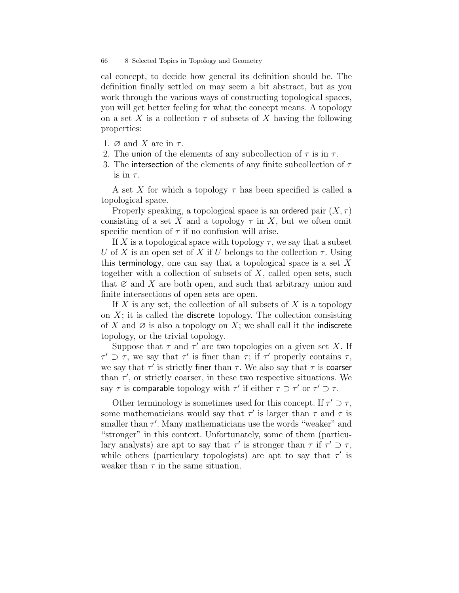#### 66 8 Selected Topics in Topology and Geometry

cal concept, to decide how general its definition should be. The definition finally settled on may seem a bit abstract, but as you work through the various ways of constructing topological spaces, you will get better feeling for what the concept means. A topology on a set X is a collection  $\tau$  of subsets of X having the following properties:

- 1.  $\varnothing$  and X are in  $\tau$ .
- 2. The union of the elements of any subcollection of  $\tau$  is in  $\tau$ .
- 3. The intersection of the elements of any finite subcollection of  $\tau$ is in  $\tau$ .

A set X for which a topology  $\tau$  has been specified is called a topological space.

Properly speaking, a topological space is an ordered pair  $(X, \tau)$ consisting of a set X and a topology  $\tau$  in X, but we often omit specific mention of  $\tau$  if no confusion will arise.

If X is a topological space with topology  $\tau$ , we say that a subset U of X is an open set of X if U belongs to the collection  $\tau$ . Using this terminology, one can say that a topological space is a set  $X$ together with a collection of subsets of  $X$ , called open sets, such that  $\varnothing$  and X are both open, and such that arbitrary union and finite intersections of open sets are open.

If  $X$  is any set, the collection of all subsets of  $X$  is a topology on  $X$ ; it is called the **discrete** topology. The collection consisting of X and  $\emptyset$  is also a topology on X; we shall call it the indiscrete topology, or the trivial topology.

Suppose that  $\tau$  and  $\tau'$  are two topologies on a given set X. If  $\tau' \supset \tau$ , we say that  $\tau'$  is finer than  $\tau$ ; if  $\tau'$  properly contains  $\tau$ , we say that  $\tau'$  is strictly finer than  $\tau$ . We also say that  $\tau$  is coarser than  $\tau'$ , or strictly coarser, in these two respective situations. We say  $\tau$  is comparable topology with  $\tau'$  if either  $\tau \supset \tau'$  or  $\tau' \supset \tau$ .

Other terminology is sometimes used for this concept. If  $\tau' \supset \tau$ , some mathematicians would say that  $\tau'$  is larger than  $\tau$  and  $\tau$  is smaller than  $\tau'$ . Many mathematicians use the words "weaker" and "stronger" in this context. Unfortunately, some of them (particulary analysts) are apt to say that  $\tau'$  is stronger than  $\tau$  if  $\tau' \supset \tau$ , while others (particulary topologists) are apt to say that  $\tau'$  is weaker than  $\tau$  in the same situation.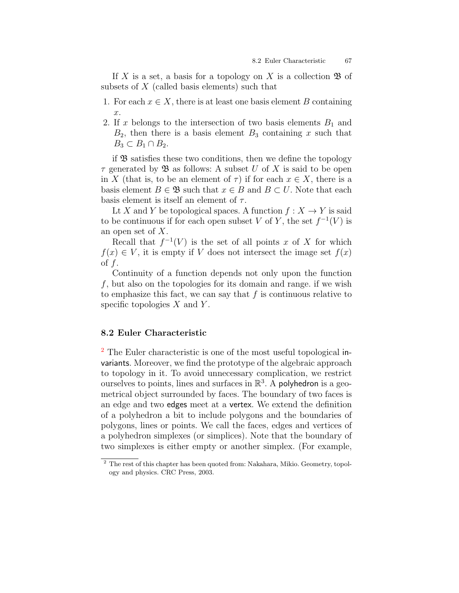If X is a set, a basis for a topology on X is a collection  $\mathfrak{B}$  of subsets of  $X$  (called basis elements) such that

- 1. For each  $x \in X$ , there is at least one basis element B containing x.
- 2. If x belongs to the intersection of two basis elements  $B_1$  and  $B_2$ , then there is a basis element  $B_3$  containing x such that  $B_3 \subset B_1 \cap B_2$ .

if  $\mathfrak B$  satisfies these two conditions, then we define the topology  $\tau$  generated by  $\mathfrak{B}$  as follows: A subset U of X is said to be open in X (that is, to be an element of  $\tau$ ) if for each  $x \in X$ , there is a basis element  $B \in \mathfrak{B}$  such that  $x \in B$  and  $B \subset U$ . Note that each basis element is itself an element of  $\tau$ .

Lt X and Y be topological spaces. A function  $f: X \to Y$  is said to be continuous if for each open subset V of Y, the set  $f^{-1}(V)$  is an open set of  $X$ .

Recall that  $f^{-1}(V)$  is the set of all points x of X for which  $f(x) \in V$ , it is empty if V does not intersect the image set  $f(x)$ of f.

Continuity of a function depends not only upon the function f, but also on the topologies for its domain and range. if we wish to emphasize this fact, we can say that  $f$  is continuous relative to specific topologies  $X$  and  $Y$ .

# 8.2 Euler Characteristic

<sup>[2](#page-0-0)</sup> The Euler characteristic is one of the most useful topological invariants. Moreover, we find the prototype of the algebraic approach to topology in it. To avoid unnecessary complication, we restrict ourselves to points, lines and surfaces in  $\mathbb{R}^3$ . A polyhedron is a geometrical object surrounded by faces. The boundary of two faces is an edge and two edges meet at a vertex. We extend the definition of a polyhedron a bit to include polygons and the boundaries of polygons, lines or points. We call the faces, edges and vertices of a polyhedron simplexes (or simplices). Note that the boundary of two simplexes is either empty or another simplex. (For example,

 $^{\rm 2}$  The rest of this chapter has been quoted from: Nakahara, Mikio. Geometry, topology and physics. CRC Press, 2003.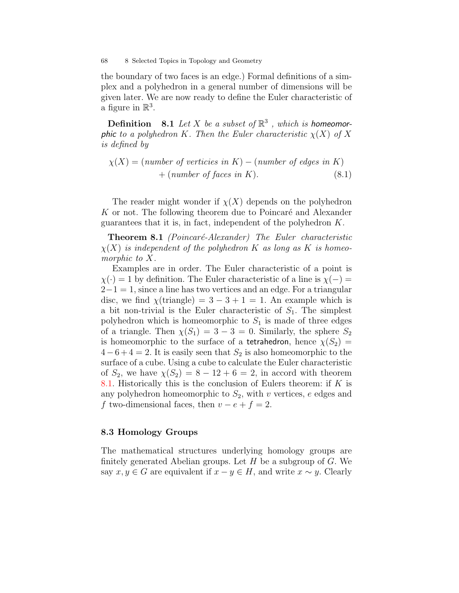68 8 Selected Topics in Topology and Geometry

the boundary of two faces is an edge.) Formal definitions of a simplex and a polyhedron in a general number of dimensions will be given later. We are now ready to define the Euler characteristic of a figure in  $\mathbb{R}^3$ .

**Definition** 8.1 Let X be a subset of  $\mathbb{R}^3$ , which is homeomorphic to a polyhedron K. Then the Euler characteristic  $\chi(X)$  of X is defined by

<span id="page-73-1"></span><span id="page-73-0"></span>
$$
\chi(X) = (number\ of\ vertices\ in\ K) - (number\ of\ edges\ in\ K) + (number\ of\ faces\ in\ K).
$$
 (8.1)

The reader might wonder if  $\chi(X)$  depends on the polyhedron  $K$  or not. The following theorem due to Poincaré and Alexander guarantees that it is, in fact, independent of the polyhedron  $K$ .

**Theorem 8.1** (Poincaré-Alexander) The Euler characteristic  $\chi(X)$  is independent of the polyhedron K as long as K is homeomorphic to X.

Examples are in order. The Euler characteristic of a point is  $\chi(\cdot) = 1$  by definition. The Euler characteristic of a line is  $\chi(-) =$  $2-1=1$ , since a line has two vertices and an edge. For a triangular disc, we find  $\chi$ (triangle) = 3 – 3 + 1 = 1. An example which is a bit non-trivial is the Euler characteristic of  $S_1$ . The simplest polyhedron which is homeomorphic to  $S_1$  is made of three edges of a triangle. Then  $\chi(S_1) = 3 - 3 = 0$ . Similarly, the sphere  $S_2$ is homeomorphic to the surface of a tetrahedron, hence  $\chi(S_2)$  =  $4-6+4=2$ . It is easily seen that  $S_2$  is also homeomorphic to the surface of a cube. Using a cube to calculate the Euler characteristic of  $S_2$ , we have  $\chi(S_2) = 8 - 12 + 6 = 2$ , in accord with theorem [8.1.](#page-73-0) Historically this is the conclusion of Eulers theorem: if K is any polyhedron homeomorphic to  $S_2$ , with v vertices, e edges and f two-dimensional faces, then  $v - e + f = 2$ .

# 8.3 Homology Groups

The mathematical structures underlying homology groups are finitely generated Abelian groups. Let  $H$  be a subgroup of  $G$ . We say  $x, y \in G$  are equivalent if  $x - y \in H$ , and write  $x \sim y$ . Clearly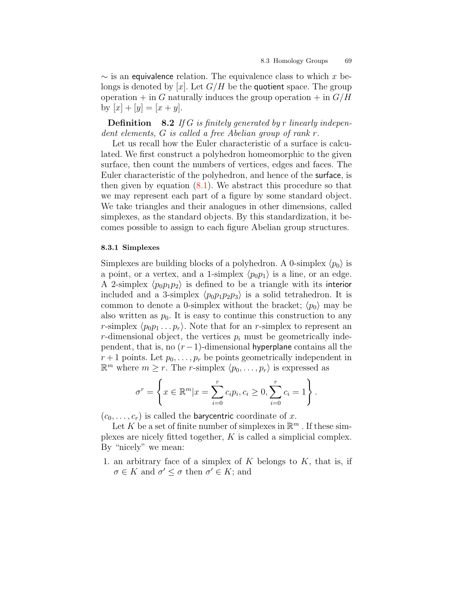$\sim$  is an equivalence relation. The equivalence class to which x belongs is denoted by [x]. Let  $G/H$  be the quotient space. The group operation  $+$  in G naturally induces the group operation  $+$  in  $G/H$ by  $[x] + [y] = [x + y]$ .

**Definition** 8.2 If G is finitely generated by r linearly independent elements, G is called a free Abelian group of rank r.

Let us recall how the Euler characteristic of a surface is calculated. We first construct a polyhedron homeomorphic to the given surface, then count the numbers of vertices, edges and faces. The Euler characteristic of the polyhedron, and hence of the surface, is then given by equation  $(8.1)$ . We abstract this procedure so that we may represent each part of a figure by some standard object. We take triangles and their analogues in other dimensions, called simplexes, as the standard objects. By this standardization, it becomes possible to assign to each figure Abelian group structures.

#### 8.3.1 Simplexes

Simplexes are building blocks of a polyhedron. A 0-simplex  $\langle p_0 \rangle$  is a point, or a vertex, and a 1-simplex  $\langle p_0 p_1 \rangle$  is a line, or an edge. A 2-simplex  $\langle p_0p_1p_2 \rangle$  is defined to be a triangle with its interior included and a 3-simplex  $\langle p_0p_1p_2p_3 \rangle$  is a solid tetrahedron. It is common to denote a 0-simplex without the bracket;  $\langle p_0 \rangle$  may be also written as  $p_0$ . It is easy to continue this construction to any r-simplex  $\langle p_0p_1 \ldots p_r \rangle$ . Note that for an r-simplex to represent an r-dimensional object, the vertices  $p_i$  must be geometrically independent, that is, no  $(r-1)$ -dimensional hyperplane contains all the  $r+1$  points. Let  $p_0, \ldots, p_r$  be points geometrically independent in  $\mathbb{R}^m$  where  $m \geq r$ . The r-simplex  $\langle p_0, \ldots, p_r \rangle$  is expressed as

$$
\sigma^r = \left\{ x \in \mathbb{R}^m | x = \sum_{i=0}^r c_i p_i, c_i \ge 0, \sum_{i=0}^r c_i = 1 \right\}.
$$

 $(c_0, \ldots, c_r)$  is called the **barycentric** coordinate of x.

Let K be a set of finite number of simplexes in  $\mathbb{R}^m$  . If these simplexes are nicely fitted together, K is called a simplicial complex. By "nicely" we mean:

1. an arbitrary face of a simplex of K belongs to K, that is, if  $\sigma \in K$  and  $\sigma' \leq \sigma$  then  $\sigma' \in K$ ; and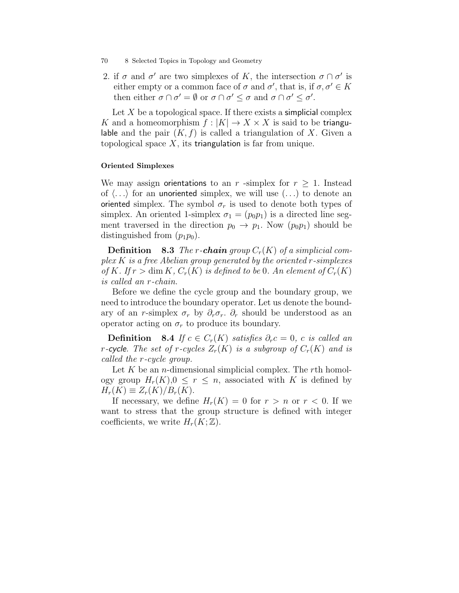- 70 8 Selected Topics in Topology and Geometry
- 2. if  $\sigma$  and  $\sigma'$  are two simplexes of K, the intersection  $\sigma \cap \sigma'$  is either empty or a common face of  $\sigma$  and  $\sigma'$ , that is, if  $\sigma, \sigma' \in K$ then either  $\sigma \cap \sigma' = \emptyset$  or  $\sigma \cap \sigma' \leq \sigma$  and  $\sigma \cap \sigma' \leq \sigma'$ .

Let  $X$  be a topological space. If there exists a simplicial complex K and a homeomorphism  $f : |K| \to X \times X$  is said to be triangulable and the pair  $(K, f)$  is called a triangulation of X. Given a topological space  $X$ , its triangulation is far from unique.

### Oriented Simplexes

We may assign orientations to an r-simplex for  $r \geq 1$ . Instead of  $\langle \ldots \rangle$  for an unoriented simplex, we will use  $(\ldots)$  to denote an oriented simplex. The symbol  $\sigma_r$  is used to denote both types of simplex. An oriented 1-simplex  $\sigma_1 = (p_0 p_1)$  is a directed line segment traversed in the direction  $p_0 \to p_1$ . Now  $(p_0 p_1)$  should be distinguished from  $(p_1p_0)$ .

**Definition** 8.3 The r-chain group  $C_r(K)$  of a simplicial com $plex K$  is a free Abelian group generated by the oriented r-simplexes of K. If  $r > \dim K$ ,  $C_r(K)$  is defined to be 0. An element of  $C_r(K)$ is called an r-chain.

Before we define the cycle group and the boundary group, we need to introduce the boundary operator. Let us denote the boundary of an r-simplex  $\sigma_r$  by  $\partial_r \sigma_r$ .  $\partial_r$  should be understood as an operator acting on  $\sigma_r$  to produce its boundary.

**Definition** 8.4 If  $c \in C_r(K)$  satisfies  $\partial_r c = 0$ , c is called an r-cycle. The set of r-cycles  $Z_r(K)$  is a subgroup of  $C_r(K)$  and is called the r-cycle group.

Let  $K$  be an *n*-dimensional simplicial complex. The  $r$ th homology group  $H_r(K)$ ,  $0 \leq r \leq n$ , associated with K is defined by  $H_r(K) \equiv Z_r(K)/B_r(K)$ .

If necessary, we define  $H_r(K) = 0$  for  $r > n$  or  $r < 0$ . If we want to stress that the group structure is defined with integer coefficients, we write  $H_r(K;\mathbb{Z})$ .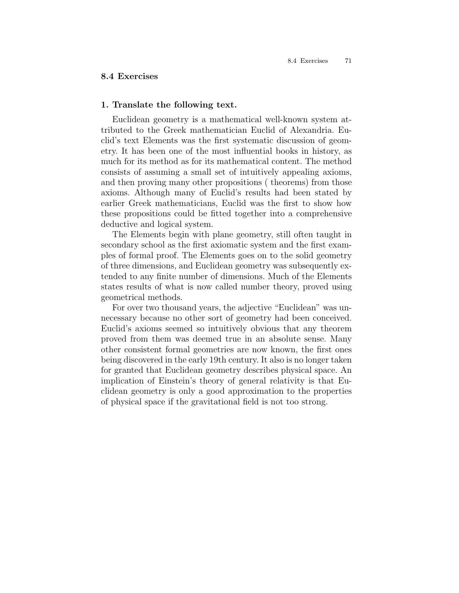# 8.4 Exercises

### 1. Translate the following text.

Euclidean geometry is a mathematical well-known system attributed to the Greek mathematician Euclid of Alexandria. Euclid's text Elements was the first systematic discussion of geometry. It has been one of the most influential books in history, as much for its method as for its mathematical content. The method consists of assuming a small set of intuitively appealing axioms, and then proving many other propositions ( theorems) from those axioms. Although many of Euclid's results had been stated by earlier Greek mathematicians, Euclid was the first to show how these propositions could be fitted together into a comprehensive deductive and logical system.

The Elements begin with plane geometry, still often taught in secondary school as the first axiomatic system and the first examples of formal proof. The Elements goes on to the solid geometry of three dimensions, and Euclidean geometry was subsequently extended to any finite number of dimensions. Much of the Elements states results of what is now called number theory, proved using geometrical methods.

For over two thousand years, the adjective "Euclidean" was unnecessary because no other sort of geometry had been conceived. Euclid's axioms seemed so intuitively obvious that any theorem proved from them was deemed true in an absolute sense. Many other consistent formal geometries are now known, the first ones being discovered in the early 19th century. It also is no longer taken for granted that Euclidean geometry describes physical space. An implication of Einstein's theory of general relativity is that Euclidean geometry is only a good approximation to the properties of physical space if the gravitational field is not too strong.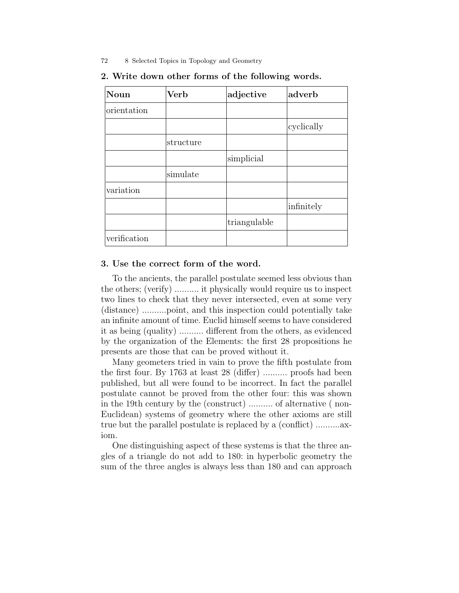72 8 Selected Topics in Topology and Geometry

| Noun         | Verb      | adjective    | adverb     |
|--------------|-----------|--------------|------------|
| orientation  |           |              |            |
|              |           |              | cyclically |
|              | structure |              |            |
|              |           | simplicial   |            |
|              | simulate  |              |            |
| variation    |           |              |            |
|              |           |              | infinitely |
|              |           | triangulable |            |
| verification |           |              |            |

2. Write down other forms of the following words.

# 3. Use the correct form of the word.

To the ancients, the parallel postulate seemed less obvious than the others; (verify) .......... it physically would require us to inspect two lines to check that they never intersected, even at some very (distance) ..........point, and this inspection could potentially take an infinite amount of time. Euclid himself seems to have considered it as being (quality) .......... different from the others, as evidenced by the organization of the Elements: the first 28 propositions he presents are those that can be proved without it.

Many geometers tried in vain to prove the fifth postulate from the first four. By 1763 at least 28 (differ) .......... proofs had been published, but all were found to be incorrect. In fact the parallel postulate cannot be proved from the other four: this was shown in the 19th century by the (construct) .......... of alternative ( non-Euclidean) systems of geometry where the other axioms are still true but the parallel postulate is replaced by a (conflict) ..........axiom.

One distinguishing aspect of these systems is that the three angles of a triangle do not add to 180: in hyperbolic geometry the sum of the three angles is always less than 180 and can approach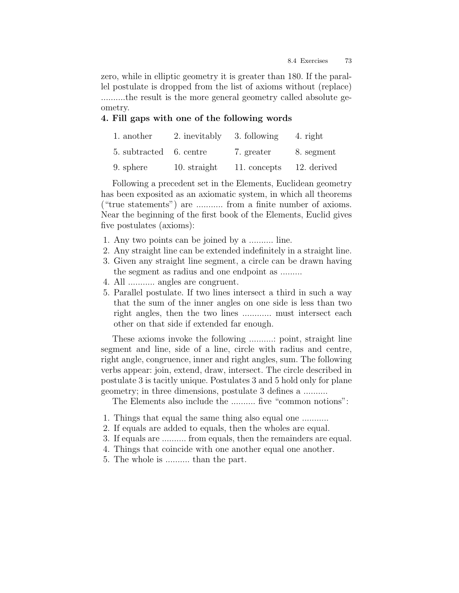zero, while in elliptic geometry it is greater than 180. If the parallel postulate is dropped from the list of axioms without (replace) ..........the result is the more general geometry called absolute geometry.

# 4. Fill gaps with one of the following words

| 1. another              | 2. inevitably | 3. following | 4. right    |
|-------------------------|---------------|--------------|-------------|
| 5. subtracted 6. centre |               | 7. greater   | 8. segment  |
| 9. sphere               | 10. straight  | 11. concepts | 12. derived |

Following a precedent set in the Elements, Euclidean geometry has been exposited as an axiomatic system, in which all theorems ("true statements") are ........... from a finite number of axioms. Near the beginning of the first book of the Elements, Euclid gives five postulates (axioms):

- 1. Any two points can be joined by a .......... line.
- 2. Any straight line can be extended indefinitely in a straight line.
- 3. Given any straight line segment, a circle can be drawn having the segment as radius and one endpoint as .........
- 4. All ........... angles are congruent.
- 5. Parallel postulate. If two lines intersect a third in such a way that the sum of the inner angles on one side is less than two right angles, then the two lines ............ must intersect each other on that side if extended far enough.

These axioms invoke the following ..........: point, straight line segment and line, side of a line, circle with radius and centre, right angle, congruence, inner and right angles, sum. The following verbs appear: join, extend, draw, intersect. The circle described in postulate 3 is tacitly unique. Postulates 3 and 5 hold only for plane geometry; in three dimensions, postulate 3 defines a ..........

The Elements also include the .......... five "common notions":

- 1. Things that equal the same thing also equal one ...........
- 2. If equals are added to equals, then the wholes are equal.
- 3. If equals are .......... from equals, then the remainders are equal.
- 4. Things that coincide with one another equal one another.
- 5. The whole is .......... than the part.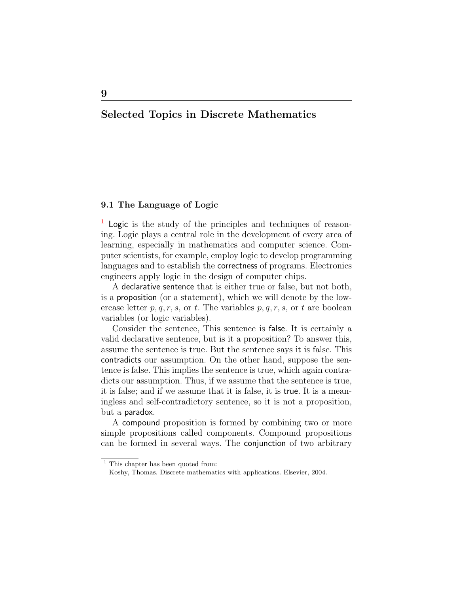# Selected Topics in Discrete Mathematics

# 9.1 The Language of Logic

<sup>[1](#page-0-0)</sup> Logic is the study of the principles and techniques of reasoning. Logic plays a central role in the development of every area of learning, especially in mathematics and computer science. Computer scientists, for example, employ logic to develop programming languages and to establish the correctness of programs. Electronics engineers apply logic in the design of computer chips.

A declarative sentence that is either true or false, but not both, is a proposition (or a statement), which we will denote by the lowercase letter  $p, q, r, s$ , or t. The variables  $p, q, r, s$ , or t are boolean variables (or logic variables).

Consider the sentence, This sentence is false. It is certainly a valid declarative sentence, but is it a proposition? To answer this, assume the sentence is true. But the sentence says it is false. This contradicts our assumption. On the other hand, suppose the sentence is false. This implies the sentence is true, which again contradicts our assumption. Thus, if we assume that the sentence is true, it is false; and if we assume that it is false, it is true. It is a meaningless and self-contradictory sentence, so it is not a proposition, but a paradox.

A compound proposition is formed by combining two or more simple propositions called components. Compound propositions can be formed in several ways. The conjunction of two arbitrary

 $<sup>1</sup>$  This chapter has been quoted from:</sup>

Koshy, Thomas. Discrete mathematics with applications. Elsevier, 2004.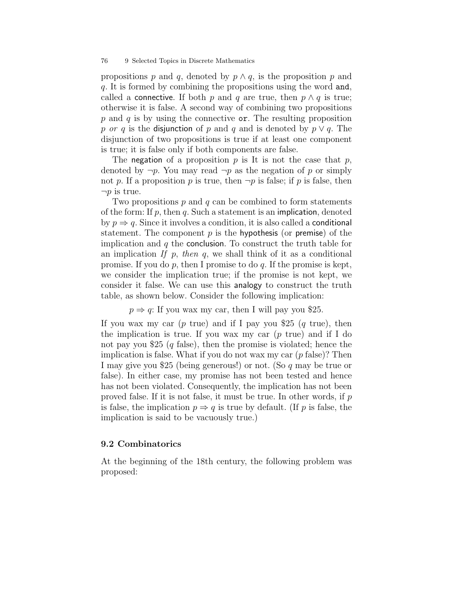#### 76 9 Selected Topics in Discrete Mathematics

propositions p and q, denoted by  $p \wedge q$ , is the proposition p and q. It is formed by combining the propositions using the word and, called a connective. If both p and q are true, then  $p \wedge q$  is true; otherwise it is false. A second way of combining two propositions  $p$  and  $q$  is by using the connective or. The resulting proposition p or q is the disjunction of p and q and is denoted by  $p \vee q$ . The disjunction of two propositions is true if at least one component is true; it is false only if both components are false.

The negation of a proposition  $p$  is It is not the case that  $p$ , denoted by  $\neg p$ . You may read  $\neg p$  as the negation of p or simply not p. If a proposition p is true, then  $\neg p$  is false; if p is false, then  $\neg p$  is true.

Two propositions  $p$  and  $q$  can be combined to form statements of the form: If  $p$ , then  $q$ . Such a statement is an implication, denoted by  $p \Rightarrow q$ . Since it involves a condition, it is also called a **conditional** statement. The component  $p$  is the hypothesis (or premise) of the implication and  $q$  the conclusion. To construct the truth table for an implication If  $p$ , then  $q$ , we shall think of it as a conditional promise. If you do  $p$ , then I promise to do  $q$ . If the promise is kept, we consider the implication true; if the promise is not kept, we consider it false. We can use this analogy to construct the truth table, as shown below. Consider the following implication:

 $p \Rightarrow q$ : If you wax my car, then I will pay you \$25.

If you wax my car  $(p \text{ true})$  and if I pay you \$25  $(q \text{ true})$ , then the implication is true. If you wax my car  $(p \text{ true})$  and if I do not pay you \$25 (q false), then the promise is violated; hence the implication is false. What if you do not wax my car  $(p \text{ false})$ ? Then I may give you \$25 (being generous!) or not. (So q may be true or false). In either case, my promise has not been tested and hence has not been violated. Consequently, the implication has not been proved false. If it is not false, it must be true. In other words, if p is false, the implication  $p \Rightarrow q$  is true by default. (If p is false, the implication is said to be vacuously true.)

# 9.2 Combinatorics

At the beginning of the 18th century, the following problem was proposed: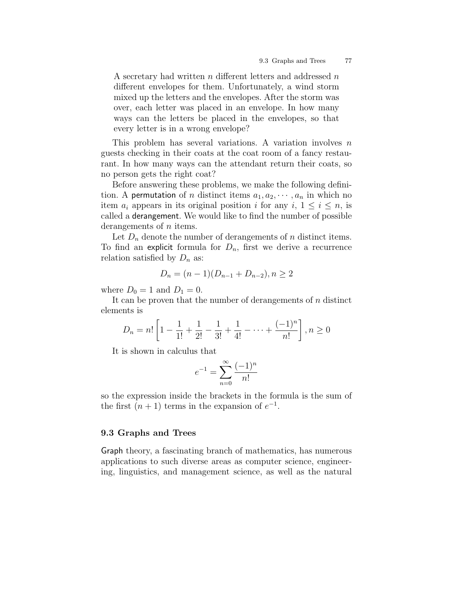A secretary had written  $n$  different letters and addressed  $n$ different envelopes for them. Unfortunately, a wind storm mixed up the letters and the envelopes. After the storm was over, each letter was placed in an envelope. In how many ways can the letters be placed in the envelopes, so that every letter is in a wrong envelope?

This problem has several variations. A variation involves  $n$ guests checking in their coats at the coat room of a fancy restaurant. In how many ways can the attendant return their coats, so no person gets the right coat?

Before answering these problems, we make the following definition. A permutation of *n* distinct items  $a_1, a_2, \dots, a_n$  in which no item  $a_i$  appears in its original position i for any  $i, 1 \leq i \leq n$ , is called a derangement. We would like to find the number of possible derangements of *n* items.

Let  $D_n$  denote the number of derangements of n distinct items. To find an explicit formula for  $D_n$ , first we derive a recurrence relation satisfied by  $D_n$  as:

$$
D_n = (n-1)(D_{n-1} + D_{n-2}), n \ge 2
$$

where  $D_0 = 1$  and  $D_1 = 0$ .

It can be proven that the number of derangements of  $n$  distinct elements is

$$
D_n = n! \left[ 1 - \frac{1}{1!} + \frac{1}{2!} - \frac{1}{3!} + \frac{1}{4!} - \dots + \frac{(-1)^n}{n!} \right], n \ge 0
$$

It is shown in calculus that

$$
e^{-1} = \sum_{n=0}^{\infty} \frac{(-1)^n}{n!}
$$

so the expression inside the brackets in the formula is the sum of the first  $(n + 1)$  terms in the expansion of  $e^{-1}$ .

### 9.3 Graphs and Trees

Graph theory, a fascinating branch of mathematics, has numerous applications to such diverse areas as computer science, engineering, linguistics, and management science, as well as the natural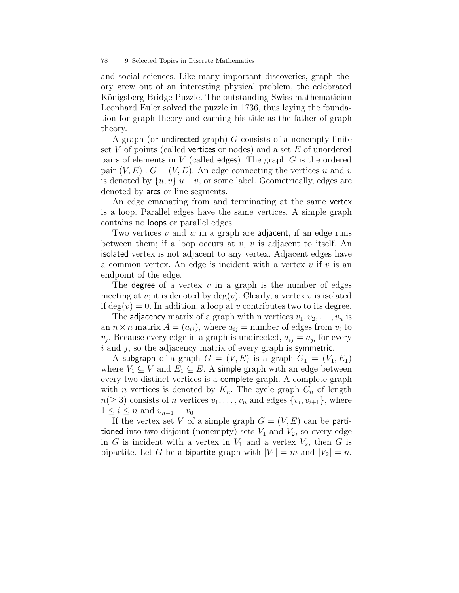78 9 Selected Topics in Discrete Mathematics

and social sciences. Like many important discoveries, graph theory grew out of an interesting physical problem, the celebrated Königsberg Bridge Puzzle. The outstanding Swiss mathematician Leonhard Euler solved the puzzle in 1736, thus laying the foundation for graph theory and earning his title as the father of graph theory.

A graph (or **undirected** graph)  $G$  consists of a nonempty finite set V of points (called vertices or nodes) and a set  $E$  of unordered pairs of elements in  $V$  (called **edges**). The graph  $G$  is the ordered pair  $(V, E): G = (V, E)$ . An edge connecting the vertices u and v is denoted by  $\{u, v\}$ ,  $u - v$ , or some label. Geometrically, edges are denoted by arcs or line segments.

An edge emanating from and terminating at the same vertex is a loop. Parallel edges have the same vertices. A simple graph contains no loops or parallel edges.

Two vertices v and w in a graph are adjacent, if an edge runs between them; if a loop occurs at  $v, v$  is adjacent to itself. An isolated vertex is not adjacent to any vertex. Adjacent edges have a common vertex. An edge is incident with a vertex  $v$  if  $v$  is an endpoint of the edge.

The degree of a vertex  $v$  in a graph is the number of edges meeting at v; it is denoted by  $deg(v)$ . Clearly, a vertex v is isolated if  $deg(v) = 0$ . In addition, a loop at v contributes two to its degree.

The adjacency matrix of a graph with n vertices  $v_1, v_2, \ldots, v_n$  is an  $n \times n$  matrix  $A = (a_{ij})$ , where  $a_{ij}$  = number of edges from  $v_i$  to  $v_j$ . Because every edge in a graph is undirected,  $a_{ij} = a_{ji}$  for every  $i$  and  $j$ , so the adjacency matrix of every graph is symmetric.

A subgraph of a graph  $G = (V, E)$  is a graph  $G_1 = (V_1, E_1)$ where  $V_1 \subseteq V$  and  $E_1 \subseteq E$ . A simple graph with an edge between every two distinct vertices is a complete graph. A complete graph with *n* vertices is denoted by  $K_n$ . The cycle graph  $C_n$  of length  $n(\geq 3)$  consists of n vertices  $v_1, \ldots, v_n$  and edges  $\{v_i, v_{i+1}\}\$ , where  $1 \leq i \leq n$  and  $v_{n+1} = v_0$ 

If the vertex set V of a simple graph  $G = (V, E)$  can be partitioned into two disjoint (nonempty) sets  $V_1$  and  $V_2$ , so every edge in G is incident with a vertex in  $V_1$  and a vertex  $V_2$ , then G is bipartite. Let G be a bipartite graph with  $|V_1| = m$  and  $|V_2| = n$ .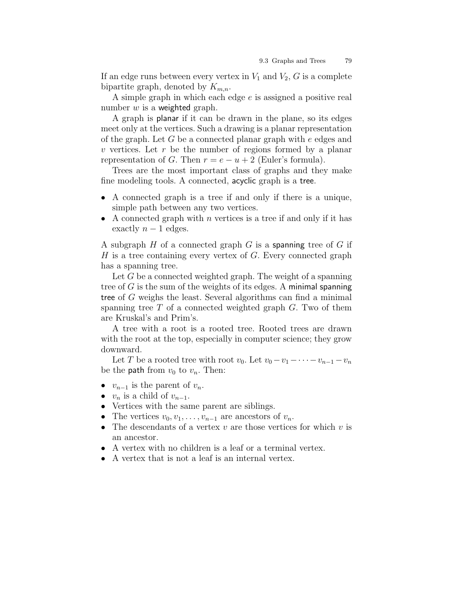If an edge runs between every vertex in  $V_1$  and  $V_2$ , G is a complete bipartite graph, denoted by  $K_{m,n}$ .

A simple graph in which each edge e is assigned a positive real number  $w$  is a weighted graph.

A graph is planar if it can be drawn in the plane, so its edges meet only at the vertices. Such a drawing is a planar representation of the graph. Let  $G$  be a connected planar graph with  $e$  edges and v vertices. Let r be the number of regions formed by a planar representation of G. Then  $r = e - u + 2$  (Euler's formula).

Trees are the most important class of graphs and they make fine modeling tools. A connected, acyclic graph is a tree.

- A connected graph is a tree if and only if there is a unique, simple path between any two vertices.
- A connected graph with  $n$  vertices is a tree if and only if it has exactly  $n-1$  edges.

A subgraph H of a connected graph G is a spanning tree of G if H is a tree containing every vertex of  $G$ . Every connected graph has a spanning tree.

Let G be a connected weighted graph. The weight of a spanning tree of  $G$  is the sum of the weights of its edges. A minimal spanning tree of G weighs the least. Several algorithms can find a minimal spanning tree  $T$  of a connected weighted graph  $G$ . Two of them are Kruskal's and Prim's.

A tree with a root is a rooted tree. Rooted trees are drawn with the root at the top, especially in computer science; they grow downward.

Let T be a rooted tree with root  $v_0$ . Let  $v_0 - v_1 - \cdots - v_{n-1} - v_n$ be the path from  $v_0$  to  $v_n$ . Then:

- $v_{n-1}$  is the parent of  $v_n$ .
- $v_n$  is a child of  $v_{n-1}$ .
- Vertices with the same parent are siblings.
- The vertices  $v_0, v_1, \ldots, v_{n-1}$  are ancestors of  $v_n$ .
- The descendants of a vertex v are those vertices for which v is an ancestor.
- A vertex with no children is a leaf or a terminal vertex.
- A vertex that is not a leaf is an internal vertex.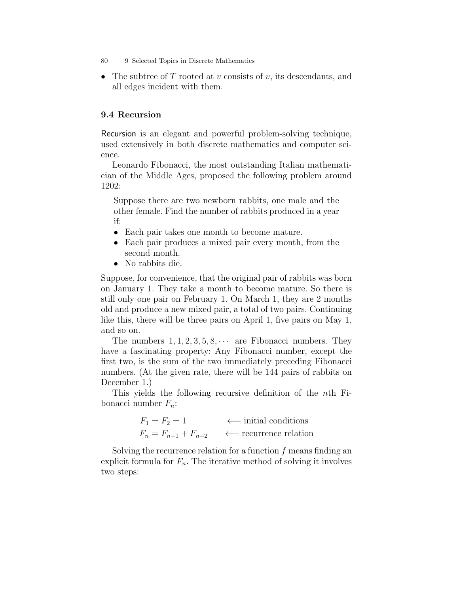- 80 9 Selected Topics in Discrete Mathematics
- The subtree of  $T$  rooted at  $v$  consists of  $v$ , its descendants, and all edges incident with them.

# 9.4 Recursion

Recursion is an elegant and powerful problem-solving technique, used extensively in both discrete mathematics and computer science.

Leonardo Fibonacci, the most outstanding Italian mathematician of the Middle Ages, proposed the following problem around 1202:

Suppose there are two newborn rabbits, one male and the other female. Find the number of rabbits produced in a year if:

- Each pair takes one month to become mature.
- Each pair produces a mixed pair every month, from the second month.
- No rabbits die.

Suppose, for convenience, that the original pair of rabbits was born on January 1. They take a month to become mature. So there is still only one pair on February 1. On March 1, they are 2 months old and produce a new mixed pair, a total of two pairs. Continuing like this, there will be three pairs on April 1, five pairs on May 1, and so on.

The numbers  $1, 1, 2, 3, 5, 8, \cdots$  are Fibonacci numbers. They have a fascinating property: Any Fibonacci number, except the first two, is the sum of the two immediately preceding Fibonacci numbers. (At the given rate, there will be 144 pairs of rabbits on December 1.)

This yields the following recursive definition of the nth Fibonacci number  $F_n$ :

> $F_1 = F_2 = 1$  ← initial conditions  $F_n = F_{n-1} + F_{n-2}$  ← recurrence relation

Solving the recurrence relation for a function  $f$  means finding an explicit formula for  $F_n$ . The iterative method of solving it involves two steps: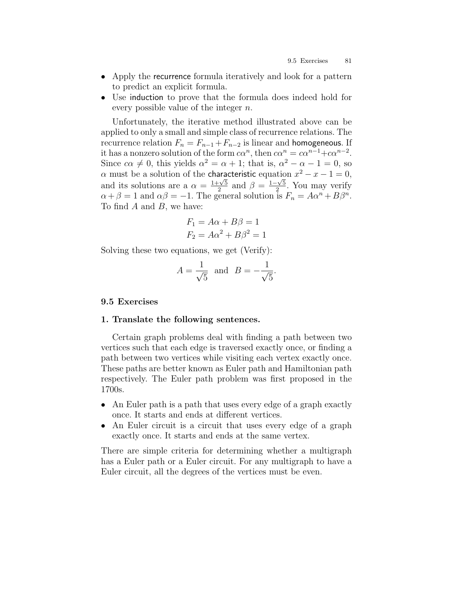- Apply the recurrence formula iteratively and look for a pattern to predict an explicit formula.
- Use induction to prove that the formula does indeed hold for every possible value of the integer n.

Unfortunately, the iterative method illustrated above can be applied to only a small and simple class of recurrence relations. The recurrence relation  $F_n = F_{n-1} + F_{n-2}$  is linear and homogeneous. If it has a nonzero solution of the form  $c\alpha^n$ , then  $c\alpha^n = c\alpha^{n-1} + c\alpha^{n-2}$ . Since  $c\alpha \neq 0$ , this yields  $\alpha^2 = \alpha + 1$ ; that is,  $\alpha^2 - \alpha - 1 = 0$ , so  $\alpha$  must be a solution of the characteristic equation  $x^2 - x - 1 = 0$ , and its solutions are a  $\alpha = \frac{1+\sqrt{5}}{2}$ and  $\beta = \frac{1-\sqrt{5}}{2}$  $\frac{\sqrt{5}}{2}$ . You may verify  $\alpha + \beta = 1$  and  $\alpha\beta = -1$ . The general solution is  $F_n = A\alpha^n + B\beta^n$ . To find  $A$  and  $B$ , we have:

$$
F_1 = A\alpha + B\beta = 1
$$
  

$$
F_2 = A\alpha^2 + B\beta^2 = 1
$$

Solving these two equations, we get (Verify):

$$
A = \frac{1}{\sqrt{5}} \quad \text{and} \quad B = -\frac{1}{\sqrt{5}}.
$$

## 9.5 Exercises

### 1. Translate the following sentences.

Certain graph problems deal with finding a path between two vertices such that each edge is traversed exactly once, or finding a path between two vertices while visiting each vertex exactly once. These paths are better known as Euler path and Hamiltonian path respectively. The Euler path problem was first proposed in the 1700s.

- An Euler path is a path that uses every edge of a graph exactly once. It starts and ends at different vertices.
- An Euler circuit is a circuit that uses every edge of a graph exactly once. It starts and ends at the same vertex.

There are simple criteria for determining whether a multigraph has a Euler path or a Euler circuit. For any multigraph to have a Euler circuit, all the degrees of the vertices must be even.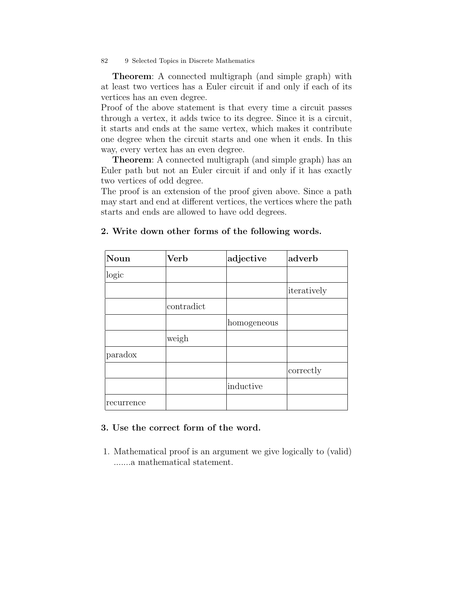Theorem: A connected multigraph (and simple graph) with at least two vertices has a Euler circuit if and only if each of its vertices has an even degree.

Proof of the above statement is that every time a circuit passes through a vertex, it adds twice to its degree. Since it is a circuit, it starts and ends at the same vertex, which makes it contribute one degree when the circuit starts and one when it ends. In this way, every vertex has an even degree.

Theorem: A connected multigraph (and simple graph) has an Euler path but not an Euler circuit if and only if it has exactly two vertices of odd degree.

The proof is an extension of the proof given above. Since a path may start and end at different vertices, the vertices where the path starts and ends are allowed to have odd degrees.

| Noun       | <b>Verb</b> | adjective   | adverb      |
|------------|-------------|-------------|-------------|
| logic      |             |             |             |
|            |             |             | iteratively |
|            | contradict  |             |             |
|            |             | homogeneous |             |
|            | weigh       |             |             |
| paradox    |             |             |             |
|            |             |             | correctly   |
|            |             | inductive   |             |
| recurrence |             |             |             |

# 2. Write down other forms of the following words.

# 3. Use the correct form of the word.

1. Mathematical proof is an argument we give logically to (valid) .......a mathematical statement.

<sup>82 9</sup> Selected Topics in Discrete Mathematics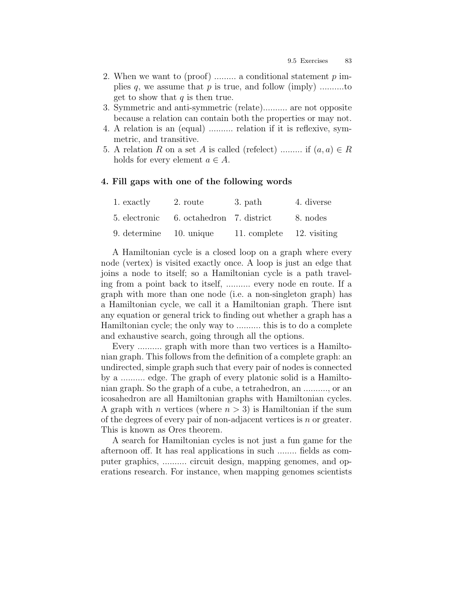- 2. When we want to (proof)  $\dots \dots$  a conditional statement p implies q, we assume that  $p$  is true, and follow (imply) ..........to get to show that  $q$  is then true.
- 3. Symmetric and anti-symmetric (relate).......... are not opposite because a relation can contain both the properties or may not.
- 4. A relation is an (equal) .......... relation if it is reflexive, symmetric, and transitive.
- 5. A relation R on a set A is called (refelect) ......... if  $(a, a) \in R$ holds for every element  $a \in A$ .

# 4. Fill gaps with one of the following words

| 1. exactly | 2. route                                          | 3. path | 4. diverse |
|------------|---------------------------------------------------|---------|------------|
|            | 5. electronic 6. octahedron 7. district 8. nodes  |         |            |
|            | 9. determine 10. unique 11. complete 12. visiting |         |            |

A Hamiltonian cycle is a closed loop on a graph where every node (vertex) is visited exactly once. A loop is just an edge that joins a node to itself; so a Hamiltonian cycle is a path traveling from a point back to itself, .......... every node en route. If a graph with more than one node (i.e. a non-singleton graph) has a Hamiltonian cycle, we call it a Hamiltonian graph. There isnt any equation or general trick to finding out whether a graph has a Hamiltonian cycle; the only way to .......... this is to do a complete and exhaustive search, going through all the options.

Every .......... graph with more than two vertices is a Hamiltonian graph. This follows from the definition of a complete graph: an undirected, simple graph such that every pair of nodes is connected by a .......... edge. The graph of every platonic solid is a Hamiltonian graph. So the graph of a cube, a tetrahedron, an .........., or an icosahedron are all Hamiltonian graphs with Hamiltonian cycles. A graph with *n* vertices (where  $n > 3$ ) is Hamiltonian if the sum of the degrees of every pair of non-adjacent vertices is  $n$  or greater. This is known as Ores theorem.

A search for Hamiltonian cycles is not just a fun game for the afternoon off. It has real applications in such ........ fields as computer graphics, .......... circuit design, mapping genomes, and operations research. For instance, when mapping genomes scientists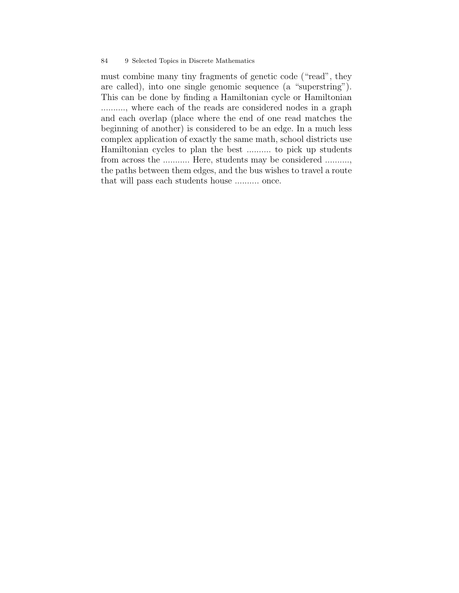#### 84 9 Selected Topics in Discrete Mathematics

must combine many tiny fragments of genetic code ("read", they are called), into one single genomic sequence (a "superstring"). This can be done by finding a Hamiltonian cycle or Hamiltonian .........., where each of the reads are considered nodes in a graph and each overlap (place where the end of one read matches the beginning of another) is considered to be an edge. In a much less complex application of exactly the same math, school districts use Hamiltonian cycles to plan the best .......... to pick up students from across the ........... Here, students may be considered .........., the paths between them edges, and the bus wishes to travel a route that will pass each students house .......... once.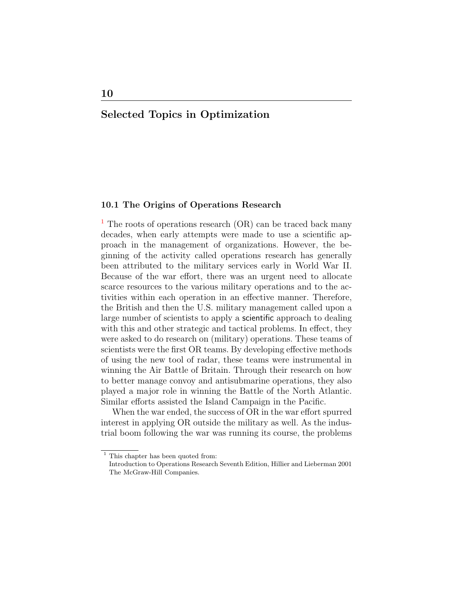# Selected Topics in Optimization

# 10.1 The Origins of Operations Research

<sup>[1](#page-0-0)</sup> The roots of operations research (OR) can be traced back many decades, when early attempts were made to use a scientific approach in the management of organizations. However, the beginning of the activity called operations research has generally been attributed to the military services early in World War II. Because of the war effort, there was an urgent need to allocate scarce resources to the various military operations and to the activities within each operation in an effective manner. Therefore, the British and then the U.S. military management called upon a large number of scientists to apply a scientific approach to dealing with this and other strategic and tactical problems. In effect, they were asked to do research on (military) operations. These teams of scientists were the first OR teams. By developing effective methods of using the new tool of radar, these teams were instrumental in winning the Air Battle of Britain. Through their research on how to better manage convoy and antisubmarine operations, they also played a major role in winning the Battle of the North Atlantic. Similar efforts assisted the Island Campaign in the Pacific.

When the war ended, the success of OR in the war effort spurred interest in applying OR outside the military as well. As the industrial boom following the war was running its course, the problems

 $<sup>1</sup>$  This chapter has been quoted from:</sup>

Introduction to Operations Research Seventh Edition, Hillier and Lieberman 2001 The McGraw-Hill Companies.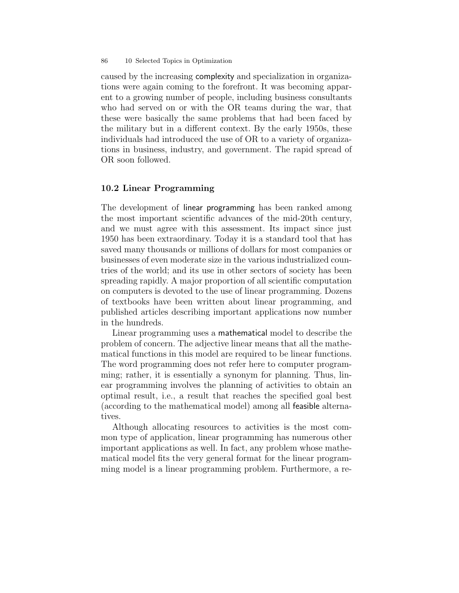caused by the increasing complexity and specialization in organizations were again coming to the forefront. It was becoming apparent to a growing number of people, including business consultants who had served on or with the OR teams during the war, that these were basically the same problems that had been faced by the military but in a different context. By the early 1950s, these individuals had introduced the use of OR to a variety of organizations in business, industry, and government. The rapid spread of OR soon followed.

# 10.2 Linear Programming

The development of linear programming has been ranked among the most important scientific advances of the mid-20th century, and we must agree with this assessment. Its impact since just 1950 has been extraordinary. Today it is a standard tool that has saved many thousands or millions of dollars for most companies or businesses of even moderate size in the various industrialized countries of the world; and its use in other sectors of society has been spreading rapidly. A major proportion of all scientific computation on computers is devoted to the use of linear programming. Dozens of textbooks have been written about linear programming, and published articles describing important applications now number in the hundreds.

Linear programming uses a mathematical model to describe the problem of concern. The adjective linear means that all the mathematical functions in this model are required to be linear functions. The word programming does not refer here to computer programming; rather, it is essentially a synonym for planning. Thus, linear programming involves the planning of activities to obtain an optimal result, i.e., a result that reaches the specified goal best (according to the mathematical model) among all feasible alternatives.

Although allocating resources to activities is the most common type of application, linear programming has numerous other important applications as well. In fact, any problem whose mathematical model fits the very general format for the linear programming model is a linear programming problem. Furthermore, a re-

<sup>86 10</sup> Selected Topics in Optimization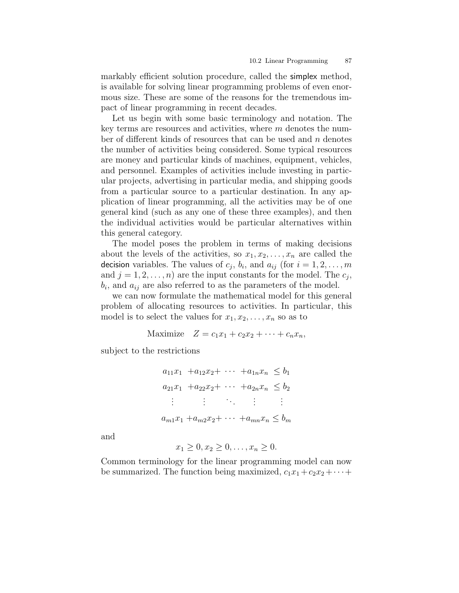markably efficient solution procedure, called the simplex method, is available for solving linear programming problems of even enormous size. These are some of the reasons for the tremendous impact of linear programming in recent decades.

Let us begin with some basic terminology and notation. The key terms are resources and activities, where m denotes the number of different kinds of resources that can be used and  $n$  denotes the number of activities being considered. Some typical resources are money and particular kinds of machines, equipment, vehicles, and personnel. Examples of activities include investing in particular projects, advertising in particular media, and shipping goods from a particular source to a particular destination. In any application of linear programming, all the activities may be of one general kind (such as any one of these three examples), and then the individual activities would be particular alternatives within this general category.

The model poses the problem in terms of making decisions about the levels of the activities, so  $x_1, x_2, \ldots, x_n$  are called the decision variables. The values of  $c_j$ ,  $b_i$ , and  $a_{ij}$  (for  $i = 1, 2, \ldots, m$ and  $j = 1, 2, \ldots, n$  are the input constants for the model. The  $c_j$ ,  $b_i$ , and  $a_{ij}$  are also referred to as the parameters of the model.

we can now formulate the mathematical model for this general problem of allocating resources to activities. In particular, this model is to select the values for  $x_1, x_2, \ldots, x_n$  so as to

Maximize  $Z = c_1x_1 + c_2x_2 + \cdots + c_nx_n$ 

subject to the restrictions

$$
a_{11}x_1 + a_{12}x_2 + \cdots + a_{1n}x_n \leq b_1
$$
  
\n
$$
a_{21}x_1 + a_{22}x_2 + \cdots + a_{2n}x_n \leq b_2
$$
  
\n
$$
\vdots \qquad \vdots \qquad \vdots \qquad \vdots
$$
  
\n
$$
a_{m1}x_1 + a_{m2}x_2 + \cdots + a_{mn}x_n \leq b_m
$$

and

$$
x_1 \geq 0, x_2 \geq 0, \ldots, x_n \geq 0.
$$

Common terminology for the linear programming model can now be summarized. The function being maximized,  $c_1x_1 + c_2x_2 + \cdots$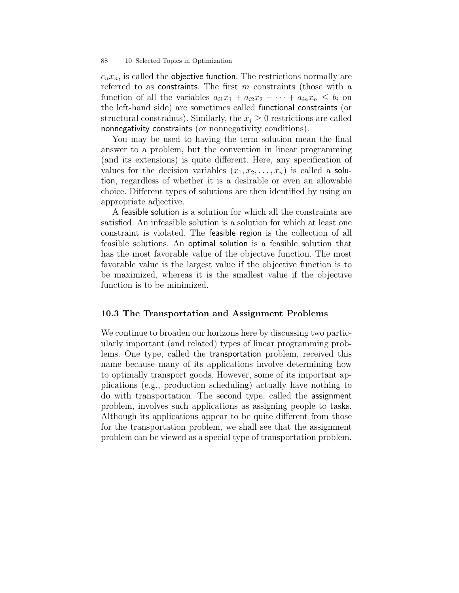#### 88 10 Selected Topics in Optimization

 $c_n x_n$ , is called the objective function. The restrictions normally are referred to as constraints. The first  $m$  constraints (those with a function of all the variables  $a_{i1}x_1 + a_{i2}x_2 + \cdots + a_{in}x_n \leq b_i$  on the left-hand side) are sometimes called functional constraints (or structural constraints). Similarly, the  $x_i \geq 0$  restrictions are called nonnegativity constraints (or nonnegativity conditions).

You may be used to having the term solution mean the final answer to a problem, but the convention in linear programming (and its extensions) is quite different. Here, any specification of values for the decision variables  $(x_1, x_2, \ldots, x_n)$  is called a solution, regardless of whether it is a desirable or even an allowable choice. Different types of solutions are then identified by using an appropriate adjective.

A feasible solution is a solution for which all the constraints are satisfied. An infeasible solution is a solution for which at least one constraint is violated. The feasible region is the collection of all feasible solutions. An optimal solution is a feasible solution that has the most favorable value of the objective function. The most favorable value is the largest value if the objective function is to be maximized, whereas it is the smallest value if the objective function is to be minimized.

### 10.3 The Transportation and Assignment Problems

We continue to broaden our horizons here by discussing two particularly important (and related) types of linear programming problems. One type, called the transportation problem, received this name because many of its applications involve determining how to optimally transport goods. However, some of its important applications (e.g., production scheduling) actually have nothing to do with transportation. The second type, called the assignment problem, involves such applications as assigning people to tasks. Although its applications appear to be quite different from those for the transportation problem, we shall see that the assignment problem can be viewed as a special type of transportation problem.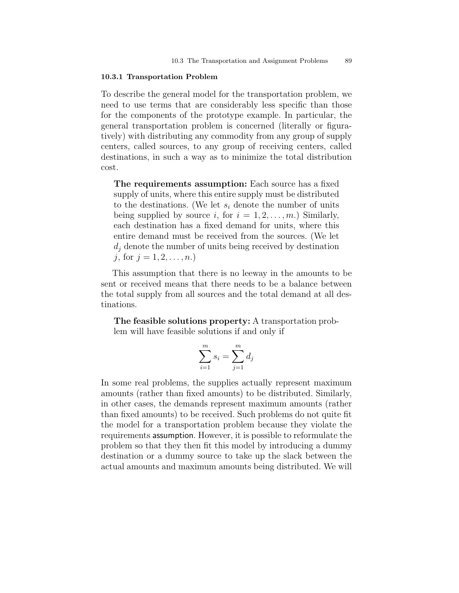#### 10.3.1 Transportation Problem

To describe the general model for the transportation problem, we need to use terms that are considerably less specific than those for the components of the prototype example. In particular, the general transportation problem is concerned (literally or figuratively) with distributing any commodity from any group of supply centers, called sources, to any group of receiving centers, called destinations, in such a way as to minimize the total distribution cost.

The requirements assumption: Each source has a fixed supply of units, where this entire supply must be distributed to the destinations. (We let  $s_i$  denote the number of units being supplied by source i, for  $i = 1, 2, \ldots, m$ .) Similarly, each destination has a fixed demand for units, where this entire demand must be received from the sources. (We let  $d_i$  denote the number of units being received by destination j, for  $j = 1, 2, ..., n$ .)

This assumption that there is no leeway in the amounts to be sent or received means that there needs to be a balance between the total supply from all sources and the total demand at all destinations.

The feasible solutions property: A transportation problem will have feasible solutions if and only if

$$
\sum_{i=1}^{m} s_i = \sum_{j=1}^{m} d_j
$$

In some real problems, the supplies actually represent maximum amounts (rather than fixed amounts) to be distributed. Similarly, in other cases, the demands represent maximum amounts (rather than fixed amounts) to be received. Such problems do not quite fit the model for a transportation problem because they violate the requirements assumption. However, it is possible to reformulate the problem so that they then fit this model by introducing a dummy destination or a dummy source to take up the slack between the actual amounts and maximum amounts being distributed. We will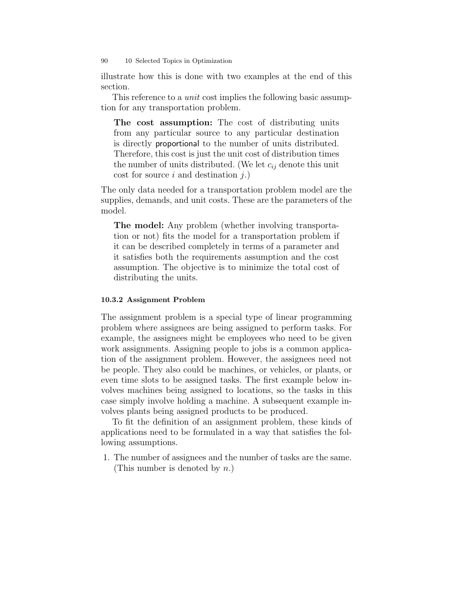illustrate how this is done with two examples at the end of this section.

This reference to a *unit* cost implies the following basic assumption for any transportation problem.

The cost assumption: The cost of distributing units from any particular source to any particular destination is directly proportional to the number of units distributed. Therefore, this cost is just the unit cost of distribution times the number of units distributed. (We let  $c_{ij}$  denote this unit cost for source  $i$  and destination  $j$ .)

The only data needed for a transportation problem model are the supplies, demands, and unit costs. These are the parameters of the model.

The model: Any problem (whether involving transportation or not) fits the model for a transportation problem if it can be described completely in terms of a parameter and it satisfies both the requirements assumption and the cost assumption. The objective is to minimize the total cost of distributing the units.

### 10.3.2 Assignment Problem

The assignment problem is a special type of linear programming problem where assignees are being assigned to perform tasks. For example, the assignees might be employees who need to be given work assignments. Assigning people to jobs is a common application of the assignment problem. However, the assignees need not be people. They also could be machines, or vehicles, or plants, or even time slots to be assigned tasks. The first example below involves machines being assigned to locations, so the tasks in this case simply involve holding a machine. A subsequent example involves plants being assigned products to be produced.

To fit the definition of an assignment problem, these kinds of applications need to be formulated in a way that satisfies the following assumptions.

1. The number of assignees and the number of tasks are the same. (This number is denoted by  $n$ .)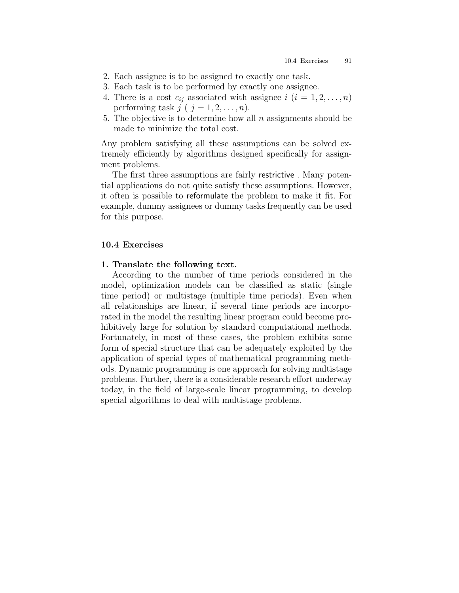- 2. Each assignee is to be assigned to exactly one task.
- 3. Each task is to be performed by exactly one assignee.
- 4. There is a cost  $c_{ij}$  associated with assignee  $i$   $(i = 1, 2, \ldots, n)$ performing task  $j$  (  $j = 1, 2, \ldots, n$ ).
- 5. The objective is to determine how all  $n$  assignments should be made to minimize the total cost.

Any problem satisfying all these assumptions can be solved extremely efficiently by algorithms designed specifically for assignment problems.

The first three assumptions are fairly restrictive . Many potential applications do not quite satisfy these assumptions. However, it often is possible to reformulate the problem to make it fit. For example, dummy assignees or dummy tasks frequently can be used for this purpose.

# 10.4 Exercises

#### 1. Translate the following text.

According to the number of time periods considered in the model, optimization models can be classified as static (single time period) or multistage (multiple time periods). Even when all relationships are linear, if several time periods are incorporated in the model the resulting linear program could become prohibitively large for solution by standard computational methods. Fortunately, in most of these cases, the problem exhibits some form of special structure that can be adequately exploited by the application of special types of mathematical programming methods. Dynamic programming is one approach for solving multistage problems. Further, there is a considerable research effort underway today, in the field of large-scale linear programming, to develop special algorithms to deal with multistage problems.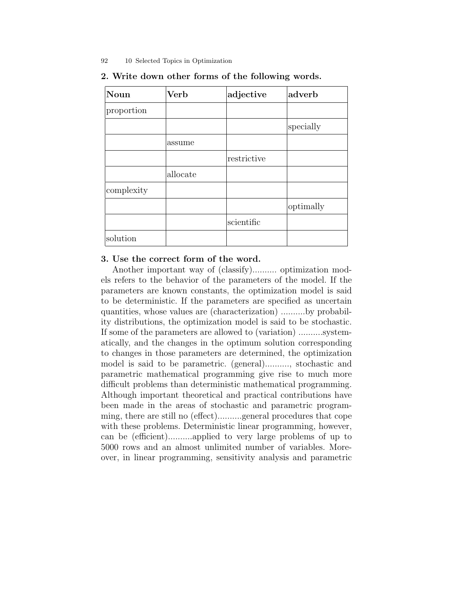92 10 Selected Topics in Optimization

| Noun       | <b>Verb</b> | adjective   | adverb    |
|------------|-------------|-------------|-----------|
| proportion |             |             |           |
|            |             |             | specially |
|            | assume      |             |           |
|            |             | restrictive |           |
|            | allocate    |             |           |
| complexity |             |             |           |
|            |             |             | optimally |
|            |             | scientific  |           |
| solution   |             |             |           |

2. Write down other forms of the following words.

# 3. Use the correct form of the word.

Another important way of (classify).......... optimization models refers to the behavior of the parameters of the model. If the parameters are known constants, the optimization model is said to be deterministic. If the parameters are specified as uncertain quantities, whose values are (characterization) ..........by probability distributions, the optimization model is said to be stochastic. If some of the parameters are allowed to (variation) ..........systematically, and the changes in the optimum solution corresponding to changes in those parameters are determined, the optimization model is said to be parametric. (general).........., stochastic and parametric mathematical programming give rise to much more difficult problems than deterministic mathematical programming. Although important theoretical and practical contributions have been made in the areas of stochastic and parametric programming, there are still no (effect)..........general procedures that cope with these problems. Deterministic linear programming, however, can be (efficient)..........applied to very large problems of up to 5000 rows and an almost unlimited number of variables. Moreover, in linear programming, sensitivity analysis and parametric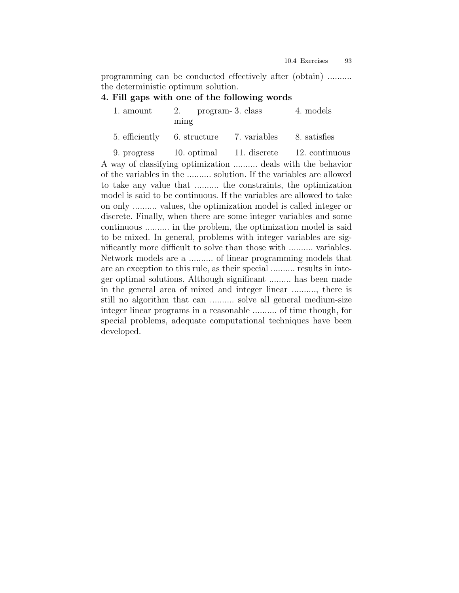programming can be conducted effectively after (obtain) .......... the deterministic optimum solution.

# 4. Fill gaps with one of the following words

| 1. amount | 2. program-3. class | 4. models |
|-----------|---------------------|-----------|
|           | ming                |           |
|           |                     |           |

5. efficiently 6. structure 7. variables 8. satisfies

9. progress 10. optimal 11. discrete 12. continuous A way of classifying optimization .......... deals with the behavior of the variables in the .......... solution. If the variables are allowed to take any value that .......... the constraints, the optimization model is said to be continuous. If the variables are allowed to take on only .......... values, the optimization model is called integer or discrete. Finally, when there are some integer variables and some continuous .......... in the problem, the optimization model is said to be mixed. In general, problems with integer variables are significantly more difficult to solve than those with .......... variables. Network models are a .......... of linear programming models that are an exception to this rule, as their special .......... results in integer optimal solutions. Although significant ......... has been made in the general area of mixed and integer linear .........., there is still no algorithm that can .......... solve all general medium-size integer linear programs in a reasonable .......... of time though, for special problems, adequate computational techniques have been developed.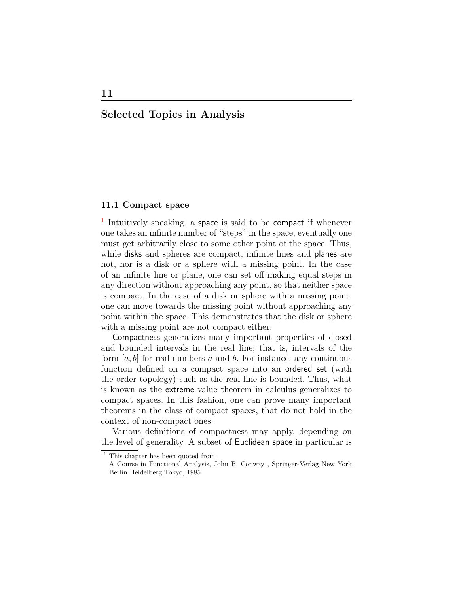# Selected Topics in Analysis

# 11.1 Compact space

<sup>[1](#page-0-0)</sup> Intuitively speaking, a space is said to be compact if whenever one takes an infinite number of "steps" in the space, eventually one must get arbitrarily close to some other point of the space. Thus, while disks and spheres are compact, infinite lines and planes are not, nor is a disk or a sphere with a missing point. In the case of an infinite line or plane, one can set off making equal steps in any direction without approaching any point, so that neither space is compact. In the case of a disk or sphere with a missing point, one can move towards the missing point without approaching any point within the space. This demonstrates that the disk or sphere with a missing point are not compact either.

Compactness generalizes many important properties of closed and bounded intervals in the real line; that is, intervals of the form  $[a, b]$  for real numbers a and b. For instance, any continuous function defined on a compact space into an ordered set (with the order topology) such as the real line is bounded. Thus, what is known as the extreme value theorem in calculus generalizes to compact spaces. In this fashion, one can prove many important theorems in the class of compact spaces, that do not hold in the context of non-compact ones.

Various definitions of compactness may apply, depending on the level of generality. A subset of Euclidean space in particular is

 $<sup>1</sup>$  This chapter has been quoted from:</sup>

A Course in Functional Analysis, John B. Conway , Springer-Verlag New York Berlin Heidelberg Tokyo, 1985.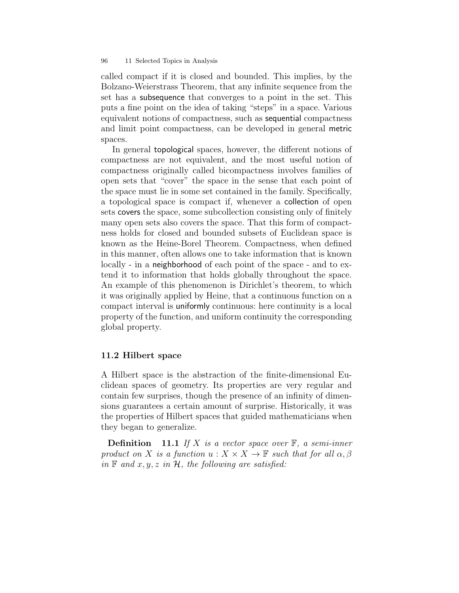#### 96 11 Selected Topics in Analysis

called compact if it is closed and bounded. This implies, by the Bolzano-Weierstrass Theorem, that any infinite sequence from the set has a subsequence that converges to a point in the set. This puts a fine point on the idea of taking "steps" in a space. Various equivalent notions of compactness, such as sequential compactness and limit point compactness, can be developed in general metric spaces.

In general topological spaces, however, the different notions of compactness are not equivalent, and the most useful notion of compactness originally called bicompactness involves families of open sets that "cover" the space in the sense that each point of the space must lie in some set contained in the family. Specifically, a topological space is compact if, whenever a collection of open sets covers the space, some subcollection consisting only of finitely many open sets also covers the space. That this form of compactness holds for closed and bounded subsets of Euclidean space is known as the Heine-Borel Theorem. Compactness, when defined in this manner, often allows one to take information that is known locally - in a neighborhood of each point of the space - and to extend it to information that holds globally throughout the space. An example of this phenomenon is Dirichlet's theorem, to which it was originally applied by Heine, that a continuous function on a compact interval is uniformly continuous: here continuity is a local property of the function, and uniform continuity the corresponding global property.

# 11.2 Hilbert space

A Hilbert space is the abstraction of the finite-dimensional Euclidean spaces of geometry. Its properties are very regular and contain few surprises, though the presence of an infinity of dimensions guarantees a certain amount of surprise. Historically, it was the properties of Hilbert spaces that guided mathematicians when they began to generalize.

**Definition** 11.1 If X is a vector space over  $\mathbb{F}$ , a semi-inner product on X is a function  $u: X \times X \to \mathbb{F}$  such that for all  $\alpha, \beta$ in  $\mathbb F$  and  $x, y, z$  in  $\mathcal H$ , the following are satisfied: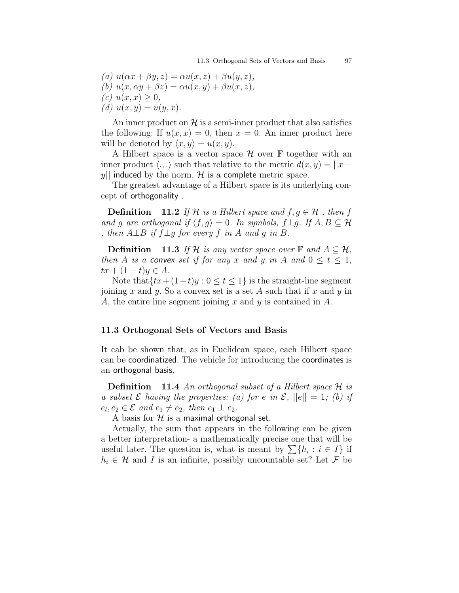(a)  $u(\alpha x + \beta y, z) = \alpha u(x, z) + \beta u(y, z),$ (b)  $u(x, \alpha y + \beta z) = \alpha u(x, y) + \beta u(x, z),$ (c)  $u(x, x) \geq 0$ , (d)  $u(x, y) = u(y, x)$ .

An inner product on  $\mathcal H$  is a semi-inner product that also satisfies the following: If  $u(x, x) = 0$ , then  $x = 0$ . An inner product here will be denoted by  $\langle x, y \rangle = u(x, y)$ .

A Hilbert space is a vector space  $\mathcal H$  over  $\mathbb F$  together with an inner product  $\langle ., . \rangle$  such that relative to the metric  $d(x, y) = ||x$ y|| induced by the norm,  $\mathcal H$  is a complete metric space.

The greatest advantage of a Hilbert space is its underlying concept of orthogonality .

**Definition** 11.2 If H is a Hilbert space and  $f, g \in \mathcal{H}$ , then f and g are orthogonal if  $\langle f, g \rangle = 0$ . In symbols,  $f \bot g$ . If  $A, B \subseteq H$ , then  $A \perp B$  if  $f \perp g$  for every f in A and g in B.

**Definition** 11.3 If H is any vector space over  $\mathbb{F}$  and  $A \subseteq \mathcal{H}$ , then A is a convex set if for any x and y in A and  $0 \le t \le 1$ ,  $tx + (1-t)y \in A$ .

Note that  $\{tx + (1-t)y : 0 \le t \le 1\}$  is the straight-line segment joining x and y. So a convex set is a set A such that if x and y in A, the entire line segment joining x and y is contained in  $A$ .

# 11.3 Orthogonal Sets of Vectors and Basis

It cab be shown that, as in Euclidean space, each Hilbert space can be coordinatized. The vehicle for introducing the coordinates is an orthogonal basis.

**Definition** 11.4 An orthogonal subset of a Hilbert space  $H$  is a subset  $\mathcal E$  having the properties: (a) for e in  $\mathcal E$ ,  $||e|| = 1$ ; (b) if  $e_l, e_2 \in \mathcal{E}$  and  $e_1 \neq e_2$ , then  $e_1 \perp e_2$ .

A basis for  $H$  is a maximal orthogonal set.

Actually, the sum that appears in the following can be given a better interpretation- a mathematically precise one that will be useful later. The question is, what is meant by  $\sum\{h_i : i \in I\}$  if  $h_i \in \mathcal{H}$  and I is an infinite, possibly uncountable set? Let F be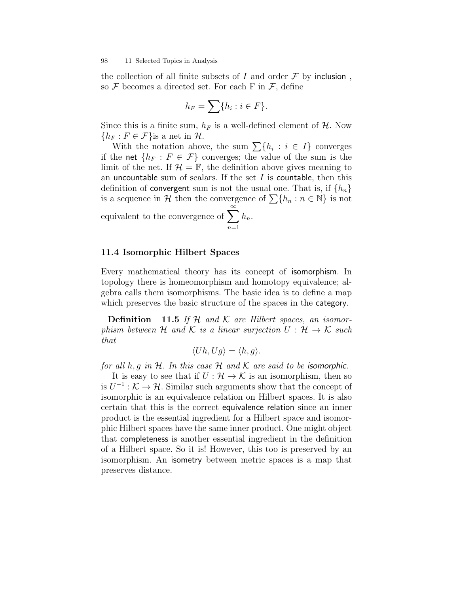#### 98 11 Selected Topics in Analysis

the collection of all finite subsets of  $I$  and order  $\mathcal F$  by inclusion, so  ${\mathcal F}$  becomes a directed set. For each F in  ${\mathcal F},$  define

$$
h_F = \sum \{ h_i : i \in F \}.
$$

Since this is a finite sum,  $h_F$  is a well-defined element of  $H$ . Now  ${h_F : F \in \mathcal{F}}$  is a net in H.

With the notation above, the sum  $\sum\{h_i : i \in I\}$  converges if the net  $\{h_F : F \in \mathcal{F}\}\$  converges; the value of the sum is the limit of the net. If  $\mathcal{H} = \mathbb{F}$ , the definition above gives meaning to an uncountable sum of scalars. If the set  $I$  is countable, then this definition of convergent sum is not the usual one. That is, if  $\{h_n\}$ is a sequence in H then the convergence of  $\sum\{h_n : n \in \mathbb{N}\}\$ is not equivalent to the convergence of  $\sum_{n=1}^{\infty}$  $n=1$  $h_n$ .

# 11.4 Isomorphic Hilbert Spaces

Every mathematical theory has its concept of isomorphism. In topology there is homeomorphism and homotopy equivalence; algebra calls them isomorphisms. The basic idea is to define a map which preserves the basic structure of the spaces in the category.

**Definition** 11.5 If  $H$  and  $K$  are Hilbert spaces, an isomorphism between H and K is a linear surjection  $U: \mathcal{H} \to \mathcal{K}$  such that

$$
\langle Uh, Ug\rangle = \langle h, g\rangle.
$$

for all h, q in H. In this case H and K are said to be isomorphic.

It is easy to see that if  $U : \mathcal{H} \to \mathcal{K}$  is an isomorphism, then so is  $U^{-1}$ :  $K \to H$ . Similar such arguments show that the concept of isomorphic is an equivalence relation on Hilbert spaces. It is also certain that this is the correct equivalence relation since an inner product is the essential ingredient for a Hilbert space and isomorphic Hilbert spaces have the same inner product. One might object that completeness is another essential ingredient in the definition of a Hilbert space. So it is! However, this too is preserved by an isomorphism. An isometry between metric spaces is a map that preserves distance.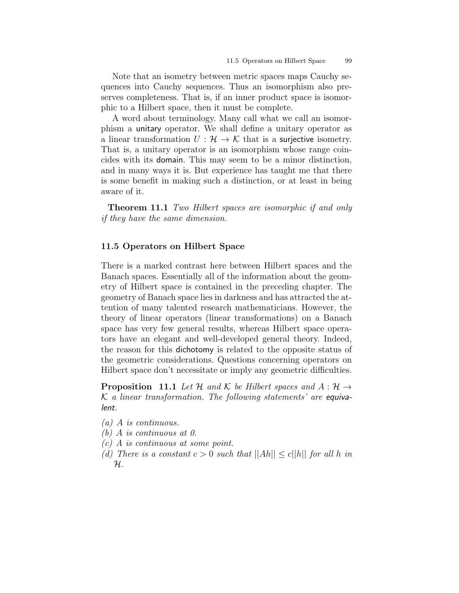Note that an isometry between metric spaces maps Cauchy sequences into Cauchy sequences. Thus an isomorphism also preserves completeness. That is, if an inner product space is isomorphic to a Hilbert space, then it must be complete.

A word about terminology. Many call what we call an isomorphism a unitary operator. We shall define a unitary operator as a linear transformation  $U : \mathcal{H} \to \mathcal{K}$  that is a surjective isometry. That is, a unitary operator is an isomorphism whose range coincides with its domain. This may seem to be a minor distinction, and in many ways it is. But experience has taught me that there is some benefit in making such a distinction, or at least in being aware of it.

**Theorem 11.1** Two Hilbert spaces are isomorphic if and only if they have the same dimension.

# 11.5 Operators on Hilbert Space

There is a marked contrast here between Hilbert spaces and the Banach spaces. Essentially all of the information about the geometry of Hilbert space is contained in the preceding chapter. The geometry of Banach space lies in darkness and has attracted the attention of many talented research mathematicians. However, the theory of linear operators (linear transformations) on a Banach space has very few general results, whereas Hilbert space operators have an elegant and well-developed general theory. Indeed, the reason for this dichotomy is related to the opposite status of the geometric considerations. Questions concerning operators on Hilbert space don't necessitate or imply any geometric difficulties.

**Proposition** 11.1 Let H and K be Hilbert spaces and  $A : H \rightarrow$  $K$  a linear transformation. The following statements' are equivalent.

- (a) A is continuous.
- (b) A is continuous at 0.
- (c) A is continuous at some point.
- (d) There is a constant  $c > 0$  such that  $||Ah|| \le c||h||$  for all h in  $\mathcal{H}.$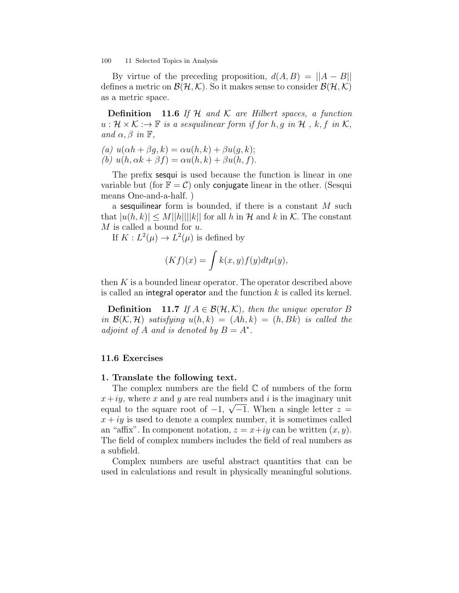100 11 Selected Topics in Analysis

By virtue of the preceding proposition,  $d(A, B) = ||A - B||$ defines a metric on  $\mathcal{B}(\mathcal{H},\mathcal{K})$ . So it makes sense to consider  $\mathcal{B}(\mathcal{H},\mathcal{K})$ as a metric space.

**Definition** 11.6 If H and K are Hilbert spaces, a function  $u : \mathcal{H} \times \mathcal{K} \longrightarrow \mathbb{F}$  is a sesquilinear form if for h, q in H, k, f in K, and  $\alpha, \beta$  in  $\mathbb{F}$ ,

(a)  $u(\alpha h + \beta q, k) = \alpha u(h, k) + \beta u(q, k);$ (b)  $u(h, \alpha k + \beta f) = \alpha u(h, k) + \beta u(h, f)$ .

The prefix sesqui is used because the function is linear in one variable but (for  $\mathbb{F} = \mathcal{C}$ ) only conjugate linear in the other. (Sesqui means One-and-a-half. )

a sesquilinear form is bounded, if there is a constant M such that  $|u(h, k)| \leq M ||h|| ||k||$  for all h in H and k in K. The constant  $M$  is called a bound for  $u$ .

If  $K: L^2(\mu) \to L^2(\mu)$  is defined by

$$
(Kf)(x) = \int k(x, y) f(y) dt \mu(y),
$$

then  $K$  is a bounded linear operator. The operator described above is called an integral operator and the function  $k$  is called its kernel.

**Definition** 11.7 If  $A \in \mathcal{B}(\mathcal{H}, \mathcal{K})$ , then the unique operator B in  $\mathcal{B}(\mathcal{K},\mathcal{H})$  satisfying  $u(h,k) = (Ah, k) = (h, Bk)$  is called the adjoint of A and is denoted by  $B = A^*$ .

# 11.6 Exercises

### 1. Translate the following text.

The complex numbers are the field  $\mathbb C$  of numbers of the form  $x+iy$ , where x and y are real numbers and i is the imaginary unit  $x + iy$ , where x and y are real numbers and i is the imaginary unit equal to the square root of  $-1$ ,  $\sqrt{-1}$ . When a single letter  $z =$  $x + iy$  is used to denote a complex number, it is sometimes called an "affix". In component notation,  $z = x+iy$  can be written  $(x, y)$ . The field of complex numbers includes the field of real numbers as a subfield.

Complex numbers are useful abstract quantities that can be used in calculations and result in physically meaningful solutions.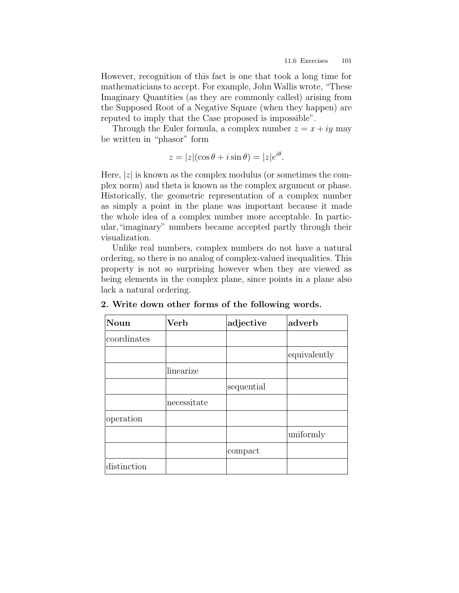However, recognition of this fact is one that took a long time for mathematicians to accept. For example, John Wallis wrote, "These Imaginary Quantities (as they are commonly called) arising from the Supposed Root of a Negative Square (when they happen) are reputed to imply that the Case proposed is impossible".

Through the Euler formula, a complex number  $z = x + iy$  may be written in "phasor" form

 $z = |z|(\cos \theta + i \sin \theta) = |z|e^{i\theta}.$ 

Here,  $|z|$  is known as the complex modulus (or sometimes the complex norm) and theta is known as the complex argument or phase. Historically, the geometric representation of a complex number as simply a point in the plane was important because it made the whole idea of a complex number more acceptable. In particular,"imaginary" numbers became accepted partly through their visualization.

Unlike real numbers, complex numbers do not have a natural ordering, so there is no analog of complex-valued inequalities. This property is not so surprising however when they are viewed as being elements in the complex plane, since points in a plane also lack a natural ordering.

| Noun        | <b>Verb</b> | adjective  | adverb       |
|-------------|-------------|------------|--------------|
| coordinates |             |            |              |
|             |             |            | equivalently |
|             | linearize   |            |              |
|             |             | sequential |              |
|             | necessitate |            |              |
| operation   |             |            |              |
|             |             |            | uniformly    |
|             |             | compact    |              |
| distinction |             |            |              |

2. Write down other forms of the following words.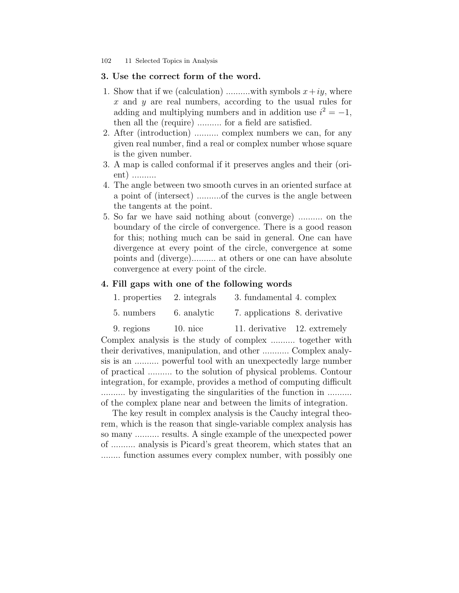102 11 Selected Topics in Analysis

# 3. Use the correct form of the word.

- 1. Show that if we (calculation) .........with symbols  $x+iy$ , where x and y are real numbers, according to the usual rules for adding and multiplying numbers and in addition use  $i^2 = -1$ , then all the (require) .......... for a field are satisfied.
- 2. After (introduction) .......... complex numbers we can, for any given real number, find a real or complex number whose square is the given number.
- 3. A map is called conformal if it preserves angles and their (orient) ..........
- 4. The angle between two smooth curves in an oriented surface at a point of (intersect) ..........of the curves is the angle between the tangents at the point.
- 5. So far we have said nothing about (converge) .......... on the boundary of the circle of convergence. There is a good reason for this; nothing much can be said in general. One can have divergence at every point of the circle, convergence at some points and (diverge).......... at others or one can have absolute convergence at every point of the circle.

# 4. Fill gaps with one of the following words

| 1. properties | 2. integrals | 3. fundamental 4. complex     |
|---------------|--------------|-------------------------------|
| 5. numbers    | 6. analytic  | 7. applications 8. derivative |

| 9. regions | $10.$ nice | 11. derivative 12. extremely |  |
|------------|------------|------------------------------|--|
|            |            |                              |  |

Complex analysis is the study of complex .......... together with their derivatives, manipulation, and other ........... Complex analysis is an .......... powerful tool with an unexpectedly large number of practical .......... to the solution of physical problems. Contour integration, for example, provides a method of computing difficult ........... by investigating the singularities of the function in .......... of the complex plane near and between the limits of integration.

The key result in complex analysis is the Cauchy integral theorem, which is the reason that single-variable complex analysis has so many .......... results. A single example of the unexpected power of .......... analysis is Picard's great theorem, which states that an ........ function assumes every complex number, with possibly one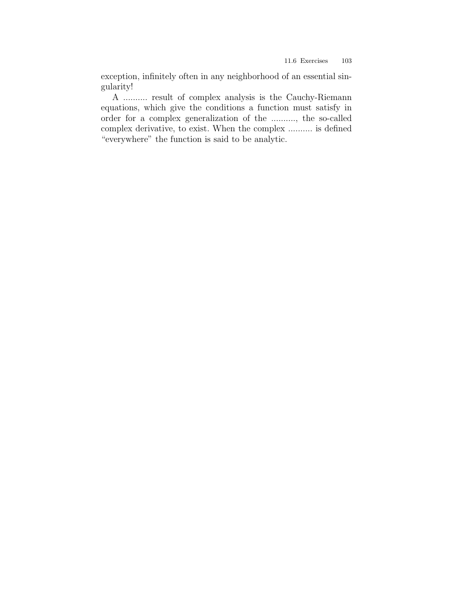exception, infinitely often in any neighborhood of an essential singularity!

A .......... result of complex analysis is the Cauchy-Riemann equations, which give the conditions a function must satisfy in order for a complex generalization of the .........., the so-called complex derivative, to exist. When the complex .......... is defined "everywhere" the function is said to be analytic.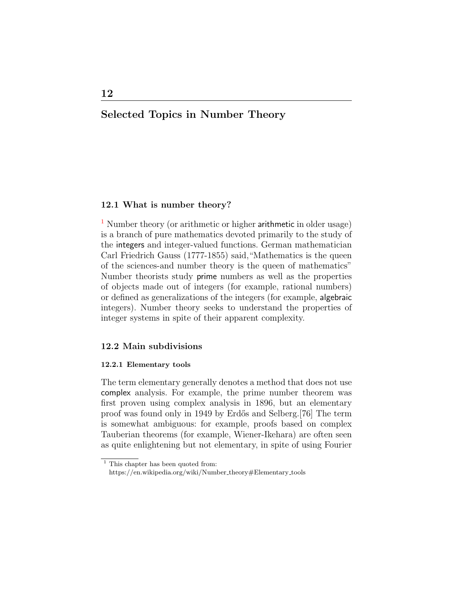# <span id="page-110-0"></span>Selected Topics in Number Theory

## 12.1 What is number theory?

<sup>[1](#page-0-0)</sup> Number theory (or arithmetic or higher arithmetic in older usage) is a branch of pure mathematics devoted primarily to the study of the integers and integer-valued functions. German mathematician Carl Friedrich Gauss (1777-1855) said,"Mathematics is the queen of the sciences-and number theory is the queen of mathematics" Number theorists study prime numbers as well as the properties of objects made out of integers (for example, rational numbers) or defined as generalizations of the integers (for example, algebraic integers). Number theory seeks to understand the properties of integer systems in spite of their apparent complexity.

# 12.2 Main subdivisions

### 12.2.1 Elementary tools

The term elementary generally denotes a method that does not use complex analysis. For example, the prime number theorem was first proven using complex analysis in 1896, but an elementary proof was found only in 1949 by Erd˝os and Selberg.[76] The term is somewhat ambiguous: for example, proofs based on complex Tauberian theorems (for example, Wiener-Ikehara) are often seen as quite enlightening but not elementary, in spite of using Fourier

 $<sup>1</sup>$  This chapter has been quoted from:</sup>

https://en.wikipedia.org/wiki/Number theory#Elementary tools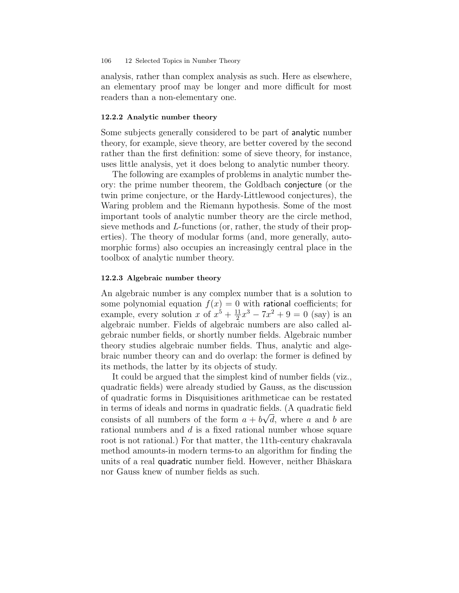<span id="page-111-0"></span>analysis, rather than complex analysis as such. Here as elsewhere, an elementary proof may be longer and more difficult for most readers than a non-elementary one.

### 12.2.2 Analytic number theory

Some subjects generally considered to be part of analytic number theory, for example, sieve theory, are better covered by the second rather than the first definition: some of sieve theory, for instance, uses little analysis, yet it does belong to analytic number theory.

The following are examples of problems in analytic number theory: the prime number theorem, the Goldbach conjecture (or the twin prime conjecture, or the Hardy-Littlewood conjectures), the Waring problem and the Riemann hypothesis. Some of the most important tools of analytic number theory are the circle method, sieve methods and L-functions (or, rather, the study of their properties). The theory of modular forms (and, more generally, automorphic forms) also occupies an increasingly central place in the toolbox of analytic number theory.

### 12.2.3 Algebraic number theory

An algebraic number is any complex number that is a solution to some polynomial equation  $f(x) = 0$  with rational coefficients; for example, every solution x of  $x^5 + \frac{11}{2}$  $\frac{11}{2}x^3 - 7x^2 + 9 = 0$  (say) is an algebraic number. Fields of algebraic numbers are also called algebraic number fields, or shortly number fields. Algebraic number theory studies algebraic number fields. Thus, analytic and algebraic number theory can and do overlap: the former is defined by its methods, the latter by its objects of study.

It could be argued that the simplest kind of number fields (viz., quadratic fields) were already studied by Gauss, as the discussion of quadratic forms in Disquisitiones arithmeticae can be restated in terms of ideals and norms in quadratic fields. (A quadratic field √ consists of all numbers of the form  $a + b\sqrt{d}$ , where a and b are rational numbers and d is a fixed rational number whose square root is not rational.) For that matter, the 11th-century chakravala method amounts-in modern terms-to an algorithm for finding the units of a real quadratic number field. However, neither Bhaskara nor Gauss knew of number fields as such.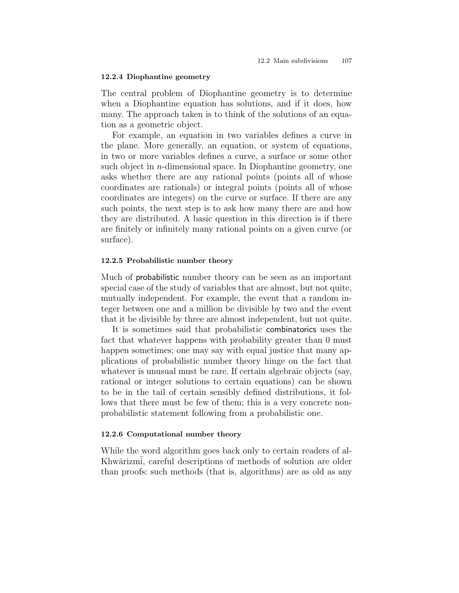#### <span id="page-112-0"></span>12.2.4 Diophantine geometry

The central problem of Diophantine geometry is to determine when a Diophantine equation has solutions, and if it does, how many. The approach taken is to think of the solutions of an equation as a geometric object.

For example, an equation in two variables defines a curve in the plane. More generally, an equation, or system of equations, in two or more variables defines a curve, a surface or some other such object in n-dimensional space. In Diophantine geometry, one asks whether there are any rational points (points all of whose coordinates are rationals) or integral points (points all of whose coordinates are integers) on the curve or surface. If there are any such points, the next step is to ask how many there are and how they are distributed. A basic question in this direction is if there are finitely or infinitely many rational points on a given curve (or surface).

#### 12.2.5 Probabilistic number theory

Much of probabilistic number theory can be seen as an important special case of the study of variables that are almost, but not quite, mutually independent. For example, the event that a random integer between one and a million be divisible by two and the event that it be divisible by three are almost independent, but not quite.

It is sometimes said that probabilistic combinatorics uses the fact that whatever happens with probability greater than 0 must happen sometimes; one may say with equal justice that many applications of probabilistic number theory hinge on the fact that whatever is unusual must be rare. If certain algebraic objects (say, rational or integer solutions to certain equations) can be shown to be in the tail of certain sensibly defined distributions, it follows that there must be few of them; this is a very concrete nonprobabilistic statement following from a probabilistic one.

### 12.2.6 Computational number theory

While the word algorithm goes back only to certain readers of al-Khwārizmī, careful descriptions of methods of solution are older than proofs: such methods (that is, algorithms) are as old as any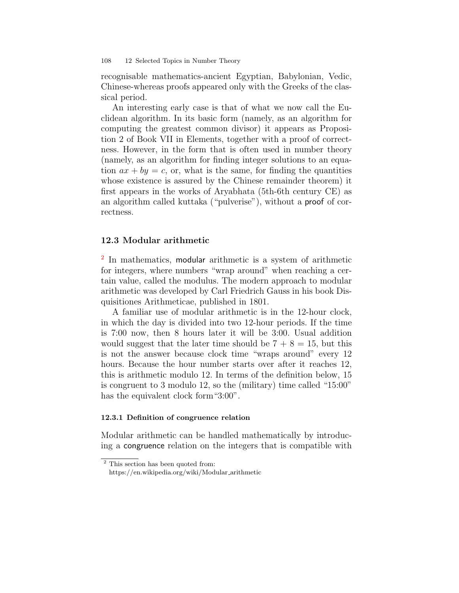<span id="page-113-0"></span>recognisable mathematics-ancient Egyptian, Babylonian, Vedic, Chinese-whereas proofs appeared only with the Greeks of the classical period.

An interesting early case is that of what we now call the Euclidean algorithm. In its basic form (namely, as an algorithm for computing the greatest common divisor) it appears as Proposition 2 of Book VII in Elements, together with a proof of correctness. However, in the form that is often used in number theory (namely, as an algorithm for finding integer solutions to an equation  $ax + by = c$ , or, what is the same, for finding the quantities whose existence is assured by the Chinese remainder theorem) it first appears in the works of Aryabhata (5th-6th century CE) as an algorithm called kuttaka ("pulverise"), without a proof of correctness.

# 12.3 Modular arithmetic

<sup>[2](#page-0-0)</sup> In mathematics, modular arithmetic is a system of arithmetic for integers, where numbers "wrap around" when reaching a certain value, called the modulus. The modern approach to modular arithmetic was developed by Carl Friedrich Gauss in his book Disquisitiones Arithmeticae, published in 1801.

A familiar use of modular arithmetic is in the 12-hour clock, in which the day is divided into two 12-hour periods. If the time is 7:00 now, then 8 hours later it will be 3:00. Usual addition would suggest that the later time should be  $7 + 8 = 15$ , but this is not the answer because clock time "wraps around" every 12 hours. Because the hour number starts over after it reaches 12, this is arithmetic modulo 12. In terms of the definition below, 15 is congruent to 3 modulo 12, so the (military) time called "15:00" has the equivalent clock form "3:00".

#### 12.3.1 Definition of congruence relation

Modular arithmetic can be handled mathematically by introducing a congruence relation on the integers that is compatible with

<sup>2</sup> This section has been quoted from:

https://en.wikipedia.org/wiki/Modular arithmetic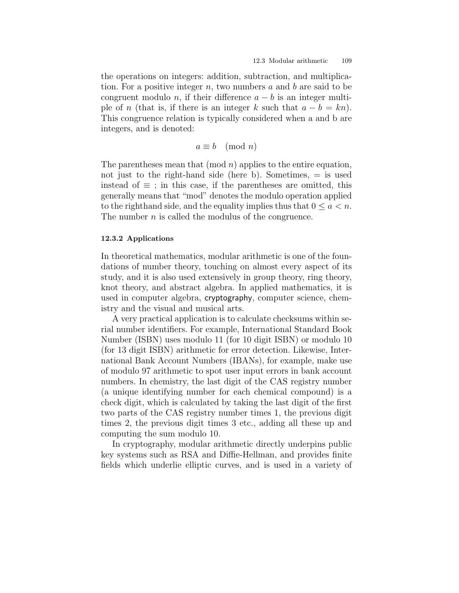<span id="page-114-0"></span>the operations on integers: addition, subtraction, and multiplication. For a positive integer n, two numbers a and b are said to be congruent modulo n, if their difference  $a - b$  is an integer multiple of n (that is, if there is an integer k such that  $a - b = kn$ ). This congruence relation is typically considered when a and b are integers, and is denoted:

$$
a \equiv b \pmod{n}
$$

The parentheses mean that  $\pmod{n}$  applies to the entire equation, not just to the right-hand side (here b). Sometimes, = is used instead of  $\equiv$ ; in this case, if the parentheses are omitted, this generally means that "mod" denotes the modulo operation applied to the righthand side, and the equality implies thus that  $0 \leq a \leq n$ . The number *n* is called the modulus of the congruence.

### 12.3.2 Applications

In theoretical mathematics, modular arithmetic is one of the foundations of number theory, touching on almost every aspect of its study, and it is also used extensively in group theory, ring theory, knot theory, and abstract algebra. In applied mathematics, it is used in computer algebra, cryptography, computer science, chemistry and the visual and musical arts.

A very practical application is to calculate checksums within serial number identifiers. For example, International Standard Book Number (ISBN) uses modulo 11 (for 10 digit ISBN) or modulo 10 (for 13 digit ISBN) arithmetic for error detection. Likewise, International Bank Account Numbers (IBANs), for example, make use of modulo 97 arithmetic to spot user input errors in bank account numbers. In chemistry, the last digit of the CAS registry number (a unique identifying number for each chemical compound) is a check digit, which is calculated by taking the last digit of the first two parts of the CAS registry number times 1, the previous digit times 2, the previous digit times 3 etc., adding all these up and computing the sum modulo 10.

In cryptography, modular arithmetic directly underpins public key systems such as RSA and Diffie-Hellman, and provides finite fields which underlie elliptic curves, and is used in a variety of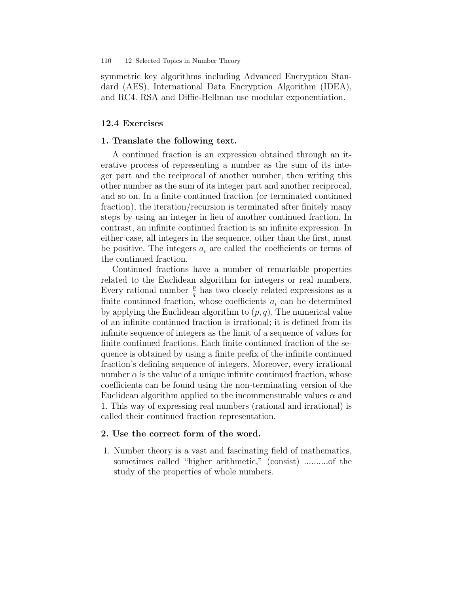#### 110 12 Selected Topics in Number Theory

symmetric key algorithms including Advanced Encryption Standard (AES), International Data Encryption Algorithm (IDEA), and RC4. RSA and Diffie-Hellman use modular exponentiation.

# 12.4 Exercises

# 1. Translate the following text.

A continued fraction is an expression obtained through an iterative process of representing a number as the sum of its integer part and the reciprocal of another number, then writing this other number as the sum of its integer part and another reciprocal, and so on. In a finite continued fraction (or terminated continued fraction), the iteration/recursion is terminated after finitely many steps by using an integer in lieu of another continued fraction. In contrast, an infinite continued fraction is an infinite expression. In either case, all integers in the sequence, other than the first, must be positive. The integers  $a_i$  are called the coefficients or terms of the continued fraction.

Continued fractions have a number of remarkable properties related to the Euclidean algorithm for integers or real numbers. Every rational number  $\frac{p}{q}$  has two closely related expressions as a finite continued fraction, whose coefficients  $a_i$  can be determined by applying the Euclidean algorithm to  $(p, q)$ . The numerical value of an infinite continued fraction is irrational; it is defined from its infinite sequence of integers as the limit of a sequence of values for finite continued fractions. Each finite continued fraction of the sequence is obtained by using a finite prefix of the infinite continued fraction's defining sequence of integers. Moreover, every irrational number  $\alpha$  is the value of a unique infinite continued fraction, whose coefficients can be found using the non-terminating version of the Euclidean algorithm applied to the incommensurable values  $\alpha$  and 1. This way of expressing real numbers (rational and irrational) is called their continued fraction representation.

# 2. Use the correct form of the word.

1. Number theory is a vast and fascinating field of mathematics, sometimes called "higher arithmetic," (consist) ..........of the study of the properties of whole numbers.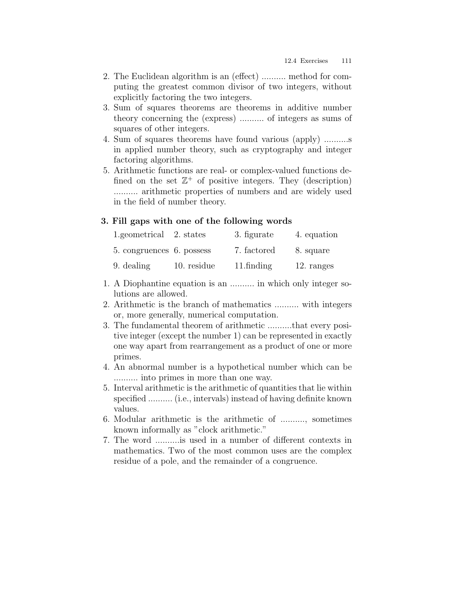- 2. The Euclidean algorithm is an (effect) .......... method for computing the greatest common divisor of two integers, without explicitly factoring the two integers.
- 3. Sum of squares theorems are theorems in additive number theory concerning the (express) .......... of integers as sums of squares of other integers.
- 4. Sum of squares theorems have found various (apply) ..........s in applied number theory, such as cryptography and integer factoring algorithms.
- 5. Arithmetic functions are real- or complex-valued functions defined on the set  $\mathbb{Z}^+$  of positive integers. They (description) .......... arithmetic properties of numbers and are widely used in the field of number theory.

## 3. Fill gaps with one of the following words

| 1.geometrical 2. states   |             | 3. figurate   | 4. equation |
|---------------------------|-------------|---------------|-------------|
| 5. congruences 6. possess |             | 7. factored   | 8. square   |
| 9. dealing                | 10. residue | $11.$ finding | 12. ranges  |

- 1. A Diophantine equation is an .......... in which only integer solutions are allowed.
- 2. Arithmetic is the branch of mathematics .......... with integers or, more generally, numerical computation.
- 3. The fundamental theorem of arithmetic ..........that every positive integer (except the number 1) can be represented in exactly one way apart from rearrangement as a product of one or more primes.
- 4. An abnormal number is a hypothetical number which can be .......... into primes in more than one way.
- 5. Interval arithmetic is the arithmetic of quantities that lie within specified .......... (i.e., intervals) instead of having definite known values.
- 6. Modular arithmetic is the arithmetic of .........., sometimes known informally as "clock arithmetic."
- 7. The word ..........is used in a number of different contexts in mathematics. Two of the most common uses are the complex residue of a pole, and the remainder of a congruence.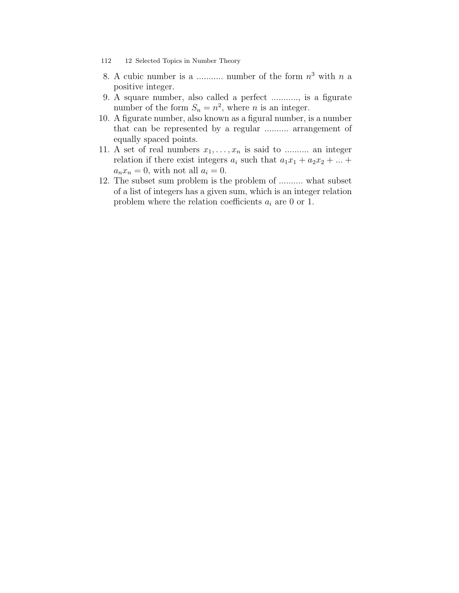- 112 12 Selected Topics in Number Theory
- 8. A cubic number is a ........... number of the form  $n^3$  with n a positive integer.
- 9. A square number, also called a perfect ..........., is a figurate number of the form  $S_n = n^2$ , where *n* is an integer.
- 10. A figurate number, also known as a figural number, is a number that can be represented by a regular .......... arrangement of equally spaced points.
- 11. A set of real numbers  $x_1, \ldots, x_n$  is said to .......... an integer relation if there exist integers  $a_i$  such that  $a_1x_1 + a_2x_2 + ...$  $a_n x_n = 0$ , with not all  $a_i = 0$ .
- 12. The subset sum problem is the problem of .......... what subset of a list of integers has a given sum, which is an integer relation problem where the relation coefficients  $a_i$  are 0 or 1.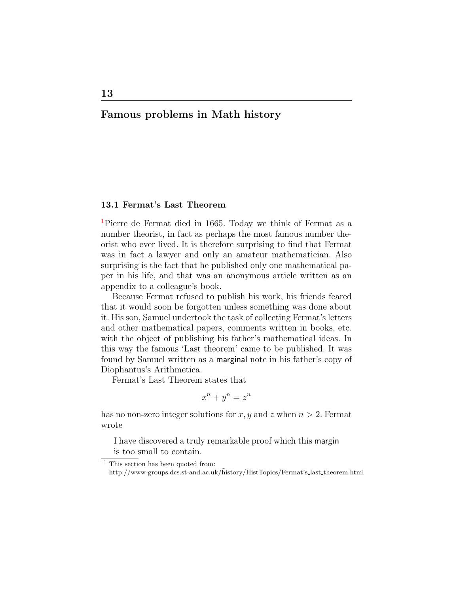# <span id="page-118-0"></span>Famous problems in Math history

# 13.1 Fermat's Last Theorem

[1](#page-0-0)Pierre de Fermat died in 1665. Today we think of Fermat as a number theorist, in fact as perhaps the most famous number theorist who ever lived. It is therefore surprising to find that Fermat was in fact a lawyer and only an amateur mathematician. Also surprising is the fact that he published only one mathematical paper in his life, and that was an anonymous article written as an appendix to a colleague's book.

Because Fermat refused to publish his work, his friends feared that it would soon be forgotten unless something was done about it. His son, Samuel undertook the task of collecting Fermat's letters and other mathematical papers, comments written in books, etc. with the object of publishing his father's mathematical ideas. In this way the famous 'Last theorem' came to be published. It was found by Samuel written as a marginal note in his father's copy of Diophantus's Arithmetica.

Fermat's Last Theorem states that

$$
x^n + y^n = z^n
$$

has no non-zero integer solutions for x, y and z when  $n > 2$ . Fermat wrote

I have discovered a truly remarkable proof which this margin is too small to contain.

<sup>&</sup>lt;sup>1</sup> This section has been quoted from: http://www-groups.dcs.st-and.ac.uk/history/HistTopics/Fermat's last\_theorem.html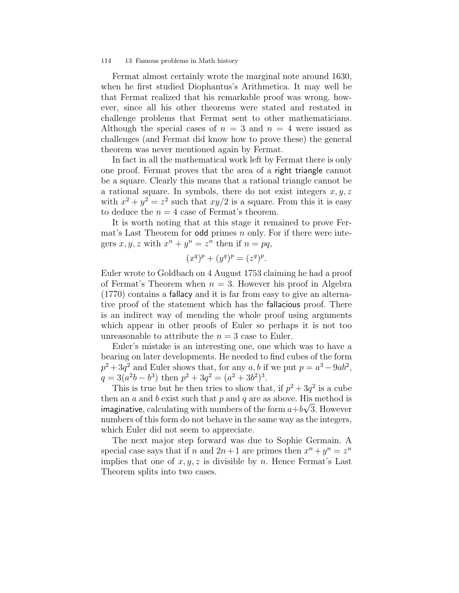#### <span id="page-119-0"></span>114 13 Famous problems in Math history

Fermat almost certainly wrote the marginal note around 1630, when he first studied Diophantus's Arithmetica. It may well be that Fermat realized that his remarkable proof was wrong, however, since all his other theorems were stated and restated in challenge problems that Fermat sent to other mathematicians. Although the special cases of  $n = 3$  and  $n = 4$  were issued as challenges (and Fermat did know how to prove these) the general theorem was never mentioned again by Fermat.

In fact in all the mathematical work left by Fermat there is only one proof. Fermat proves that the area of a right triangle cannot be a square. Clearly this means that a rational triangle cannot be a rational square. In symbols, there do not exist integers  $x, y, z$ with  $x^2 + y^2 = z^2$  such that  $xy/2$  is a square. From this it is easy to deduce the  $n = 4$  case of Fermat's theorem.

It is worth noting that at this stage it remained to prove Fermat's Last Theorem for odd primes  $n$  only. For if there were integers  $x, y, z$  with  $x^n + y^n = z^n$  then if  $n = pq$ ,

$$
(x^q)^p + (y^q)^p = (z^q)^p.
$$

Euler wrote to Goldbach on 4 August 1753 claiming he had a proof of Fermat's Theorem when  $n = 3$ . However his proof in Algebra (1770) contains a fallacy and it is far from easy to give an alternative proof of the statement which has the fallacious proof. There is an indirect way of mending the whole proof using arguments which appear in other proofs of Euler so perhaps it is not too unreasonable to attribute the  $n = 3$  case to Euler.

Euler's mistake is an interesting one, one which was to have a bearing on later developments. He needed to find cubes of the form  $p^2 + 3q^2$  and Euler shows that, for any a, b if we put  $p = a^3 - 9ab^2$ ,  $q = 3(a^2b - b^3)$  then  $p^2 + 3q^2 = (a^2 + 3b^2)^3$ .

This is true but he then tries to show that, if  $p^2 + 3q^2$  is a cube then an a and b exist such that p and q are as above. His method is imaginative, calculating with numbers of the form  $a{+}b{\sqrt 3}.$  However numbers of this form do not behave in the same way as the integers, which Euler did not seem to appreciate.

The next major step forward was due to Sophie Germain. A special case says that if n and  $2n+1$  are primes then  $x^n + y^n = z^n$ implies that one of  $x, y, z$  is divisible by n. Hence Fermat's Last Theorem splits into two cases.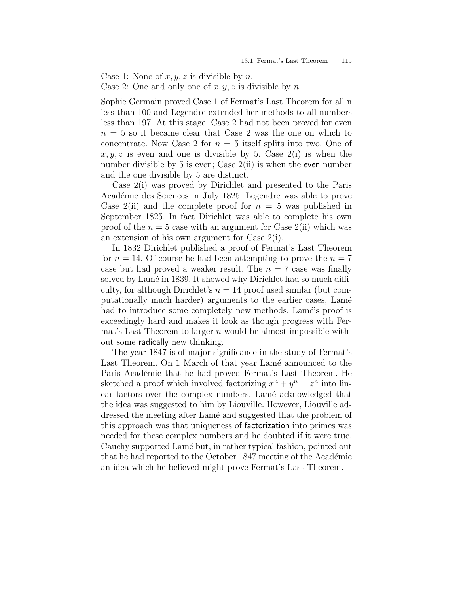<span id="page-120-0"></span>Case 1: None of  $x, y, z$  is divisible by n.

Case 2: One and only one of  $x, y, z$  is divisible by n.

Sophie Germain proved Case 1 of Fermat's Last Theorem for all n less than 100 and Legendre extended her methods to all numbers less than 197. At this stage, Case 2 had not been proved for even  $n = 5$  so it became clear that Case 2 was the one on which to concentrate. Now Case 2 for  $n = 5$  itself splits into two. One of  $x, y, z$  is even and one is divisible by 5. Case 2(i) is when the number divisible by 5 is even; Case  $2(ii)$  is when the even number and the one divisible by 5 are distinct.

Case 2(i) was proved by Dirichlet and presented to the Paris Académie des Sciences in July 1825. Legendre was able to prove Case 2(ii) and the complete proof for  $n = 5$  was published in September 1825. In fact Dirichlet was able to complete his own proof of the  $n = 5$  case with an argument for Case 2(ii) which was an extension of his own argument for Case 2(i).

In 1832 Dirichlet published a proof of Fermat's Last Theorem for  $n = 14$ . Of course he had been attempting to prove the  $n = 7$ case but had proved a weaker result. The  $n = 7$  case was finally solved by Lamé in 1839. It showed why Dirichlet had so much difficulty, for although Dirichlet's  $n = 14$  proof used similar (but computationally much harder) arguments to the earlier cases, Lamé had to introduce some completely new methods. Lamé's proof is exceedingly hard and makes it look as though progress with Fermat's Last Theorem to larger n would be almost impossible without some radically new thinking.

The year 1847 is of major significance in the study of Fermat's Last Theorem. On 1 March of that year Lamé announced to the Paris Académie that he had proved Fermat's Last Theorem. He sketched a proof which involved factorizing  $x^n + y^n = z^n$  into linear factors over the complex numbers. Lamé acknowledged that the idea was suggested to him by Liouville. However, Liouville addressed the meeting after Lamé and suggested that the problem of this approach was that uniqueness of factorization into primes was needed for these complex numbers and he doubted if it were true. Cauchy supported Lamé but, in rather typical fashion, pointed out that he had reported to the October 1847 meeting of the Académie an idea which he believed might prove Fermat's Last Theorem.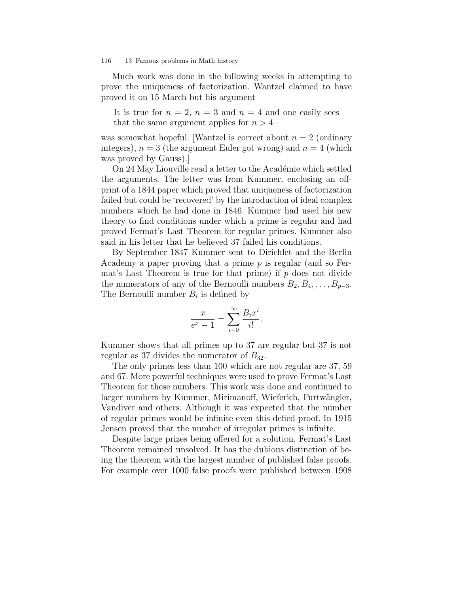116 13 Famous problems in Math history

Much work was done in the following weeks in attempting to prove the uniqueness of factorization. Wantzel claimed to have proved it on 15 March but his argument

It is true for  $n = 2$ ,  $n = 3$  and  $n = 4$  and one easily sees that the same argument applies for  $n > 4$ 

was somewhat hopeful. [Wantzel is correct about  $n = 2$  (ordinary integers),  $n = 3$  (the argument Euler got wrong) and  $n = 4$  (which was proved by Gauss).]

On 24 May Liouville read a letter to the Académie which settled the arguments. The letter was from Kummer, enclosing an offprint of a 1844 paper which proved that uniqueness of factorization failed but could be 'recovered' by the introduction of ideal complex numbers which he had done in 1846. Kummer had used his new theory to find conditions under which a prime is regular and had proved Fermat's Last Theorem for regular primes. Kummer also said in his letter that he believed 37 failed his conditions.

By September 1847 Kummer sent to Dirichlet and the Berlin Academy a paper proving that a prime  $p$  is regular (and so Fermat's Last Theorem is true for that prime) if  $p$  does not divide the numerators of any of the Bernoulli numbers  $B_2, B_4, \ldots, B_{p-3}$ . The Bernoulli number  $B_i$  is defined by

$$
\frac{x}{e^x - 1} = \sum_{i=0}^{\infty} \frac{B_i x^i}{i!}.
$$

Kummer shows that all primes up to 37 are regular but 37 is not regular as 37 divides the numerator of  $B_{32}$ .

The only primes less than 100 which are not regular are 37, 59 and 67. More powerful techniques were used to prove Fermat's Last Theorem for these numbers. This work was done and continued to larger numbers by Kummer, Mirimanoff, Wieferich, Furtwängler, Vandiver and others. Although it was expected that the number of regular primes would be infinite even this defied proof. In 1915 Jensen proved that the number of irregular primes is infinite.

Despite large prizes being offered for a solution, Fermat's Last Theorem remained unsolved. It has the dubious distinction of being the theorem with the largest number of published false proofs. For example over 1000 false proofs were published between 1908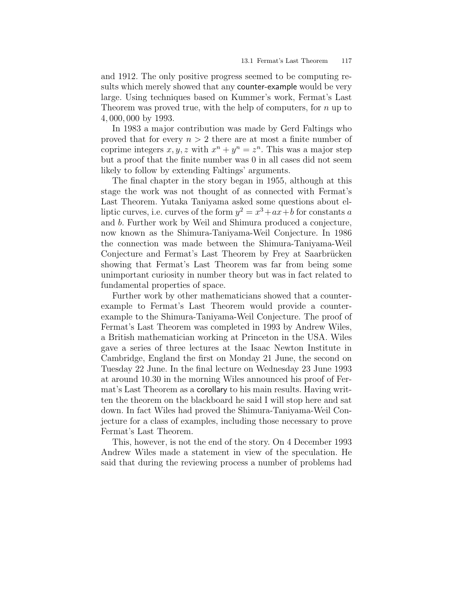<span id="page-122-0"></span>and 1912. The only positive progress seemed to be computing results which merely showed that any counter-example would be very large. Using techniques based on Kummer's work, Fermat's Last Theorem was proved true, with the help of computers, for  $n \text{ up to}$ 4, 000, 000 by 1993.

In 1983 a major contribution was made by Gerd Faltings who proved that for every  $n > 2$  there are at most a finite number of coprime integers  $x, y, z$  with  $x^n + y^n = z^n$ . This was a major step but a proof that the finite number was 0 in all cases did not seem likely to follow by extending Faltings' arguments.

The final chapter in the story began in 1955, although at this stage the work was not thought of as connected with Fermat's Last Theorem. Yutaka Taniyama asked some questions about elliptic curves, i.e. curves of the form  $y^2 = x^3 + ax + b$  for constants a and b. Further work by Weil and Shimura produced a conjecture, now known as the Shimura-Taniyama-Weil Conjecture. In 1986 the connection was made between the Shimura-Taniyama-Weil Conjecture and Fermat's Last Theorem by Frey at Saarbrücken showing that Fermat's Last Theorem was far from being some unimportant curiosity in number theory but was in fact related to fundamental properties of space.

Further work by other mathematicians showed that a counterexample to Fermat's Last Theorem would provide a counterexample to the Shimura-Taniyama-Weil Conjecture. The proof of Fermat's Last Theorem was completed in 1993 by Andrew Wiles, a British mathematician working at Princeton in the USA. Wiles gave a series of three lectures at the Isaac Newton Institute in Cambridge, England the first on Monday 21 June, the second on Tuesday 22 June. In the final lecture on Wednesday 23 June 1993 at around 10.30 in the morning Wiles announced his proof of Fermat's Last Theorem as a corollary to his main results. Having written the theorem on the blackboard he said I will stop here and sat down. In fact Wiles had proved the Shimura-Taniyama-Weil Conjecture for a class of examples, including those necessary to prove Fermat's Last Theorem.

This, however, is not the end of the story. On 4 December 1993 Andrew Wiles made a statement in view of the speculation. He said that during the reviewing process a number of problems had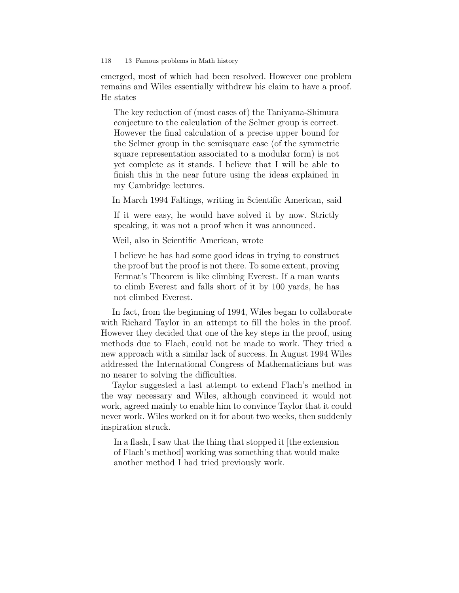#### 118 13 Famous problems in Math history

emerged, most of which had been resolved. However one problem remains and Wiles essentially withdrew his claim to have a proof. He states

The key reduction of (most cases of) the Taniyama-Shimura conjecture to the calculation of the Selmer group is correct. However the final calculation of a precise upper bound for the Selmer group in the semisquare case (of the symmetric square representation associated to a modular form) is not yet complete as it stands. I believe that I will be able to finish this in the near future using the ideas explained in my Cambridge lectures.

In March 1994 Faltings, writing in Scientific American, said

If it were easy, he would have solved it by now. Strictly speaking, it was not a proof when it was announced.

Weil, also in Scientific American, wrote

I believe he has had some good ideas in trying to construct the proof but the proof is not there. To some extent, proving Fermat's Theorem is like climbing Everest. If a man wants to climb Everest and falls short of it by 100 yards, he has not climbed Everest.

In fact, from the beginning of 1994, Wiles began to collaborate with Richard Taylor in an attempt to fill the holes in the proof. However they decided that one of the key steps in the proof, using methods due to Flach, could not be made to work. They tried a new approach with a similar lack of success. In August 1994 Wiles addressed the International Congress of Mathematicians but was no nearer to solving the difficulties.

Taylor suggested a last attempt to extend Flach's method in the way necessary and Wiles, although convinced it would not work, agreed mainly to enable him to convince Taylor that it could never work. Wiles worked on it for about two weeks, then suddenly inspiration struck.

In a flash, I saw that the thing that stopped it [the extension of Flach's method] working was something that would make another method I had tried previously work.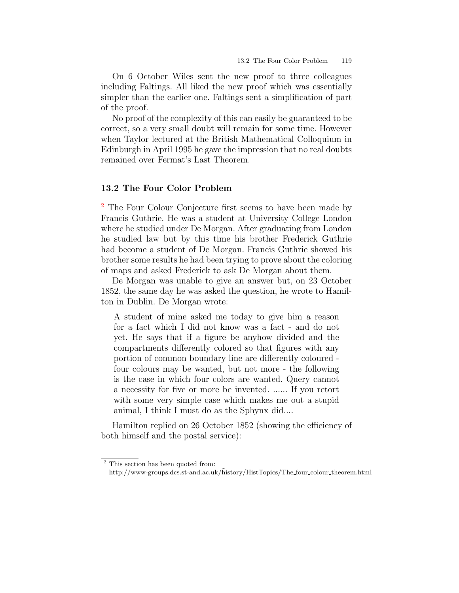On 6 October Wiles sent the new proof to three colleagues including Faltings. All liked the new proof which was essentially simpler than the earlier one. Faltings sent a simplification of part of the proof.

No proof of the complexity of this can easily be guaranteed to be correct, so a very small doubt will remain for some time. However when Taylor lectured at the British Mathematical Colloquium in Edinburgh in April 1995 he gave the impression that no real doubts remained over Fermat's Last Theorem.

# 13.2 The Four Color Problem

<sup>[2](#page-0-0)</sup> The Four Colour Conjecture first seems to have been made by Francis Guthrie. He was a student at University College London where he studied under De Morgan. After graduating from London he studied law but by this time his brother Frederick Guthrie had become a student of De Morgan. Francis Guthrie showed his brother some results he had been trying to prove about the coloring of maps and asked Frederick to ask De Morgan about them.

De Morgan was unable to give an answer but, on 23 October 1852, the same day he was asked the question, he wrote to Hamilton in Dublin. De Morgan wrote:

A student of mine asked me today to give him a reason for a fact which I did not know was a fact - and do not yet. He says that if a figure be anyhow divided and the compartments differently colored so that figures with any portion of common boundary line are differently coloured four colours may be wanted, but not more - the following is the case in which four colors are wanted. Query cannot a necessity for five or more be invented. ...... If you retort with some very simple case which makes me out a stupid animal, I think I must do as the Sphynx did....

Hamilton replied on 26 October 1852 (showing the efficiency of both himself and the postal service):

 $^{\rm 2}$  This section has been quoted from:

http://www-groups.dcs.st-and.ac.uk/history/HistTopics/The four colour theorem.html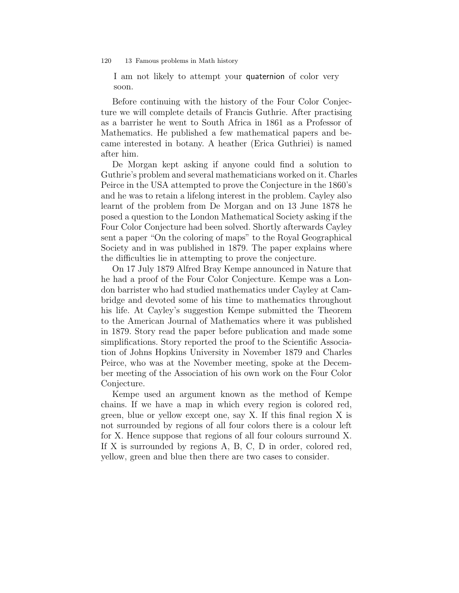<span id="page-125-0"></span>I am not likely to attempt your quaternion of color very soon.

Before continuing with the history of the Four Color Conjecture we will complete details of Francis Guthrie. After practising as a barrister he went to South Africa in 1861 as a Professor of Mathematics. He published a few mathematical papers and became interested in botany. A heather (Erica Guthriei) is named after him.

De Morgan kept asking if anyone could find a solution to Guthrie's problem and several mathematicians worked on it. Charles Peirce in the USA attempted to prove the Conjecture in the 1860's and he was to retain a lifelong interest in the problem. Cayley also learnt of the problem from De Morgan and on 13 June 1878 he posed a question to the London Mathematical Society asking if the Four Color Conjecture had been solved. Shortly afterwards Cayley sent a paper "On the coloring of maps" to the Royal Geographical Society and in was published in 1879. The paper explains where the difficulties lie in attempting to prove the conjecture.

On 17 July 1879 Alfred Bray Kempe announced in Nature that he had a proof of the Four Color Conjecture. Kempe was a London barrister who had studied mathematics under Cayley at Cambridge and devoted some of his time to mathematics throughout his life. At Cayley's suggestion Kempe submitted the Theorem to the American Journal of Mathematics where it was published in 1879. Story read the paper before publication and made some simplifications. Story reported the proof to the Scientific Association of Johns Hopkins University in November 1879 and Charles Peirce, who was at the November meeting, spoke at the December meeting of the Association of his own work on the Four Color Conjecture.

Kempe used an argument known as the method of Kempe chains. If we have a map in which every region is colored red, green, blue or yellow except one, say X. If this final region X is not surrounded by regions of all four colors there is a colour left for X. Hence suppose that regions of all four colours surround X. If X is surrounded by regions A, B, C, D in order, colored red, yellow, green and blue then there are two cases to consider.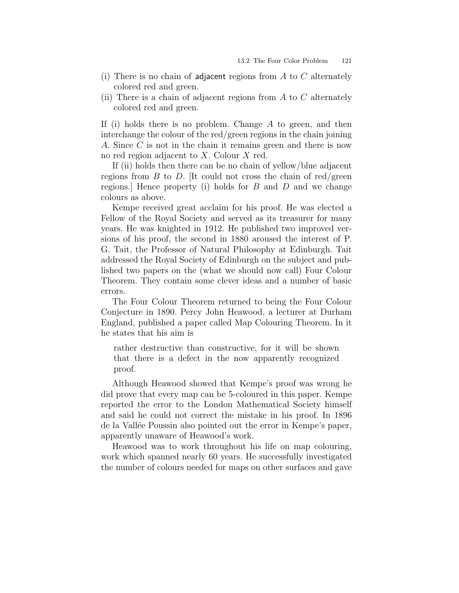- <span id="page-126-0"></span>(i) There is no chain of adjacent regions from  $A$  to  $C$  alternately colored red and green.
- (ii) There is a chain of adjacent regions from  $A$  to  $C$  alternately colored red and green.

If (i) holds there is no problem. Change  $A$  to green, and then interchange the colour of the red/green regions in the chain joining A. Since C is not in the chain it remains green and there is now no red region adjacent to  $X$ . Colour  $X$  red.

If (ii) holds then there can be no chain of yellow/blue adjacent regions from  $B$  to  $D$ . It could not cross the chain of red/green regions. Hence property (i) holds for  $B$  and  $D$  and we change colours as above.

Kempe received great acclaim for his proof. He was elected a Fellow of the Royal Society and served as its treasurer for many years. He was knighted in 1912. He published two improved versions of his proof, the second in 1880 aroused the interest of P. G. Tait, the Professor of Natural Philosophy at Edinburgh. Tait addressed the Royal Society of Edinburgh on the subject and published two papers on the (what we should now call) Four Colour Theorem. They contain some clever ideas and a number of basic errors.

The Four Colour Theorem returned to being the Four Colour Conjecture in 1890. Percy John Heawood, a lecturer at Durham England, published a paper called Map Colouring Theorem. In it he states that his aim is

rather destructive than constructive, for it will be shown that there is a defect in the now apparently recognized proof.

Although Heawood showed that Kempe's proof was wrong he did prove that every map can be 5-coloured in this paper. Kempe reported the error to the London Mathematical Society himself and said he could not correct the mistake in his proof. In 1896 de la Vallée Poussin also pointed out the error in Kempe's paper, apparently unaware of Heawood's work.

Heawood was to work throughout his life on map colouring, work which spanned nearly 60 years. He successfully investigated the number of colours needed for maps on other surfaces and gave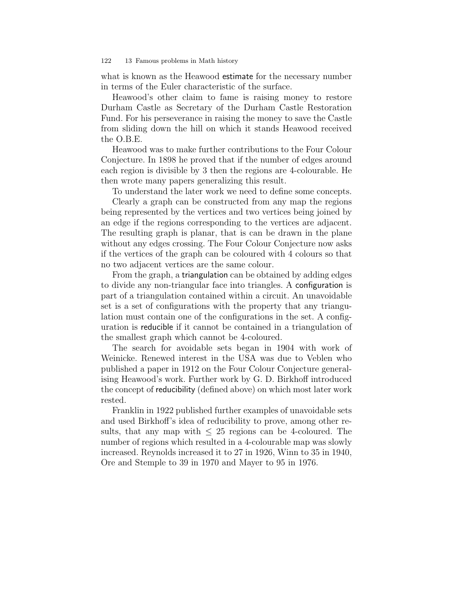#### <span id="page-127-0"></span>122 13 Famous problems in Math history

what is known as the Heawood **estimate** for the necessary number in terms of the Euler characteristic of the surface.

Heawood's other claim to fame is raising money to restore Durham Castle as Secretary of the Durham Castle Restoration Fund. For his perseverance in raising the money to save the Castle from sliding down the hill on which it stands Heawood received the O.B.E.

Heawood was to make further contributions to the Four Colour Conjecture. In 1898 he proved that if the number of edges around each region is divisible by 3 then the regions are 4-colourable. He then wrote many papers generalizing this result.

To understand the later work we need to define some concepts. Clearly a graph can be constructed from any map the regions

being represented by the vertices and two vertices being joined by an edge if the regions corresponding to the vertices are adjacent. The resulting graph is planar, that is can be drawn in the plane without any edges crossing. The Four Colour Conjecture now asks if the vertices of the graph can be coloured with 4 colours so that no two adjacent vertices are the same colour.

From the graph, a triangulation can be obtained by adding edges to divide any non-triangular face into triangles. A configuration is part of a triangulation contained within a circuit. An unavoidable set is a set of configurations with the property that any triangulation must contain one of the configurations in the set. A configuration is reducible if it cannot be contained in a triangulation of the smallest graph which cannot be 4-coloured.

The search for avoidable sets began in 1904 with work of Weinicke. Renewed interest in the USA was due to Veblen who published a paper in 1912 on the Four Colour Conjecture generalising Heawood's work. Further work by G. D. Birkhoff introduced the concept of reducibility (defined above) on which most later work rested.

Franklin in 1922 published further examples of unavoidable sets and used Birkhoff's idea of reducibility to prove, among other results, that any map with  $\leq 25$  regions can be 4-coloured. The number of regions which resulted in a 4-colourable map was slowly increased. Reynolds increased it to 27 in 1926, Winn to 35 in 1940, Ore and Stemple to 39 in 1970 and Mayer to 95 in 1976.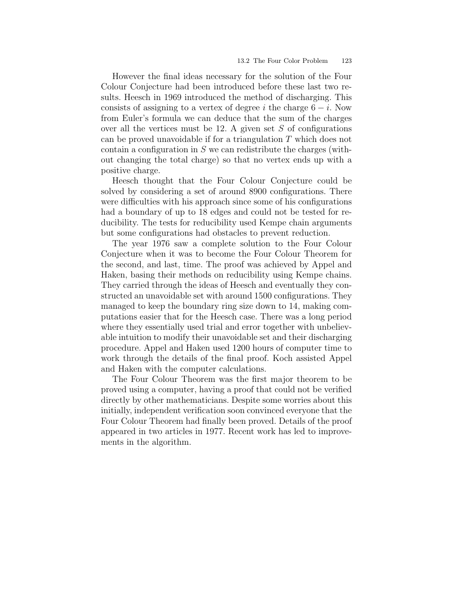However the final ideas necessary for the solution of the Four Colour Conjecture had been introduced before these last two results. Heesch in 1969 introduced the method of discharging. This consists of assigning to a vertex of degree i the charge  $6 - i$ . Now from Euler's formula we can deduce that the sum of the charges over all the vertices must be 12. A given set  $S$  of configurations can be proved unavoidable if for a triangulation  $T$  which does not contain a configuration in  $S$  we can redistribute the charges (without changing the total charge) so that no vertex ends up with a positive charge.

Heesch thought that the Four Colour Conjecture could be solved by considering a set of around 8900 configurations. There were difficulties with his approach since some of his configurations had a boundary of up to 18 edges and could not be tested for reducibility. The tests for reducibility used Kempe chain arguments but some configurations had obstacles to prevent reduction.

The year 1976 saw a complete solution to the Four Colour Conjecture when it was to become the Four Colour Theorem for the second, and last, time. The proof was achieved by Appel and Haken, basing their methods on reducibility using Kempe chains. They carried through the ideas of Heesch and eventually they constructed an unavoidable set with around 1500 configurations. They managed to keep the boundary ring size down to 14, making computations easier that for the Heesch case. There was a long period where they essentially used trial and error together with unbelievable intuition to modify their unavoidable set and their discharging procedure. Appel and Haken used 1200 hours of computer time to work through the details of the final proof. Koch assisted Appel and Haken with the computer calculations.

The Four Colour Theorem was the first major theorem to be proved using a computer, having a proof that could not be verified directly by other mathematicians. Despite some worries about this initially, independent verification soon convinced everyone that the Four Colour Theorem had finally been proved. Details of the proof appeared in two articles in 1977. Recent work has led to improvements in the algorithm.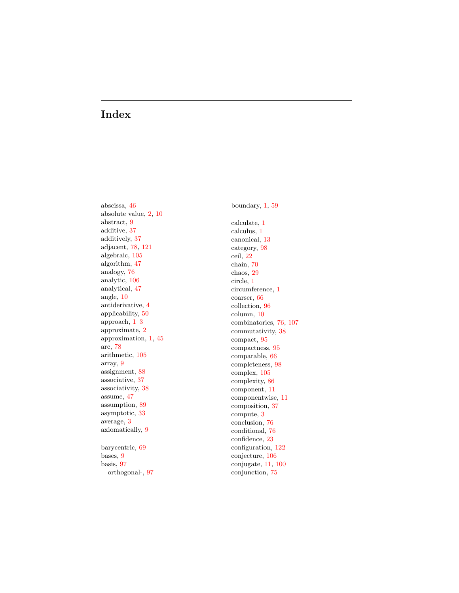abscissa, [46](#page-51-0) absolute value, [2,](#page-1-0) [10](#page-15-0) abstract, [9](#page-14-0) additive, [37](#page-42-0) additively, [37](#page-42-0) adjacent, [78,](#page-83-0) [121](#page-126-0) algebraic, [105](#page-110-0) algorithm, [47](#page-52-0) analogy, [76](#page-81-0) analytic, [106](#page-111-0) analytical, [47](#page-52-0) angle, [10](#page-15-0) antiderivative, [4](#page-9-0) applicability, [50](#page-55-0) approach, [1–](#page-0-1)[3](#page-8-0) approximate, [2](#page-1-0) approximation, [1,](#page-0-1) [45](#page-50-0) arc, [78](#page-83-0) arithmetic, [105](#page-110-0) array, [9](#page-14-0) assignment, [88](#page-93-0) associative, [37](#page-42-0) associativity, [38](#page-43-0) assume, [47](#page-52-0) assumption, [89](#page-94-0) asymptotic, [33](#page-38-0) average, [3](#page-8-0) axiomatically, [9](#page-14-0) barycentric, [69](#page-74-0) bases, [9](#page-14-0) basis, [97](#page-102-0)

orthogonal-, [97](#page-102-0)

boundary, [1,](#page-0-1) [59](#page-64-0)

calculate, [1](#page-0-1) calculus, [1](#page-0-1) canonical, [13](#page-18-0) category, [98](#page-103-0) ceil, [22](#page-27-0) chain, [70](#page-75-0) chaos, [29](#page-34-0) circle, [1](#page-0-1) circumference, [1](#page-0-1) coarser, [66](#page-71-0) collection, [96](#page-101-0) column, [10](#page-15-0) combinatorics, [76,](#page-81-0) [107](#page-112-0) commutativity, [38](#page-43-0) compact, [95](#page-100-0) compactness, [95](#page-100-0) comparable, [66](#page-71-0) completeness, [98](#page-103-0) complex, [105](#page-110-0) complexity, [86](#page-91-0) component, [11](#page-16-0) componentwise, [11](#page-16-0) composition, [37](#page-42-0) compute, [3](#page-8-0) conclusion, [76](#page-81-0) conditional, [76](#page-81-0) confidence, [23](#page-28-0) configuration, [122](#page-127-0) conjecture, [106](#page-111-0) conjugate, [11,](#page-16-0) [100](#page-105-0) conjunction, [75](#page-80-0)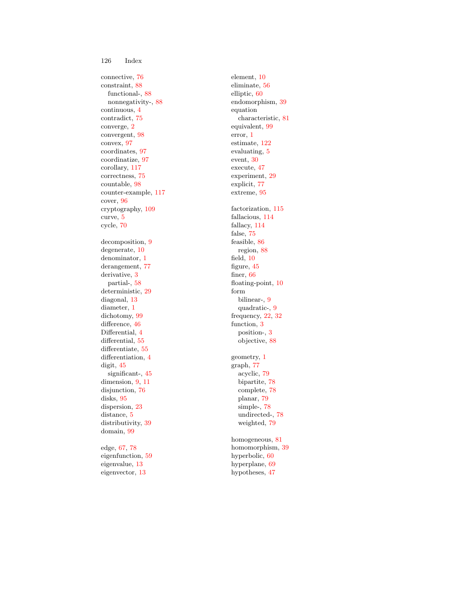connective, [76](#page-81-0) constraint, [88](#page-93-0) functional-, [88](#page-93-0) nonnegativity-, [88](#page-93-0) continuous, [4](#page-9-0) contradict, [75](#page-80-0) converge, [2](#page-1-0) convergent, [98](#page-103-0) convex, [97](#page-102-0) coordinates, [97](#page-102-0) coordinatize, [97](#page-102-0) corollary, [117](#page-122-0) correctness, [75](#page-80-0) countable, [98](#page-103-0) counter-example, [117](#page-122-0) cover, [96](#page-101-0) cryptography, [109](#page-114-0) curve, [5](#page-10-0) cycle, [70](#page-75-0) decomposition, [9](#page-14-0) degenerate, [10](#page-15-0) denominator, [1](#page-0-1) derangement, [77](#page-82-0) derivative, [3](#page-8-0) partial-, [58](#page-63-0) deterministic, [29](#page-34-0) diagonal, [13](#page-18-0) diameter, [1](#page-0-1) dichotomy, [99](#page-104-0) difference, [46](#page-51-0) Differential, [4](#page-9-0) differential, [55](#page-60-0) differentiate, [55](#page-60-0) differentiation, [4](#page-9-0) digit, [45](#page-50-0) significant-, [45](#page-50-0) dimension, [9](#page-14-0), [11](#page-16-0) disjunction, [76](#page-81-0) disks, [95](#page-100-0) dispersion, [23](#page-28-0) distance, [5](#page-10-0) distributivity, [39](#page-44-0) domain, [99](#page-104-0)

126 Index

edge, [67](#page-72-0) , [78](#page-83-0) eigenfunction, [59](#page-64-0) eigenvalue, [13](#page-18-0) eigenvector, [13](#page-18-0)

element, [10](#page-15-0) eliminate, [56](#page-61-0) elliptic, [60](#page-65-0) endomorphism, [39](#page-44-0) equation characteristic, [81](#page-86-0) equivalent, [99](#page-104-0) error, [1](#page-0-1) estimate, [122](#page-127-0) evaluating, [5](#page-10-0) event, [30](#page-35-0) execute, [47](#page-52-0) experiment, [29](#page-34-0) explicit, [77](#page-82-0) extreme, [95](#page-100-0) factorization, [115](#page-120-0) fallacious, [114](#page-119-0) fallacy, [114](#page-119-0) false, [75](#page-80-0) feasible, [86](#page-91-0) region, [88](#page-93-0) field, [10](#page-15-0) figure, [45](#page-50-0) finer, [66](#page-71-0) floating-point, [10](#page-15-0) form bilinear-, [9](#page-14-0) quadratic-, [9](#page-14-0) frequency, [22](#page-27-0), [32](#page-37-0) function, [3](#page-8-0) position-, [3](#page-8-0) objective, [88](#page-93-0) geometry, [1](#page-0-1) graph, [77](#page-82-0) acyclic, [79](#page-84-0) bipartite, [78](#page-83-0) complete, [78](#page-83-0) planar, [79](#page-84-0) simple-, [78](#page-83-0) undirected-, [78](#page-83-0) weighted, [79](#page-84-0) homogeneous, [81](#page-86-0)

homomorphism, [39](#page-44-0) hyperbolic, [60](#page-65-0) hyperplane, [69](#page-74-0) hypotheses, [47](#page-52-0)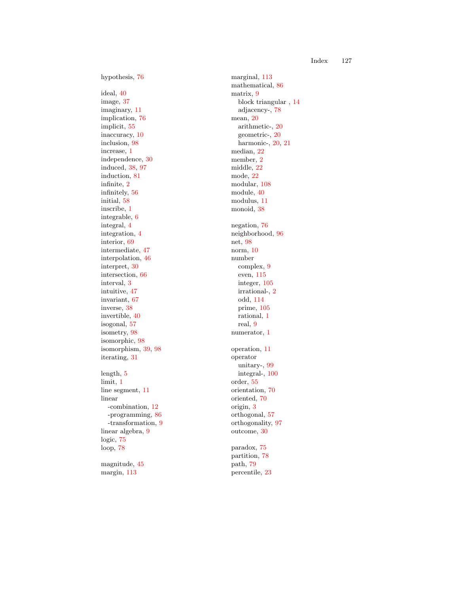hypothesis, [76](#page-81-0)

ideal, [40](#page-45-0) image, [37](#page-42-0) imaginary, [11](#page-16-0) implication, [76](#page-81-0) implicit, [55](#page-60-0) inaccuracy, [10](#page-15-0) inclusion, [98](#page-103-0) increase, [1](#page-0-1) independence, [30](#page-35-0) induced, [38](#page-43-0) , [97](#page-102-0) induction, [81](#page-86-0) infinite, [2](#page-1-0) infinitely, [56](#page-61-0) initial, [58](#page-63-0) inscribe, [1](#page-0-1) integrable, [6](#page-11-0) integral, [4](#page-9-0) integration, [4](#page-9-0) interior, [69](#page-74-0) intermediate, [47](#page-52-0) interpolation, [46](#page-51-0) interpret, [30](#page-35-0) intersection, [66](#page-71-0) interval, [3](#page-8-0) intuitive, [47](#page-52-0) invariant, [67](#page-72-0) inverse, [38](#page-43-0) invertible, [40](#page-45-0) isogonal, [57](#page-62-0) isometry, [98](#page-103-0) isomorphic, [98](#page-103-0) isomorphism, [39](#page-44-0) , [98](#page-103-0) iterating, [31](#page-36-0) length, [5](#page-10-0) limit, [1](#page-0-1) line segment, [11](#page-16-0) linear -combination, [12](#page-17-0) -programming, [86](#page-91-0) -transformation, [9](#page-14-0)

magnitude, [45](#page-50-0) margin, [113](#page-118-0)

linear algebra, [9](#page-14-0) logic, [75](#page-80-0) loop, [78](#page-83-0)

marginal, [113](#page-118-0) mathematical, [86](#page-91-0) matrix, [9](#page-14-0) block triangular , [14](#page-19-0) adjacency-, [78](#page-83-0) mean, [20](#page-25-0) arithmetic-, [20](#page-25-0) geometric-, [20](#page-25-0) harmonic-, [20](#page-25-0) , [21](#page-26-0) median, [22](#page-27-0) member, [2](#page-1-0) middle, [22](#page-27-0) mode, [22](#page-27-0) modular, [108](#page-113-0) module, [40](#page-45-0) modulus, [11](#page-16-0) monoid, [38](#page-43-0) negation, [76](#page-81-0) neighborhood, [96](#page-101-0) net, [98](#page-103-0) norm, [10](#page-15-0) number complex, [9](#page-14-0) even, [115](#page-120-0) integer, [105](#page-110-0) irrational-, [2](#page-1-0) odd, [114](#page-119-0) prime, [105](#page-110-0) rational, [1](#page-0-1) real, [9](#page-14-0) numerator, [1](#page-0-1) operation, [11](#page-16-0) operator unitary-, [99](#page-104-0) integral-, [100](#page-105-0) order, [55](#page-60-0) orientation, [70](#page-75-0) oriented, [70](#page-75-0) origin, [3](#page-8-0) orthogonal, [57](#page-62-0) orthogonality, [97](#page-102-0) outcome, [30](#page-35-0) paradox, [75](#page-80-0)

partition, [78](#page-83-0) path, [79](#page-84-0) percentile, [23](#page-28-0)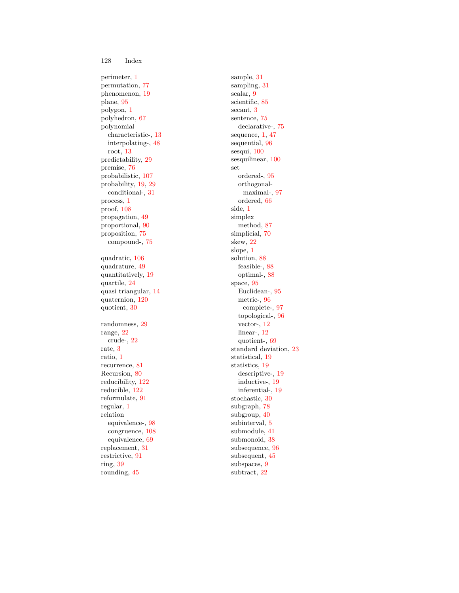perimeter, [1](#page-0-1) permutation, [77](#page-82-0) phenomenon, [19](#page-24-0) plane, [95](#page-100-0) polygon, [1](#page-0-1) polyhedron, [67](#page-72-0) polynomial characteristic-, [13](#page-18-0) interpolating-, [48](#page-53-0) root, [13](#page-18-0) predictability, [29](#page-34-0) premise, [76](#page-81-0) probabilistic, [107](#page-112-0) probability, [19](#page-24-0) , [29](#page-34-0) conditional-, [31](#page-36-0) process, [1](#page-0-1) proof, [108](#page-113-0) propagation, [49](#page-54-0) proportional, [90](#page-95-0) proposition, [75](#page-80-0) compound-, [75](#page-80-0) quadratic, [106](#page-111-0) quadrature, [49](#page-54-0) quantitatively, [19](#page-24-0) quartile, [24](#page-29-0) quasi triangular, [14](#page-19-0) quaternion, [120](#page-125-0) quotient, [30](#page-35-0) randomness, [29](#page-34-0) range, [22](#page-27-0) crude-, [22](#page-27-0) rate, [3](#page-8-0) ratio, [1](#page-0-1) recurrence, [81](#page-86-0) Recursion, [80](#page-85-0) reducibility, [122](#page-127-0) reducible, [122](#page-127-0) reformulate, [91](#page-96-0) regular, [1](#page-0-1) relation equivalence-, [98](#page-103-0) congruence, [108](#page-113-0) equivalence, [69](#page-74-0) replacement, [31](#page-36-0) restrictive, [91](#page-96-0) ring, [39](#page-44-0) rounding, [45](#page-50-0)

sample, [31](#page-36-0) sampling, [31](#page-36-0) scalar, [9](#page-14-0) scientific, [85](#page-90-0) secant, [3](#page-8-0) sentence, [75](#page-80-0) declarative-, [75](#page-80-0) sequence, [1](#page-0-1), [47](#page-52-0) sequential, [96](#page-101-0) sesqui, [100](#page-105-0) sesquilinear, [100](#page-105-0) set ordered-, [95](#page-100-0) orthogonalmaximal-, [97](#page-102-0) ordered, [66](#page-71-0) side, [1](#page-0-1) simplex method, [87](#page-92-0) simplicial, [70](#page-75-0) skew, [22](#page-27-0) slope, [1](#page-0-1) solution, [88](#page-93-0) feasible-, [88](#page-93-0) optimal-, [88](#page-93-0) space, [95](#page-100-0) Euclidean-, [95](#page-100-0) metric-, [96](#page-101-0) complete-, [97](#page-102-0) topological-, [96](#page-101-0) vector-, [12](#page-17-0) linear-, [12](#page-17-0) quotient-, [69](#page-74-0) standard deviation, [23](#page-28-0) statistical, [19](#page-24-0) statistics, [19](#page-24-0) descriptive-, [19](#page-24-0) inductive-, [19](#page-24-0) inferential-, [19](#page-24-0) stochastic, [30](#page-35-0) subgraph, [78](#page-83-0) subgroup, [40](#page-45-0) subinterval, [5](#page-10-0) submodule, [41](#page-46-0) submonoid, [38](#page-43-0) subsequence, [96](#page-101-0) subsequent, [45](#page-50-0) subspaces, [9](#page-14-0) subtract, [22](#page-27-0)